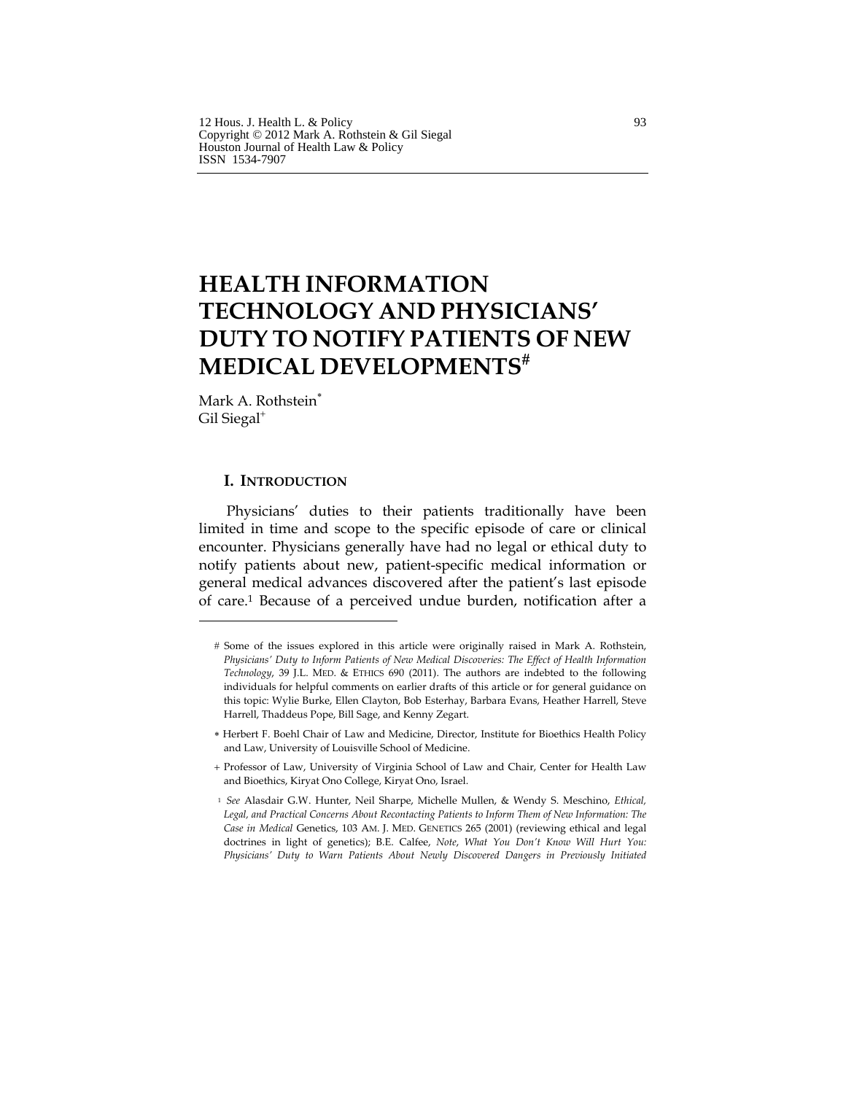# **HEALTH INFORMATION TECHNOLOGY AND PHYSICIANS' DUTY TO NOTIFY PATIENTS OF NEW MEDICAL DEVELOPMENTS**#

Mark A. Rothstein<sup>\*</sup> Gil Siegal<sup>+</sup>

# **I. INTRODUCTION**

Physicians' duties to their patients traditionally have been limited in time and scope to the specific episode of care or clinical encounter. Physicians generally have had no legal or ethical duty to notify patients about new, patient-specific medical information or general medical advances discovered after the patient's last episode of care.1 Because of a perceived undue burden, notification after a

# Some of the issues explored in this article were originally raised in Mark A. Rothstein, *Physicians' Duty to Inform Patients of New Medical Discoveries: The Effect of Health Information Technology*, 39 J.L. MED. & ETHICS 690 (2011). The authors are indebted to the following individuals for helpful comments on earlier drafts of this article or for general guidance on this topic: Wylie Burke, Ellen Clayton, Bob Esterhay, Barbara Evans, Heather Harrell, Steve Harrell, Thaddeus Pope, Bill Sage, and Kenny Zegart.

∗ Herbert F. Boehl Chair of Law and Medicine, Director, Institute for Bioethics Health Policy and Law, University of Louisville School of Medicine.

+ Professor of Law, University of Virginia School of Law and Chair, Center for Health Law and Bioethics, Kiryat Ono College, Kiryat Ono, Israel.

<sup>1</sup> *See* Alasdair G.W. Hunter, Neil Sharpe, Michelle Mullen, & Wendy S. Meschino, *Ethical, Legal, and Practical Concerns About Recontacting Patients to Inform Them of New Information: The Case in Medical* Genetics, 103 AM. J. MED. GENETICS 265 (2001) (reviewing ethical and legal doctrines in light of genetics); B.E. Calfee, *Note*, *What You Don't Know Will Hurt You: Physicians' Duty to Warn Patients About Newly Discovered Dangers in Previously Initiated*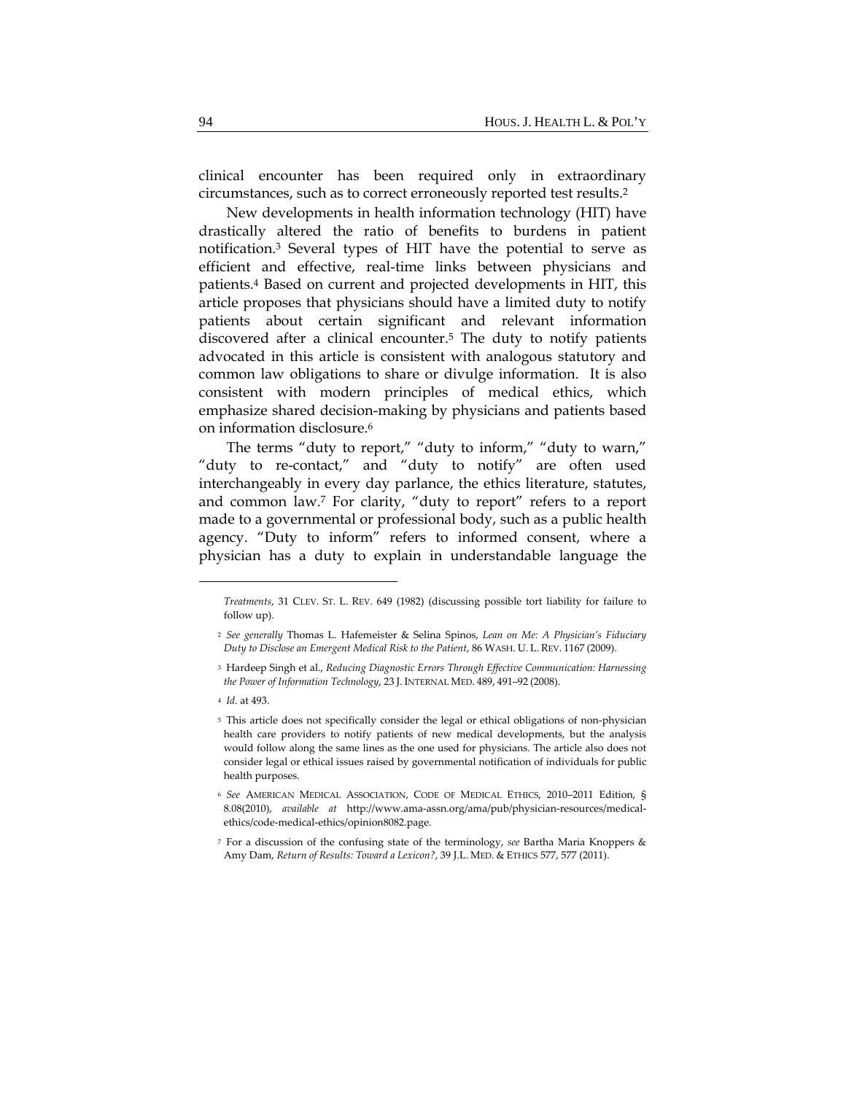clinical encounter has been required only in extraordinary circumstances, such as to correct erroneously reported test results.2

New developments in health information technology (HIT) have drastically altered the ratio of benefits to burdens in patient notification.3 Several types of HIT have the potential to serve as efficient and effective, real-time links between physicians and patients.4 Based on current and projected developments in HIT, this article proposes that physicians should have a limited duty to notify patients about certain significant and relevant information discovered after a clinical encounter.5 The duty to notify patients advocated in this article is consistent with analogous statutory and common law obligations to share or divulge information. It is also consistent with modern principles of medical ethics, which emphasize shared decision-making by physicians and patients based on information disclosure.6

The terms "duty to report," "duty to inform," "duty to warn," "duty to re-contact," and "duty to notify" are often used interchangeably in every day parlance, the ethics literature, statutes, and common law.7 For clarity, "duty to report" refers to a report made to a governmental or professional body, such as a public health agency. "Duty to inform" refers to informed consent, where a physician has a duty to explain in understandable language the

<sup>4</sup> *Id.* at 493.

*Treatments*, 31 CLEV. ST. L. REV. 649 (1982) (discussing possible tort liability for failure to follow up).

<sup>2</sup> *See generally* Thomas L. Hafemeister & Selina Spinos, *Lean on Me: A Physician's Fiduciary Duty to Disclose an Emergent Medical Risk to the Patient*, 86 WASH. U. L. REV. 1167 (2009).

<sup>3</sup> Hardeep Singh et al., *Reducing Diagnostic Errors Through Effective Communication: Harnessing the Power of Information Technology*, 23 J. INTERNAL MED. 489, 491–92 (2008).

<sup>5</sup> This article does not specifically consider the legal or ethical obligations of non‐physician health care providers to notify patients of new medical developments, but the analysis would follow along the same lines as the one used for physicians. The article also does not consider legal or ethical issues raised by governmental notification of individuals for public health purposes.

<sup>6</sup> *See* AMERICAN MEDICAL ASSOCIATION, CODE OF MEDICAL ETHICS, 2010–2011 Edition, § 8.08(2010), *available at* http://www.ama-assn.org/ama/pub/physician-resources/medicalethics/code‐medical‐ethics/opinion8082.page.

<sup>7</sup> For a discussion of the confusing state of the terminology, *see* Bartha Maria Knoppers & Amy Dam, *Return of Results: Toward a Lexicon?*, 39 J.L. MED. & ETHICS 577, 577 (2011).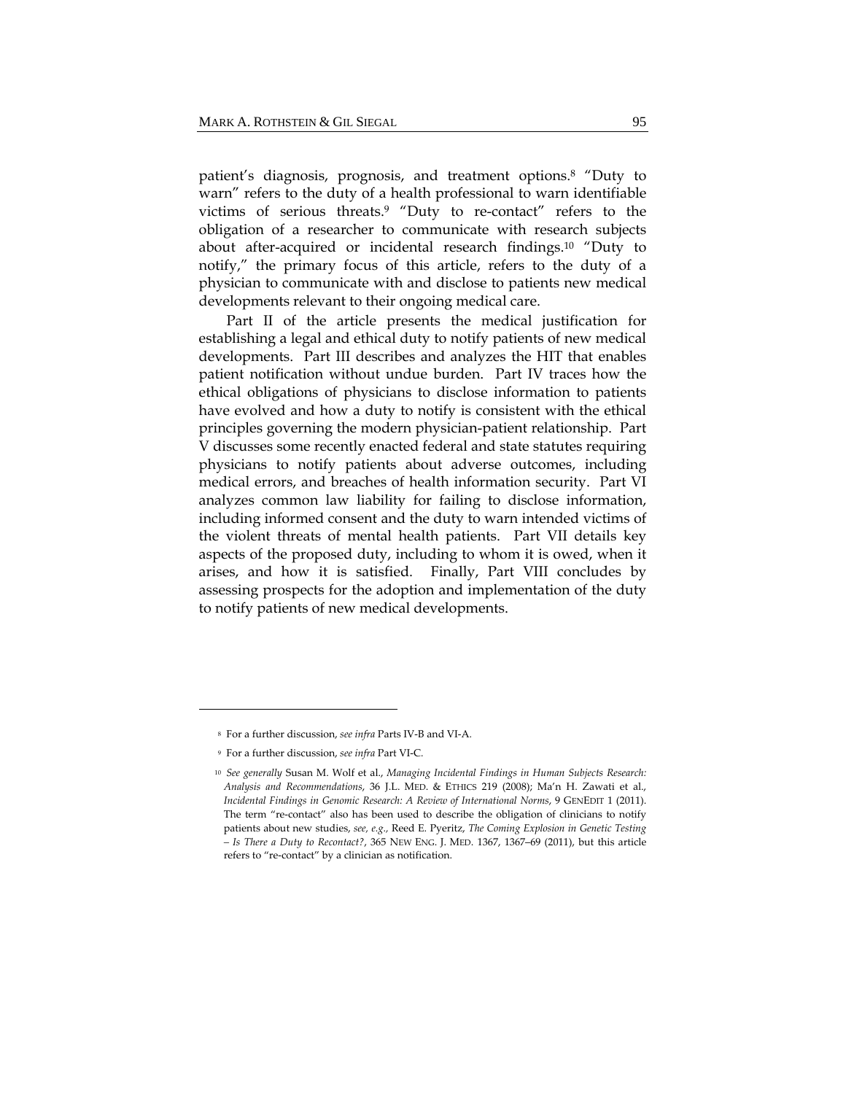patient's diagnosis, prognosis, and treatment options.8 "Duty to warn" refers to the duty of a health professional to warn identifiable victims of serious threats.9 "Duty to re-contact" refers to the obligation of a researcher to communicate with research subjects about after-acquired or incidental research findings.10 "Duty to notify," the primary focus of this article, refers to the duty of a physician to communicate with and disclose to patients new medical developments relevant to their ongoing medical care.

Part II of the article presents the medical justification for establishing a legal and ethical duty to notify patients of new medical developments. Part III describes and analyzes the HIT that enables patient notification without undue burden. Part IV traces how the ethical obligations of physicians to disclose information to patients have evolved and how a duty to notify is consistent with the ethical principles governing the modern physician-patient relationship. Part V discusses some recently enacted federal and state statutes requiring physicians to notify patients about adverse outcomes, including medical errors, and breaches of health information security. Part VI analyzes common law liability for failing to disclose information, including informed consent and the duty to warn intended victims of the violent threats of mental health patients. Part VII details key aspects of the proposed duty, including to whom it is owed, when it arises, and how it is satisfied. Finally, Part VIII concludes by assessing prospects for the adoption and implementation of the duty to notify patients of new medical developments.

<sup>8</sup> For a further discussion, *see infra* Parts IV‐B and VI‐A*.*

<sup>9</sup> For a further discussion, *see infra* Part VI‐C*.*

<sup>10</sup> *See generally* Susan M. Wolf et al., *Managing Incidental Findings in Human Subjects Research: Analysis and Recommendations*, 36 J.L. MED. & ETHICS 219 (2008); Ma'n H. Zawati et al., *Incidental Findings in Genomic Research: A Review of International Norms*, 9 GENEDIT 1 (2011). The term "re-contact" also has been used to describe the obligation of clinicians to notify patients about new studies, *see, e.g.,* Reed E. Pyeritz, *The Coming Explosion in Genetic Testing – Is There a Duty to Recontact?*, 365 NEW ENG. J. MED. 1367, 1367–69 (2011), but this article refers to "re‐contact" by a clinician as notification.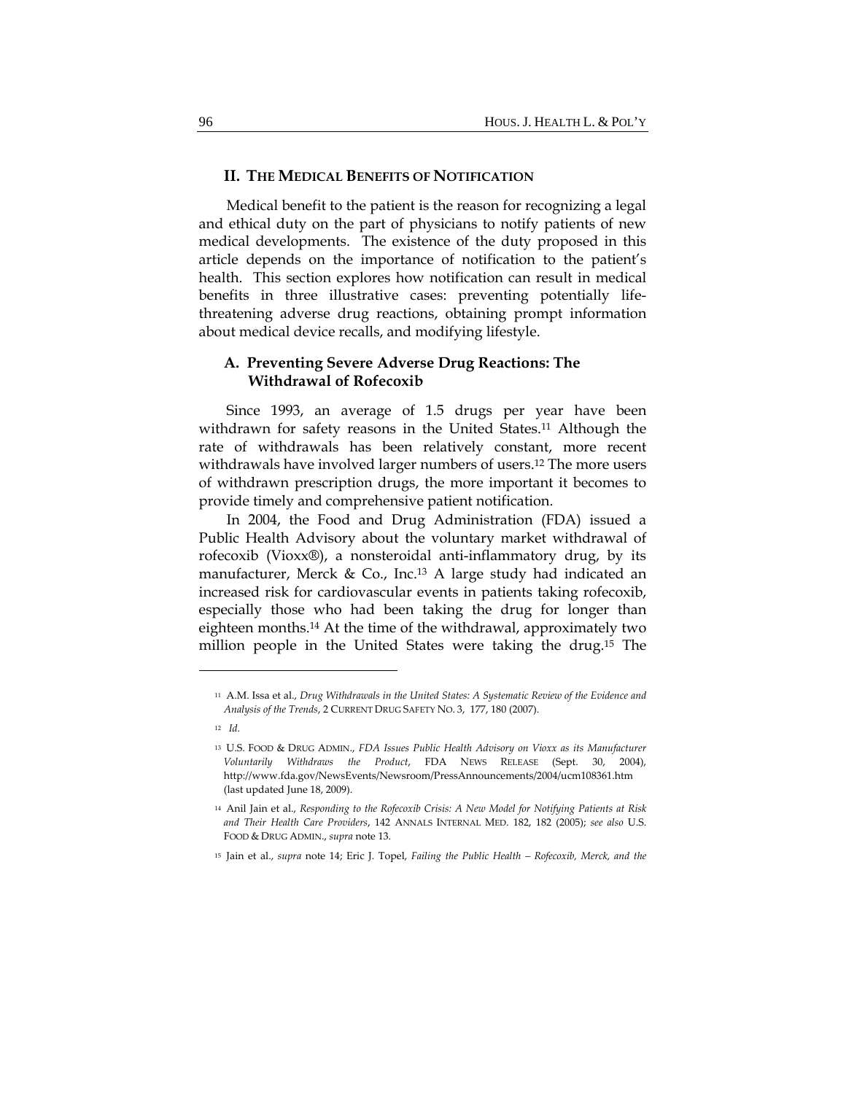## **II. THE MEDICAL BENEFITS OF NOTIFICATION**

Medical benefit to the patient is the reason for recognizing a legal and ethical duty on the part of physicians to notify patients of new medical developments. The existence of the duty proposed in this article depends on the importance of notification to the patient's health. This section explores how notification can result in medical benefits in three illustrative cases: preventing potentially lifethreatening adverse drug reactions, obtaining prompt information about medical device recalls, and modifying lifestyle.

# **A. Preventing Severe Adverse Drug Reactions: The Withdrawal of Rofecoxib**

Since 1993, an average of 1.5 drugs per year have been withdrawn for safety reasons in the United States.<sup>11</sup> Although the rate of withdrawals has been relatively constant, more recent withdrawals have involved larger numbers of users.<sup>12</sup> The more users of withdrawn prescription drugs, the more important it becomes to provide timely and comprehensive patient notification.

In 2004, the Food and Drug Administration (FDA) issued a Public Health Advisory about the voluntary market withdrawal of rofecoxib (Vioxx®), a nonsteroidal anti-inflammatory drug, by its manufacturer, Merck & Co., Inc.13 A large study had indicated an increased risk for cardiovascular events in patients taking rofecoxib, especially those who had been taking the drug for longer than eighteen months.14 At the time of the withdrawal, approximately two million people in the United States were taking the drug.15 The

<sup>11</sup> A.M. Issa et al., *Drug Withdrawals in the United States: A Systematic Review of the Evidence and Analysis of the Trends*, 2 CURRENT DRUG SAFETY NO. 3, 177, 180 (2007).

<sup>12</sup> *Id.*

<sup>13</sup> U.S. FOOD & DRUG ADMIN., *FDA Issues Public Health Advisory on Vioxx as its Manufacturer Voluntarily Withdraws the Product*, FDA NEWS RELEASE (Sept. 30, 2004), http://www.fda.gov/NewsEvents/Newsroom/PressAnnouncements/2004/ucm108361.htm (last updated June 18, 2009).

<sup>14</sup> Anil Jain et al., *Responding to the Rofecoxib Crisis: A New Model for Notifying Patients at Risk and Their Health Care Providers*, 142 ANNALS INTERNAL MED. 182, 182 (2005); *see also* U.S. FOOD & DRUG ADMIN., *supra* note 13.

<sup>15</sup> Jain et al., *supra* note 14; Eric J. Topel, *Failing the Public Health – Rofecoxib, Merck, and the*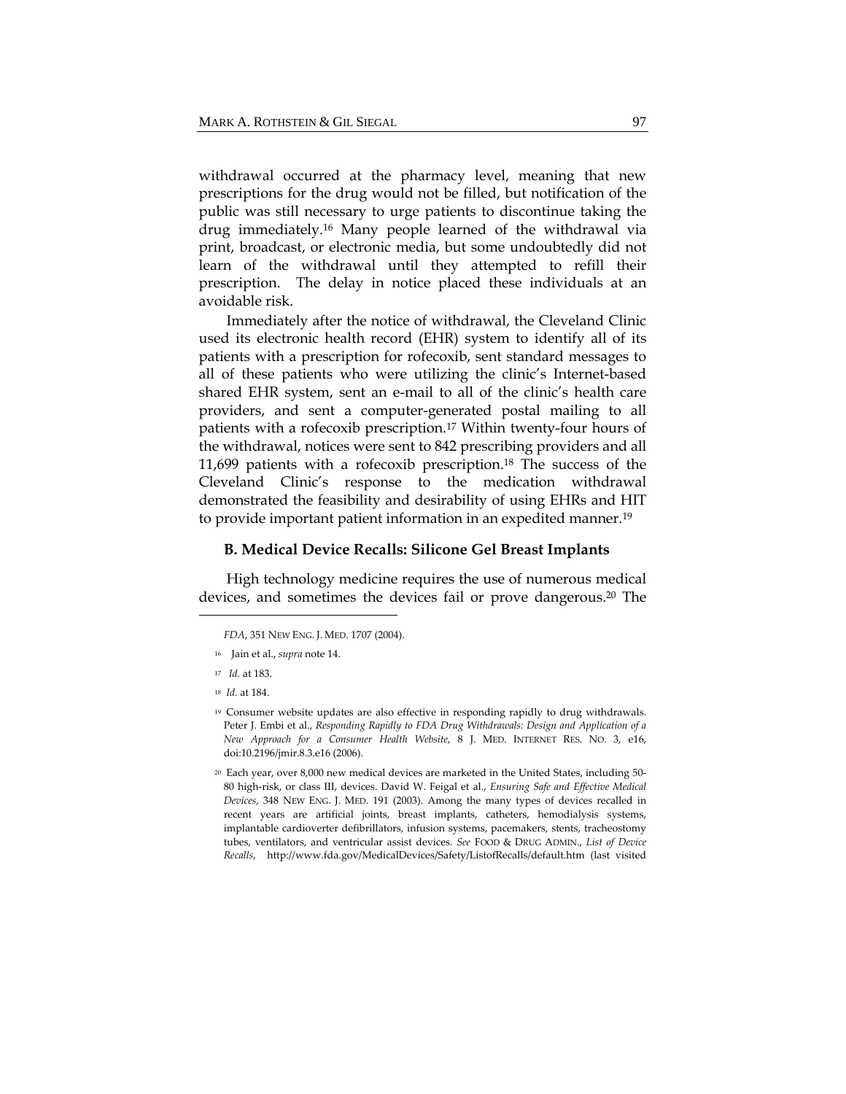withdrawal occurred at the pharmacy level, meaning that new prescriptions for the drug would not be filled, but notification of the public was still necessary to urge patients to discontinue taking the drug immediately.16 Many people learned of the withdrawal via print, broadcast, or electronic media, but some undoubtedly did not learn of the withdrawal until they attempted to refill their prescription. The delay in notice placed these individuals at an avoidable risk.

Immediately after the notice of withdrawal, the Cleveland Clinic used its electronic health record (EHR) system to identify all of its patients with a prescription for rofecoxib, sent standard messages to all of these patients who were utilizing the clinic's Internet-based shared EHR system, sent an e-mail to all of the clinic's health care providers, and sent a computer-generated postal mailing to all patients with a rofecoxib prescription.17 Within twenty-four hours of the withdrawal, notices were sent to 842 prescribing providers and all 11,699 patients with a rofecoxib prescription.18 The success of the Cleveland Clinic's response to the medication withdrawal demonstrated the feasibility and desirability of using EHRs and HIT to provide important patient information in an expedited manner.19

#### **B. Medical Device Recalls: Silicone Gel Breast Implants**

High technology medicine requires the use of numerous medical devices, and sometimes the devices fail or prove dangerous.20 The

<sup>16</sup> Jain et al., *supra* note 14.

<sup>18</sup> *Id.* at 184.

*FDA*, 351 NEW ENG. J. MED. 1707 (2004).

<sup>17</sup> *Id.* at 183.

<sup>19</sup> Consumer website updates are also effective in responding rapidly to drug withdrawals. Peter J. Embi et al., *Responding Rapidly to FDA Drug Withdrawals: Design and Application of a New Approach for a Consumer Health Website*, 8 J. MED. INTERNET RES. NO. 3, e16, doi:10.2196/jmir.8.3.e16 (2006).

<sup>20</sup> Each year, over 8,000 new medical devices are marketed in the United States, including 50‐ 80 high‐risk, or class III, devices. David W. Feigal et al., *Ensuring Safe and Effective Medical Devices*, 348 NEW ENG. J. MED. 191 (2003). Among the many types of devices recalled in recent years are artificial joints, breast implants, catheters, hemodialysis systems, implantable cardioverter defibrillators, infusion systems, pacemakers, stents, tracheostomy tubes, ventilators, and ventricular assist devices. *See* FOOD & DRUG ADMIN., *List of Device Recalls*, http://www.fda.gov/MedicalDevices/Safety/ListofRecalls/default.htm (last visited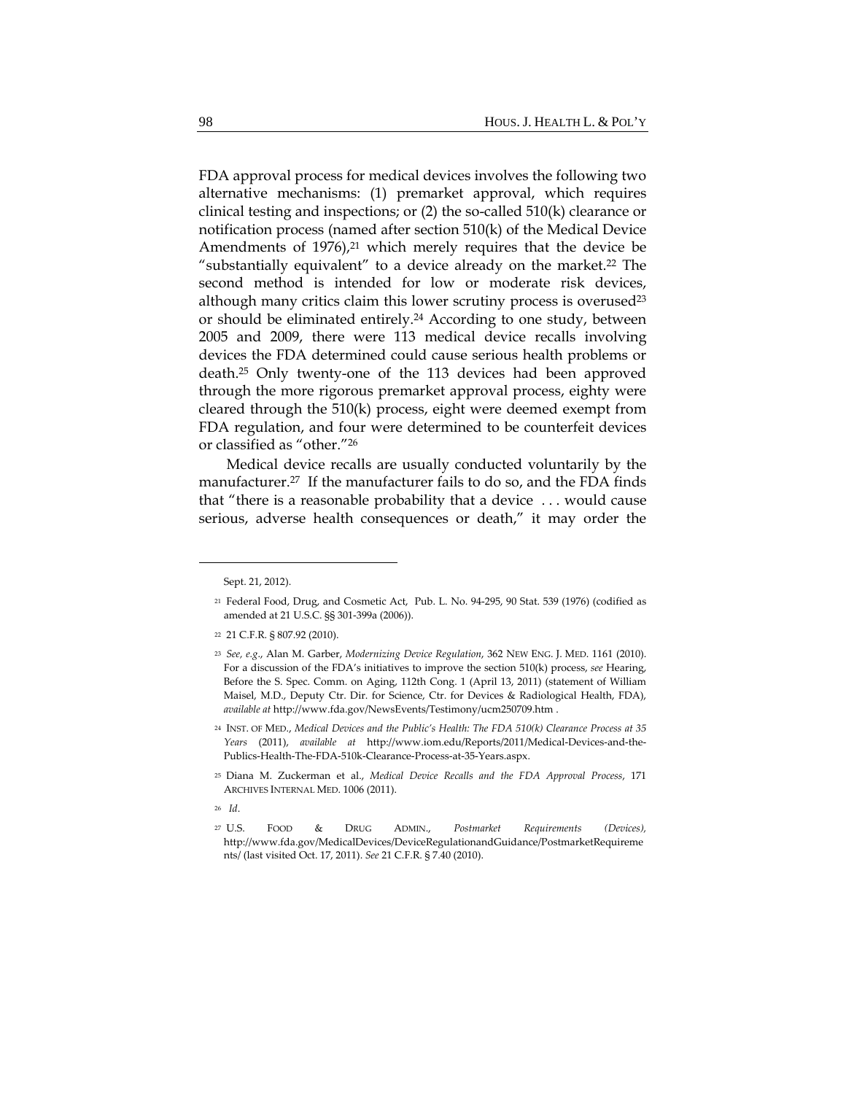FDA approval process for medical devices involves the following two alternative mechanisms: (1) premarket approval, which requires clinical testing and inspections; or (2) the so-called 510(k) clearance or notification process (named after section 510(k) of the Medical Device Amendments of 1976),<sup>21</sup> which merely requires that the device be "substantially equivalent" to a device already on the market.22 The second method is intended for low or moderate risk devices, although many critics claim this lower scrutiny process is overused $23$ or should be eliminated entirely.24 According to one study, between 2005 and 2009, there were 113 medical device recalls involving devices the FDA determined could cause serious health problems or death.25 Only twenty-one of the 113 devices had been approved through the more rigorous premarket approval process, eighty were cleared through the 510(k) process, eight were deemed exempt from FDA regulation, and four were determined to be counterfeit devices or classified as "other."26

Medical device recalls are usually conducted voluntarily by the manufacturer.<sup>27</sup> If the manufacturer fails to do so, and the FDA finds that "there is a reasonable probability that a device . . . would cause serious, adverse health consequences or death," it may order the

- <sup>24</sup> INST. OF MED., *Medical Devices and the Public's Health: The FDA 510(k) Clearance Process at 35 Years* (2011), *available at* http://www.iom.edu/Reports/2011/Medical‐Devices‐and‐the‐ Publics‐Health‐The‐FDA‐510k‐Clearance‐Process‐at‐35‐Years.aspx.
- <sup>25</sup> Diana M. Zuckerman et al., *Medical Device Recalls and the FDA Approval Process*, 171 ARCHIVES INTERNAL MED. 1006 (2011).
- <sup>26</sup> *Id*.
- <sup>27</sup> U.S. FOOD & DRUG ADMIN., *Postmarket Requirements (Devices),* http://www.fda.gov/MedicalDevices/DeviceRegulationandGuidance/PostmarketRequireme nts/ (last visited Oct. 17, 2011). *See* 21 C.F.R. § 7.40 (2010).

Sept. 21, 2012).

<sup>21</sup> Federal Food, Drug, and Cosmetic Act, Pub. L. No. 94‐295, 90 Stat. 539 (1976) (codified as amended at 21 U.S.C. §§ 301‐399a (2006)).

<sup>22</sup> 21 C.F.R. § 807.92 (2010).

<sup>23</sup> *See, e.g*., Alan M. Garber, *Modernizing Device Regulation*, 362 NEW ENG. J. MED. 1161 (2010). For a discussion of the FDA's initiatives to improve the section 510(k) process, *see* Hearing, Before the S. Spec. Comm. on Aging, 112th Cong. 1 (April 13, 2011) (statement of William Maisel, M.D., Deputy Ctr. Dir. for Science, Ctr. for Devices & Radiological Health, FDA), *available at* http://www.fda.gov/NewsEvents/Testimony/ucm250709.htm .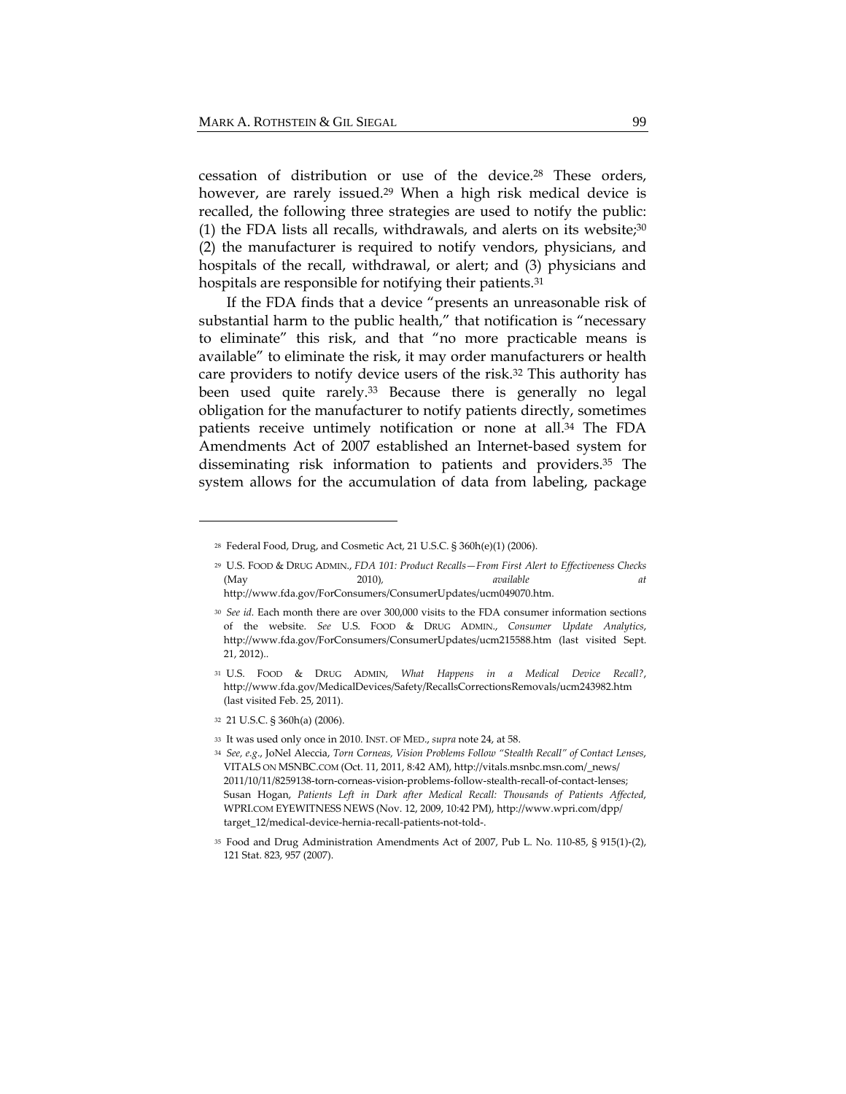cessation of distribution or use of the device.28 These orders, however, are rarely issued.<sup>29</sup> When a high risk medical device is recalled, the following three strategies are used to notify the public: (1) the FDA lists all recalls, withdrawals, and alerts on its website; $30$ (2) the manufacturer is required to notify vendors, physicians, and hospitals of the recall, withdrawal, or alert; and (3) physicians and hospitals are responsible for notifying their patients.<sup>31</sup>

If the FDA finds that a device "presents an unreasonable risk of substantial harm to the public health," that notification is "necessary to eliminate" this risk, and that "no more practicable means is available" to eliminate the risk, it may order manufacturers or health care providers to notify device users of the risk.32 This authority has been used quite rarely.33 Because there is generally no legal obligation for the manufacturer to notify patients directly, sometimes patients receive untimely notification or none at all.34 The FDA Amendments Act of 2007 established an Internet-based system for disseminating risk information to patients and providers.35 The system allows for the accumulation of data from labeling, package

<sup>28</sup> Federal Food, Drug, and Cosmetic Act, 21 U.S.C. § 360h(e)(1) (2006).

<sup>29</sup> U.S. FOOD & DRUG ADMIN., *FDA 101: Product Recalls—From First Alert to Effectiveness Checks* (May 2010)*, available at* http://www.fda.gov/ForConsumers/ConsumerUpdates/ucm049070.htm.

<sup>30</sup> *See id.* Each month there are over 300,000 visits to the FDA consumer information sections of the website. *See* U.S. FOOD & DRUG ADMIN., *Consumer Update Analytics*, http://www.fda.gov/ForConsumers/ConsumerUpdates/ucm215588.htm (last visited Sept. 21, 2012)..

<sup>31</sup> U.S. FOOD & DRUG ADMIN, *What Happens in a Medical Device Recall?*, http://www.fda.gov/MedicalDevices/Safety/RecallsCorrectionsRemovals/ucm243982.htm (last visited Feb. 25, 2011).

<sup>32</sup> 21 U.S.C. § 360h(a) (2006).

<sup>33</sup> It was used only once in 2010. INST. OF MED., *supra* note 24, at 58.

<sup>34</sup> *See, e.g*., JoNel Aleccia, *Torn Corneas, Vision Problems Follow "Stealth Recall" of Contact Lenses*, VITALS ON MSNBC.COM (Oct. 11, 2011, 8:42 AM), http://vitals.msnbc.msn.com/\_news/ 2011/10/11/8259138-torn-corneas-vision-problems-follow-stealth-recall-of-contact-lenses; Susan Hogan, *Patients Left in Dark after Medical Recall: Thousands of Patients Affected*, WPRI.COM EYEWITNESS NEWS (Nov. 12, 2009, 10:42 PM), http://www.wpri.com/dpp/ target\_12/medical‐device‐hernia‐recall‐patients‐not‐told‐.

<sup>35</sup> Food and Drug Administration Amendments Act of 2007, Pub L. No. 110‐85, § 915(1)‐(2), 121 Stat. 823, 957 (2007).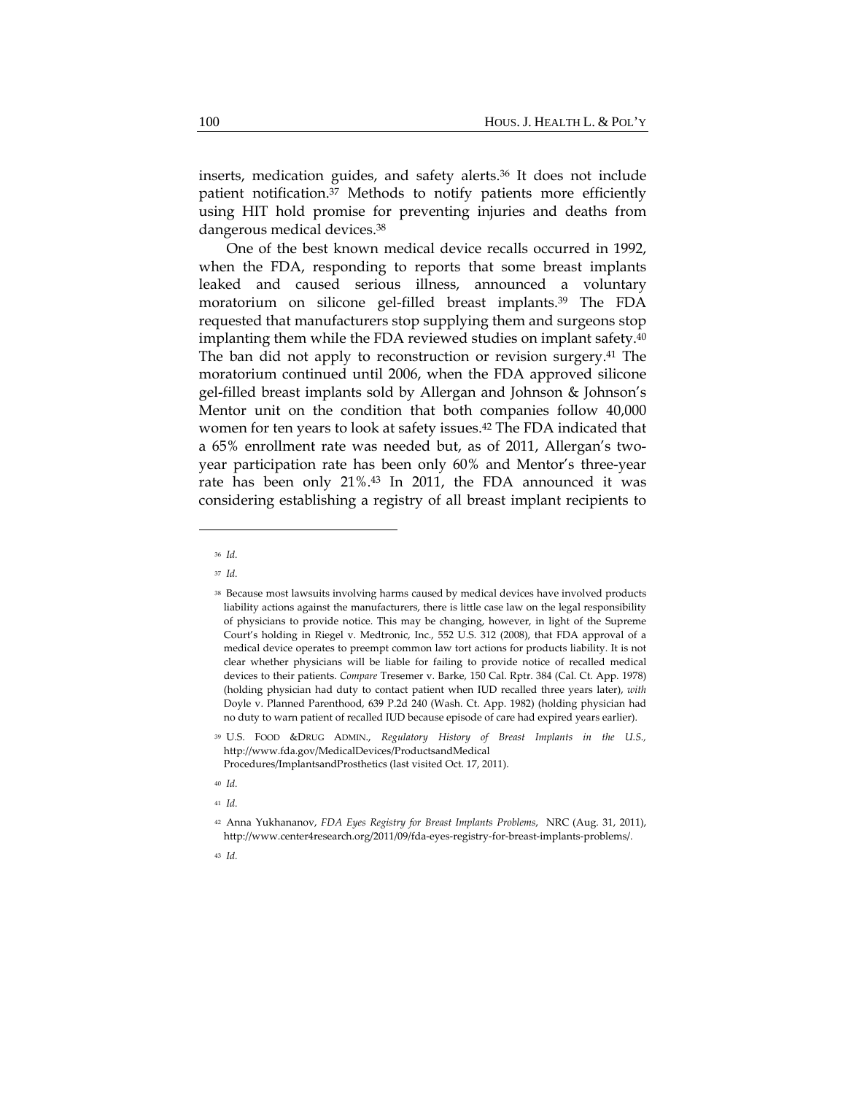inserts, medication guides, and safety alerts.36 It does not include patient notification.37 Methods to notify patients more efficiently using HIT hold promise for preventing injuries and deaths from dangerous medical devices.38

One of the best known medical device recalls occurred in 1992, when the FDA, responding to reports that some breast implants leaked and caused serious illness, announced a voluntary moratorium on silicone gel-filled breast implants.39 The FDA requested that manufacturers stop supplying them and surgeons stop implanting them while the FDA reviewed studies on implant safety.40 The ban did not apply to reconstruction or revision surgery.41 The moratorium continued until 2006, when the FDA approved silicone gel-filled breast implants sold by Allergan and Johnson & Johnson's Mentor unit on the condition that both companies follow 40,000 women for ten years to look at safety issues.42 The FDA indicated that a 65% enrollment rate was needed but, as of 2011, Allergan's twoyear participation rate has been only 60% and Mentor's three-year rate has been only 21%.43 In 2011, the FDA announced it was considering establishing a registry of all breast implant recipients to

<sup>36</sup> *Id.*

<sup>37</sup> *Id.*

<sup>38</sup> Because most lawsuits involving harms caused by medical devices have involved products liability actions against the manufacturers, there is little case law on the legal responsibility of physicians to provide notice. This may be changing, however, in light of the Supreme Court's holding in Riegel v. Medtronic, Inc., 552 U.S. 312 (2008), that FDA approval of a medical device operates to preempt common law tort actions for products liability. It is not clear whether physicians will be liable for failing to provide notice of recalled medical devices to their patients. *Compare* Tresemer v. Barke, 150 Cal. Rptr. 384 (Cal. Ct. App. 1978) (holding physician had duty to contact patient when IUD recalled three years later), *with* Doyle v. Planned Parenthood, 639 P.2d 240 (Wash. Ct. App. 1982) (holding physician had no duty to warn patient of recalled IUD because episode of care had expired years earlier).

<sup>39</sup> U.S. FOOD &DRUG ADMIN., *Regulatory History of Breast Implants in the U.S.,* http://www.fda.gov/MedicalDevices/ProductsandMedical Procedures/ImplantsandProsthetics (last visited Oct. 17, 2011).

<sup>40</sup> *Id.*

<sup>41</sup> *Id.*

<sup>42</sup> Anna Yukhananov, *FDA Eyes Registry for Breast Implants Problems*, NRC (Aug. 31, 2011), http://www.center4research.org/2011/09/fda‐eyes‐registry‐for‐breast‐implants‐problems/.

<sup>43</sup> *Id.*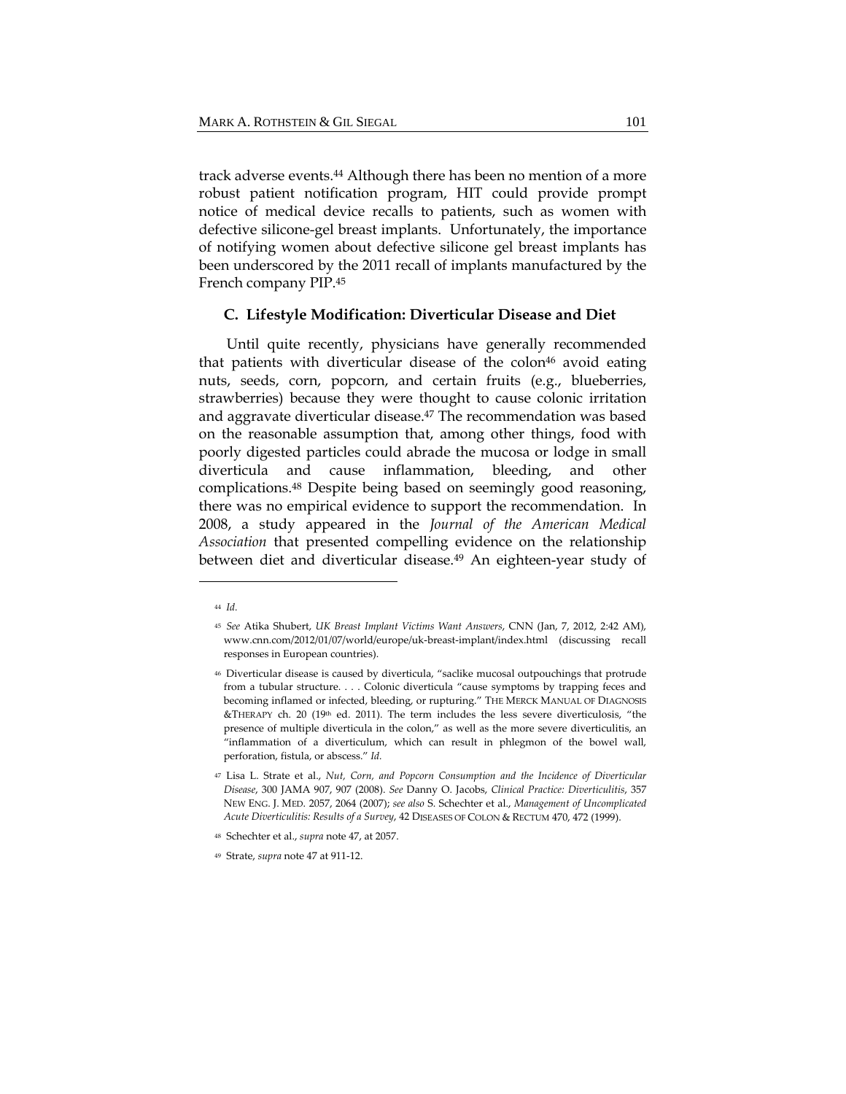track adverse events.<sup>44</sup> Although there has been no mention of a more robust patient notification program, HIT could provide prompt notice of medical device recalls to patients, such as women with defective silicone-gel breast implants. Unfortunately, the importance of notifying women about defective silicone gel breast implants has been underscored by the 2011 recall of implants manufactured by the French company PIP.45

#### **C. Lifestyle Modification: Diverticular Disease and Diet**

Until quite recently, physicians have generally recommended that patients with diverticular disease of the colon<sup>46</sup> avoid eating nuts, seeds, corn, popcorn, and certain fruits (e.g., blueberries, strawberries) because they were thought to cause colonic irritation and aggravate diverticular disease.<sup>47</sup> The recommendation was based on the reasonable assumption that, among other things, food with poorly digested particles could abrade the mucosa or lodge in small diverticula and cause inflammation, bleeding, and other complications.48 Despite being based on seemingly good reasoning, there was no empirical evidence to support the recommendation. In 2008, a study appeared in the *Journal of the American Medical Association* that presented compelling evidence on the relationship between diet and diverticular disease.49 An eighteen-year study of

<sup>44</sup> *Id.*

<sup>45</sup> *See* Atika Shubert, *UK Breast Implant Victims Want Answers*, CNN (Jan, 7, 2012, 2:42 AM), www.cnn.com/2012/01/07/world/europe/uk‐breast‐implant/index.html (discussing recall responses in European countries).

<sup>46</sup> Diverticular disease is caused by diverticula, "saclike mucosal outpouchings that protrude from a tubular structure. . . . Colonic diverticula "cause symptoms by trapping feces and becoming inflamed or infected, bleeding, or rupturing." THE MERCK MANUAL OF DIAGNOSIS &THERAPY ch. 20 (19<sup>th</sup> ed. 2011). The term includes the less severe diverticulosis, "the presence of multiple diverticula in the colon," as well as the more severe diverticulitis, an "inflammation of a diverticulum, which can result in phlegmon of the bowel wall, perforation, fistula, or abscess." *Id.*

<sup>47</sup> Lisa L. Strate et al., *Nut, Corn, and Popcorn Consumption and the Incidence of Diverticular Disease*, 300 JAMA 907, 907 (2008). *See* Danny O. Jacobs, *Clinical Practice: Diverticulitis*, 357 NEW ENG. J. MED. 2057, 2064 (2007); *see also* S. Schechter et al., *Management of Uncomplicated Acute Diverticulitis: Results of a Survey*, 42 DISEASES OF COLON & RECTUM 470, 472 (1999).

<sup>48</sup> Schechter et al., *supra* note 47, at 2057.

<sup>49</sup> Strate, *supra* note 47 at 911‐12.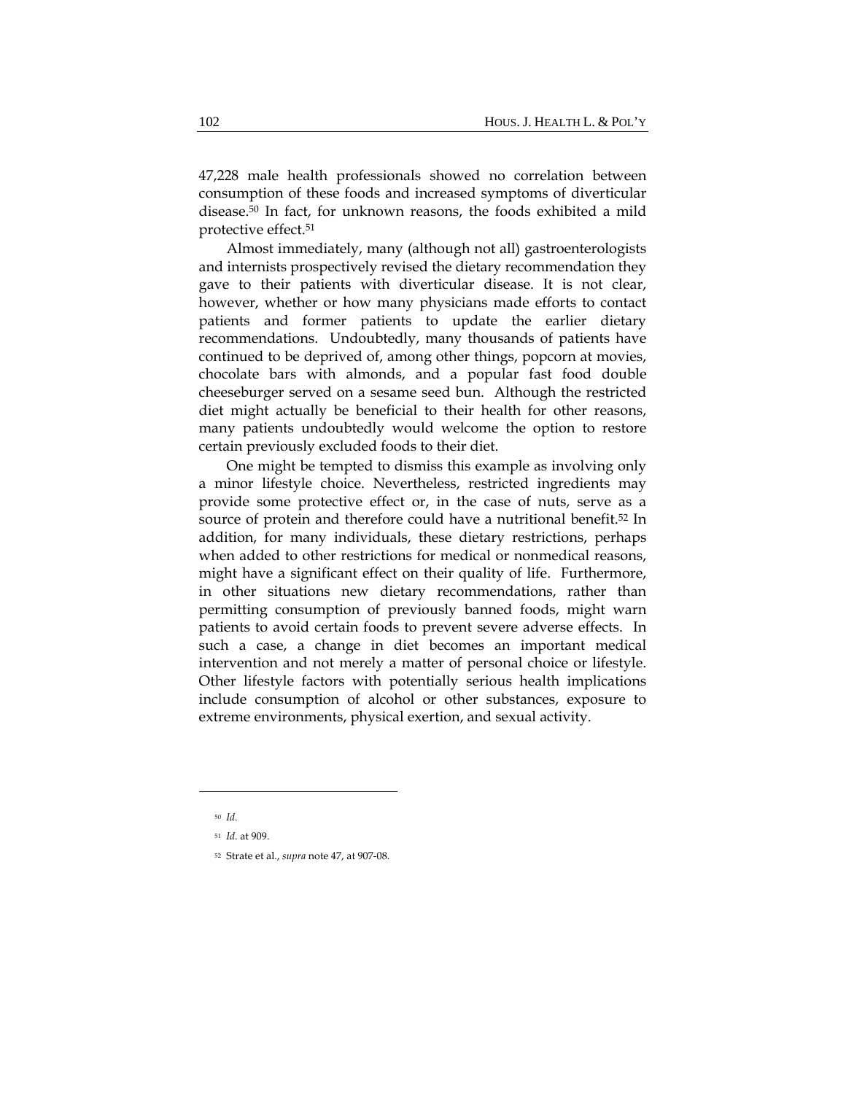47,228 male health professionals showed no correlation between consumption of these foods and increased symptoms of diverticular disease.50 In fact, for unknown reasons, the foods exhibited a mild protective effect.51

Almost immediately, many (although not all) gastroenterologists and internists prospectively revised the dietary recommendation they gave to their patients with diverticular disease. It is not clear, however, whether or how many physicians made efforts to contact patients and former patients to update the earlier dietary recommendations. Undoubtedly, many thousands of patients have continued to be deprived of, among other things, popcorn at movies, chocolate bars with almonds, and a popular fast food double cheeseburger served on a sesame seed bun. Although the restricted diet might actually be beneficial to their health for other reasons, many patients undoubtedly would welcome the option to restore certain previously excluded foods to their diet.

One might be tempted to dismiss this example as involving only a minor lifestyle choice. Nevertheless, restricted ingredients may provide some protective effect or, in the case of nuts, serve as a source of protein and therefore could have a nutritional benefit.52 In addition, for many individuals, these dietary restrictions, perhaps when added to other restrictions for medical or nonmedical reasons, might have a significant effect on their quality of life. Furthermore, in other situations new dietary recommendations, rather than permitting consumption of previously banned foods, might warn patients to avoid certain foods to prevent severe adverse effects. In such a case, a change in diet becomes an important medical intervention and not merely a matter of personal choice or lifestyle. Other lifestyle factors with potentially serious health implications include consumption of alcohol or other substances, exposure to extreme environments, physical exertion, and sexual activity.

<sup>50</sup> *Id.*

<sup>51</sup> *Id.* at 909.

<sup>52</sup> Strate et al., *supra* note 47, at 907‐08.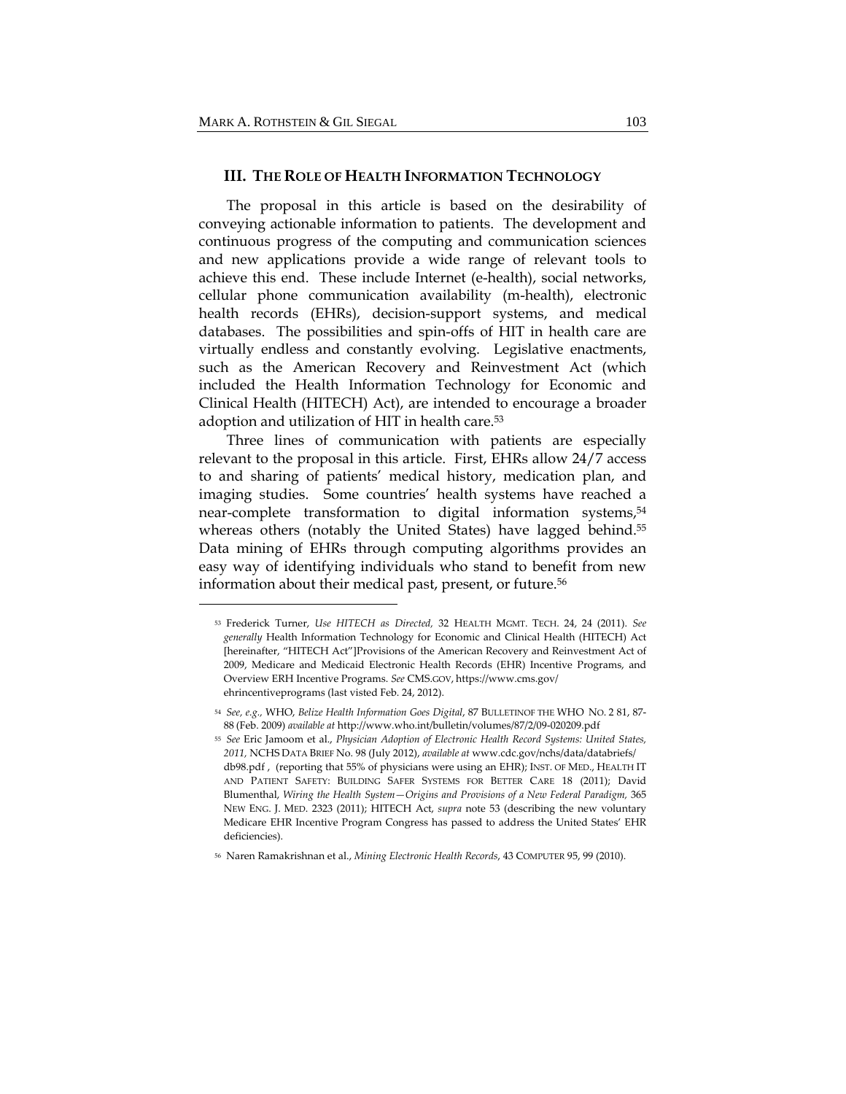## **III. THE ROLE OF HEALTH INFORMATION TECHNOLOGY**

The proposal in this article is based on the desirability of conveying actionable information to patients. The development and continuous progress of the computing and communication sciences and new applications provide a wide range of relevant tools to achieve this end. These include Internet (e-health), social networks, cellular phone communication availability (m-health), electronic health records (EHRs), decision-support systems, and medical databases. The possibilities and spin-offs of HIT in health care are virtually endless and constantly evolving. Legislative enactments, such as the American Recovery and Reinvestment Act (which included the Health Information Technology for Economic and Clinical Health (HITECH) Act), are intended to encourage a broader adoption and utilization of HIT in health care.53

Three lines of communication with patients are especially relevant to the proposal in this article. First, EHRs allow 24/7 access to and sharing of patients' medical history, medication plan, and imaging studies. Some countries' health systems have reached a near-complete transformation to digital information systems,<sup>54</sup> whereas others (notably the United States) have lagged behind.<sup>55</sup> Data mining of EHRs through computing algorithms provides an easy way of identifying individuals who stand to benefit from new information about their medical past, present, or future.56

<sup>53</sup> Frederick Turner, *Use HITECH as Directed,* 32 HEALTH MGMT. TECH. 24, 24 (2011). *See generally* Health Information Technology for Economic and Clinical Health (HITECH) Act [hereinafter, "HITECH Act"]Provisions of the American Recovery and Reinvestment Act of 2009, Medicare and Medicaid Electronic Health Records (EHR) Incentive Programs, and Overview ERH Incentive Programs. *See* CMS.GOV, https://www.cms.gov/ ehrincentiveprograms (last visted Feb. 24, 2012).

<sup>54</sup> *See, e.g.,* WHO, *Belize Health Information Goes Digital*, 87 BULLETINOF THE WHO NO. 2 81, 87‐ 88 (Feb. 2009) *available at* http://www.who.int/bulletin/volumes/87/2/09‐020209.pdf

<sup>55</sup> *See* Eric Jamoom et al., *Physician Adoption of Electronic Health Record Systems: United States, 2011,* NCHS DATA BRIEF No. 98 (July 2012), *available at* www.cdc.gov/nchs/data/databriefs/ db98.pdf , (reporting that 55% of physicians were using an EHR); INST. OF MED., HEALTH IT AND PATIENT SAFETY: BUILDING SAFER SYSTEMS FOR BETTER CARE 18 (2011); David Blumenthal, *Wiring the Health System—Origins and Provisions of a New Federal Paradigm,* 365 NEW ENG. J. MED. 2323 (2011); HITECH Act, *supra* note 53 (describing the new voluntary Medicare EHR Incentive Program Congress has passed to address the United States' EHR deficiencies).

<sup>56</sup> Naren Ramakrishnan et al., *Mining Electronic Health Records*, 43 COMPUTER 95, 99 (2010).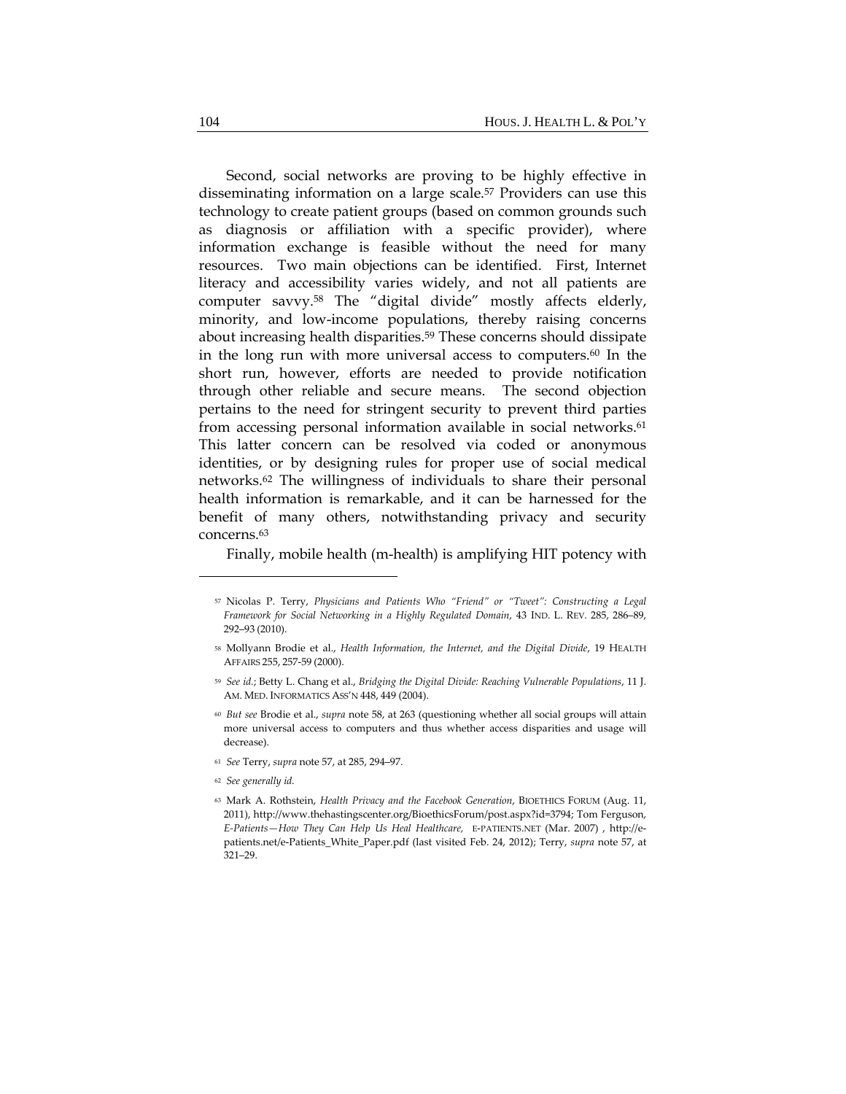Second, social networks are proving to be highly effective in disseminating information on a large scale.<sup>57</sup> Providers can use this technology to create patient groups (based on common grounds such as diagnosis or affiliation with a specific provider), where information exchange is feasible without the need for many resources. Two main objections can be identified. First, Internet literacy and accessibility varies widely, and not all patients are computer savvy.58 The "digital divide" mostly affects elderly, minority, and low-income populations, thereby raising concerns about increasing health disparities.<sup>59</sup> These concerns should dissipate in the long run with more universal access to computers.60 In the short run, however, efforts are needed to provide notification through other reliable and secure means. The second objection pertains to the need for stringent security to prevent third parties from accessing personal information available in social networks.<sup>61</sup> This latter concern can be resolved via coded or anonymous identities, or by designing rules for proper use of social medical networks.62 The willingness of individuals to share their personal health information is remarkable, and it can be harnessed for the benefit of many others, notwithstanding privacy and security concerns.63

Finally, mobile health (m-health) is amplifying HIT potency with

- <sup>60</sup> *But see* Brodie et al., *supra* note 58, at 263 (questioning whether all social groups will attain more universal access to computers and thus whether access disparities and usage will decrease).
- <sup>61</sup> *See* Terry, *supra* note 57, at 285, 294–97.
- <sup>62</sup> *See generally id.*

<sup>57</sup> Nicolas P. Terry, *Physicians and Patients Who "Friend" or "Tweet": Constructing a Legal Framework for Social Networking in a Highly Regulated Domain*, 43 IND. L. REV. 285, 286–89, 292–93 (2010).

<sup>58</sup> Mollyann Brodie et al., *Health Information, the Internet, and the Digital Divide*, 19 HEALTH AFFAIRS 255, 257‐59 (2000).

<sup>59</sup> *See id.*; Betty L. Chang et al., *Bridging the Digital Divide: Reaching Vulnerable Populations*, 11 J. AM. MED. INFORMATICS ASS'N 448, 449 (2004).

<sup>63</sup> Mark A. Rothstein, *Health Privacy and the Facebook Generation*, BIOETHICS FORUM (Aug. 11, 2011), http://www.thehastingscenter.org/BioethicsForum/post.aspx?id=3794; Tom Ferguson, *E‐Patients—How They Can Help Us Heal Healthcare,* E‐PATIENTS.NET (Mar. 2007) , http://e‐ patients.net/e‐Patients\_White\_Paper.pdf (last visited Feb. 24, 2012); Terry, *supra* note 57, at 321–29.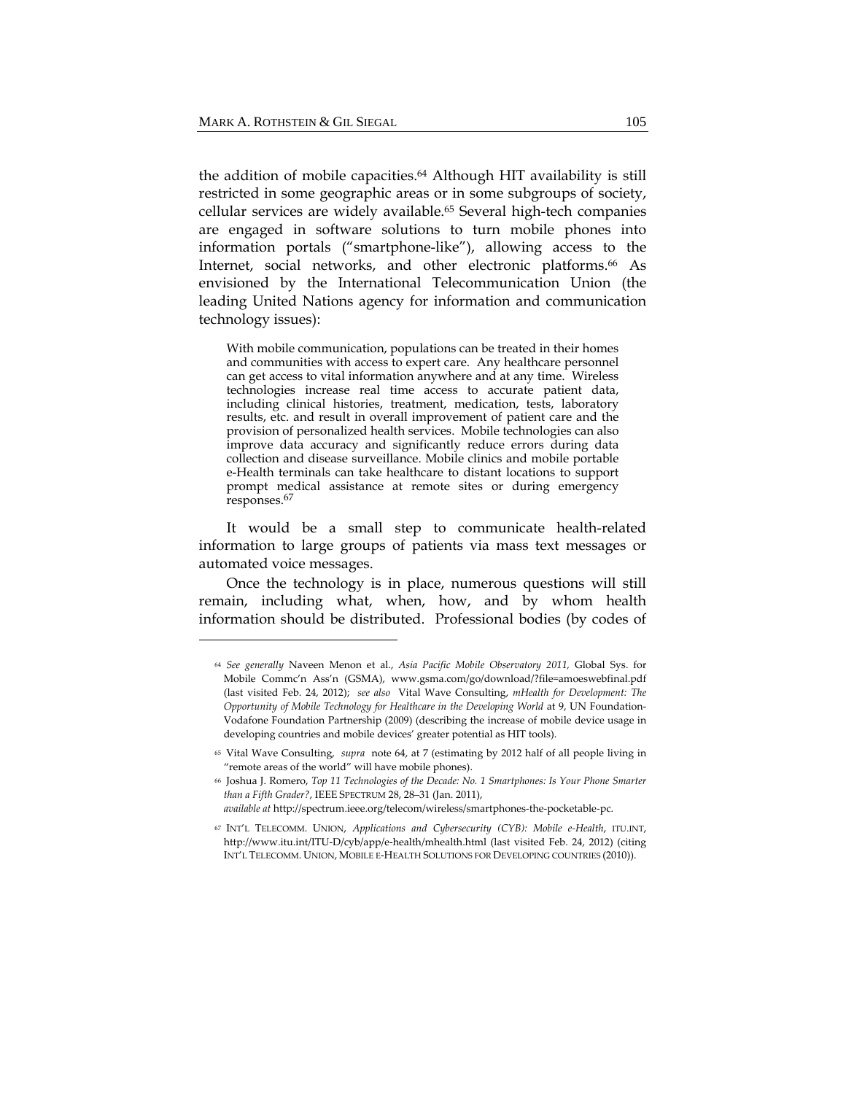the addition of mobile capacities.64 Although HIT availability is still restricted in some geographic areas or in some subgroups of society, cellular services are widely available.<sup>65</sup> Several high-tech companies are engaged in software solutions to turn mobile phones into information portals ("smartphone-like"), allowing access to the Internet, social networks, and other electronic platforms.<sup>66</sup> As envisioned by the International Telecommunication Union (the leading United Nations agency for information and communication technology issues):

With mobile communication, populations can be treated in their homes and communities with access to expert care. Any healthcare personnel can get access to vital information anywhere and at any time. Wireless technologies increase real time access to accurate patient data, including clinical histories, treatment, medication, tests, laboratory results, etc. and result in overall improvement of patient care and the provision of personalized health services. Mobile technologies can also improve data accuracy and significantly reduce errors during data collection and disease surveillance. Mobile clinics and mobile portable e-Health terminals can take healthcare to distant locations to support prompt medical assistance at remote sites or during emergency responses.67

It would be a small step to communicate health-related information to large groups of patients via mass text messages or automated voice messages.

Once the technology is in place, numerous questions will still remain, including what, when, how, and by whom health information should be distributed. Professional bodies (by codes of

<sup>64</sup> *See generally* Naveen Menon et al., *Asia Pacific Mobile Observatory 2011,* Global Sys. for Mobile Commc'n Ass'n (GSMA), www.gsma.com/go/download/?file=amoeswebfinal.pdf (last visited Feb. 24, 2012); *see also* Vital Wave Consulting, *mHealth for Development: The Opportunity of Mobile Technology for Healthcare in the Developing World* at 9, UN Foundation‐ Vodafone Foundation Partnership (2009) (describing the increase of mobile device usage in developing countries and mobile devices' greater potential as HIT tools).

<sup>65</sup> Vital Wave Consulting, *supra* note 64, at 7 (estimating by 2012 half of all people living in "remote areas of the world" will have mobile phones).

<sup>66</sup> Joshua J. Romero, *Top 11 Technologies of the Decade: No. 1 Smartphones: Is Your Phone Smarter than a Fifth Grader?*, IEEE SPECTRUM 28, 28–31 (Jan. 2011), *available at* http://spectrum.ieee.org/telecom/wireless/smartphones‐the‐pocketable‐pc.

<sup>67</sup> INT'L TELECOMM. UNION, *Applications and Cybersecurity (CYB): Mobile e‐Health*, ITU.INT, http://www.itu.int/ITU‐D/cyb/app/e‐health/mhealth.html (last visited Feb. 24, 2012) (citing INT'L TELECOMM. UNION, MOBILE E‐HEALTH SOLUTIONS FOR DEVELOPING COUNTRIES (2010)).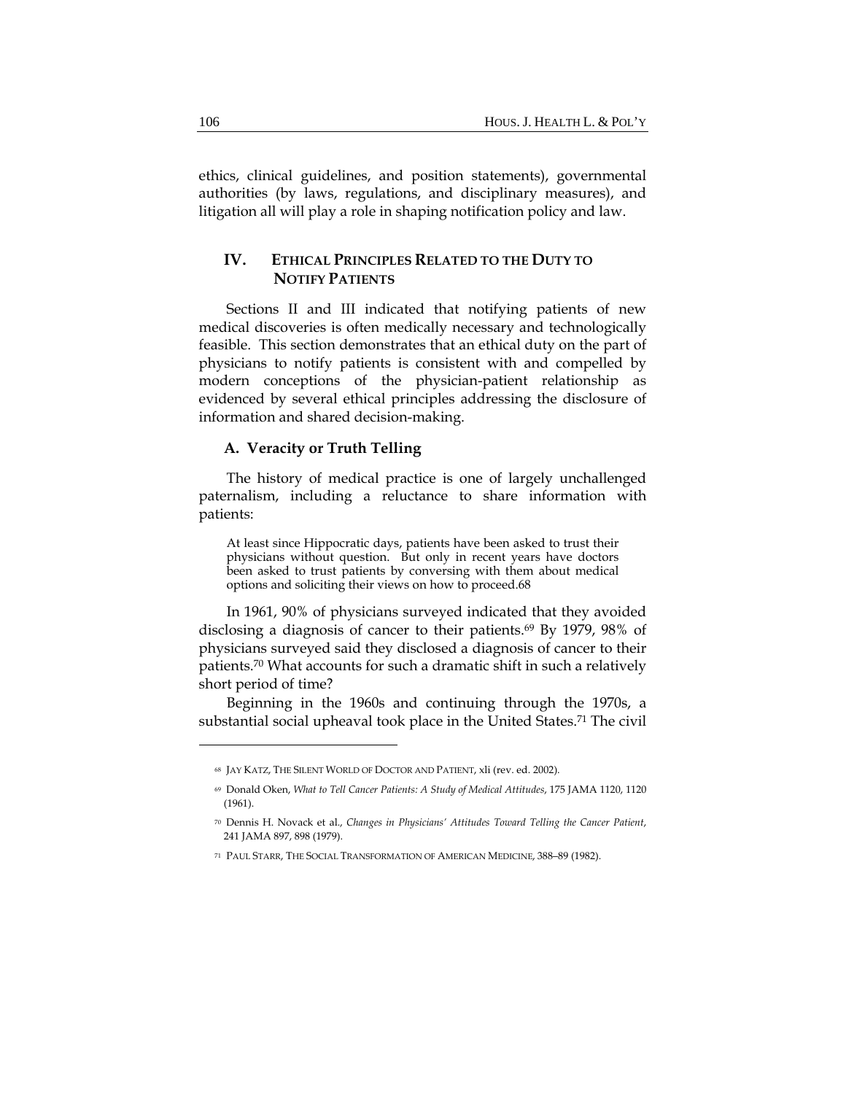ethics, clinical guidelines, and position statements), governmental authorities (by laws, regulations, and disciplinary measures), and litigation all will play a role in shaping notification policy and law.

# **IV. ETHICAL PRINCIPLES RELATED TO THE DUTY TO NOTIFY PATIENTS**

Sections II and III indicated that notifying patients of new medical discoveries is often medically necessary and technologically feasible. This section demonstrates that an ethical duty on the part of physicians to notify patients is consistent with and compelled by modern conceptions of the physician-patient relationship as evidenced by several ethical principles addressing the disclosure of information and shared decision-making.

#### **A. Veracity or Truth Telling**

The history of medical practice is one of largely unchallenged paternalism, including a reluctance to share information with patients:

At least since Hippocratic days, patients have been asked to trust their physicians without question. But only in recent years have doctors been asked to trust patients by conversing with them about medical options and soliciting their views on how to proceed.68

In 1961, 90% of physicians surveyed indicated that they avoided disclosing a diagnosis of cancer to their patients.69 By 1979, 98% of physicians surveyed said they disclosed a diagnosis of cancer to their patients.70 What accounts for such a dramatic shift in such a relatively short period of time?

Beginning in the 1960s and continuing through the 1970s, a substantial social upheaval took place in the United States.71 The civil

<sup>68</sup> JAY KATZ, THE SILENT WORLD OF DOCTOR AND PATIENT, xli (rev. ed. 2002).

<sup>69</sup> Donald Oken, *What to Tell Cancer Patients: A Study of Medical Attitudes*, 175 JAMA 1120, 1120 (1961).

<sup>70</sup> Dennis H. Novack et al., *Changes in Physicians' Attitudes Toward Telling the Cancer Patient*, 241 JAMA 897, 898 (1979).

<sup>71</sup> PAUL STARR, THE SOCIAL TRANSFORMATION OF AMERICAN MEDICINE, 388–89 (1982).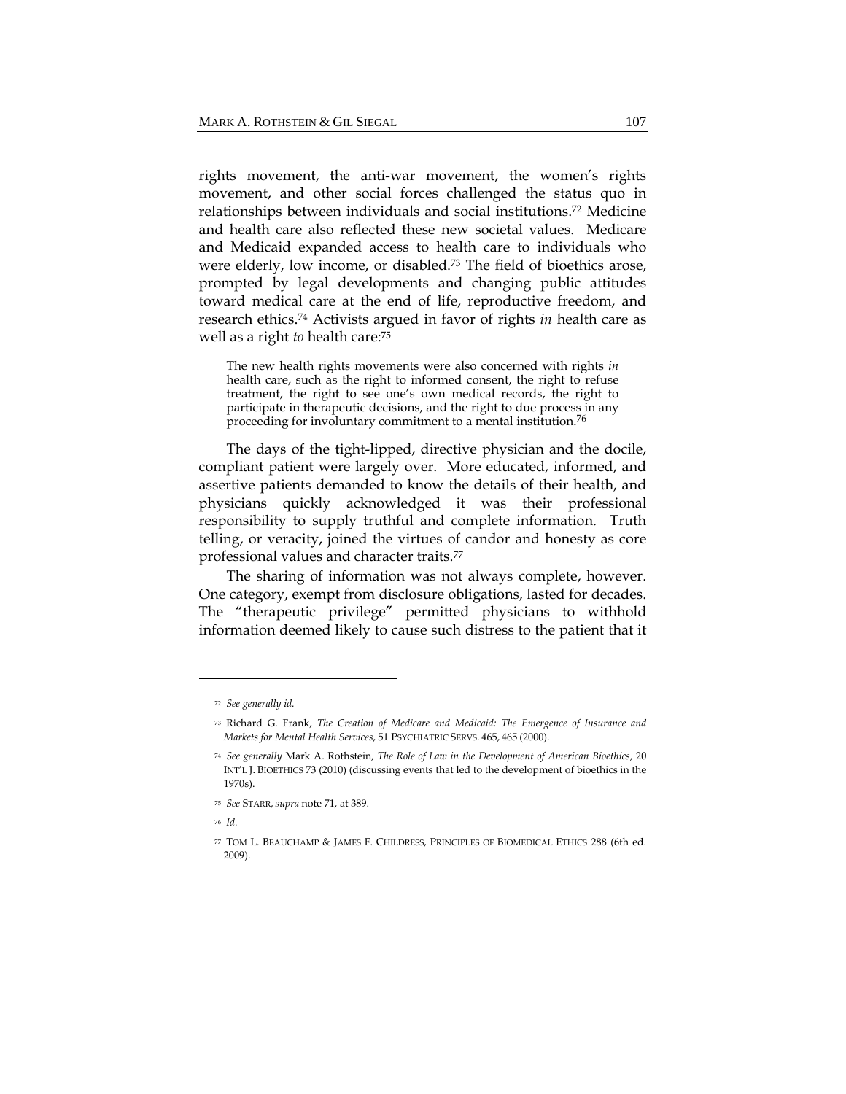rights movement, the anti-war movement, the women's rights movement, and other social forces challenged the status quo in relationships between individuals and social institutions.72 Medicine and health care also reflected these new societal values. Medicare and Medicaid expanded access to health care to individuals who were elderly, low income, or disabled.73 The field of bioethics arose, prompted by legal developments and changing public attitudes toward medical care at the end of life, reproductive freedom, and research ethics.74 Activists argued in favor of rights *in* health care as well as a right *to* health care:75

The new health rights movements were also concerned with rights *in*  health care, such as the right to informed consent, the right to refuse treatment, the right to see one's own medical records, the right to participate in therapeutic decisions, and the right to due process in any proceeding for involuntary commitment to a mental institution.76

The days of the tight-lipped, directive physician and the docile, compliant patient were largely over. More educated, informed, and assertive patients demanded to know the details of their health, and physicians quickly acknowledged it was their professional responsibility to supply truthful and complete information. Truth telling, or veracity, joined the virtues of candor and honesty as core professional values and character traits.77

The sharing of information was not always complete, however. One category, exempt from disclosure obligations, lasted for decades. The "therapeutic privilege" permitted physicians to withhold information deemed likely to cause such distress to the patient that it

<sup>72</sup> *See generally id.*

<sup>73</sup> Richard G. Frank, *The Creation of Medicare and Medicaid: The Emergence of Insurance and Markets for Mental Health Services*, 51 PSYCHIATRIC SERVS. 465, 465 (2000).

<sup>74</sup> *See generally* Mark A. Rothstein, *The Role of Law in the Development of American Bioethics*, 20 INT'L J. BIOETHICS 73 (2010) (discussing events that led to the development of bioethics in the 1970s).

<sup>75</sup> *See* STARR, *supra* note 71, at 389.

<sup>76</sup> *Id.*

<sup>77</sup> TOM L. BEAUCHAMP & JAMES F. CHILDRESS, PRINCIPLES OF BIOMEDICAL ETHICS 288 (6th ed. 2009).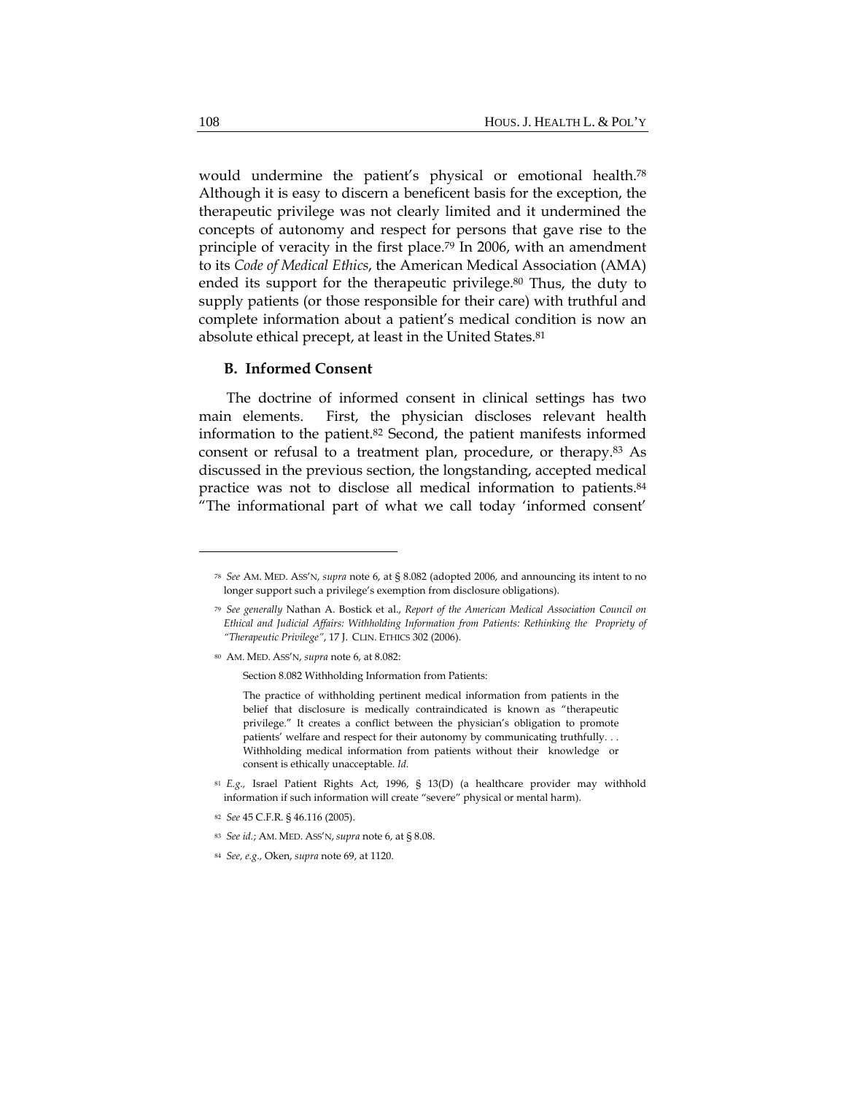would undermine the patient's physical or emotional health.78 Although it is easy to discern a beneficent basis for the exception, the therapeutic privilege was not clearly limited and it undermined the concepts of autonomy and respect for persons that gave rise to the principle of veracity in the first place.79 In 2006, with an amendment to its *Code of Medical Ethics*, the American Medical Association (AMA) ended its support for the therapeutic privilege.<sup>80</sup> Thus, the duty to supply patients (or those responsible for their care) with truthful and complete information about a patient's medical condition is now an absolute ethical precept, at least in the United States.<sup>81</sup>

#### **B. Informed Consent**

The doctrine of informed consent in clinical settings has two main elements. First, the physician discloses relevant health information to the patient.82 Second, the patient manifests informed consent or refusal to a treatment plan, procedure, or therapy.83 As discussed in the previous section, the longstanding, accepted medical practice was not to disclose all medical information to patients.84 "The informational part of what we call today 'informed consent'

Section 8.082 Withholding Information from Patients:

- <sup>81</sup> *E.g.,* Israel Patient Rights Act, 1996, § 13(D) (a healthcare provider may withhold information if such information will create "severe" physical or mental harm).
- <sup>82</sup> *See* 45 C.F.R. § 46.116 (2005).

<sup>78</sup> *See* AM. MED. ASS'N, *supra* note 6, at § 8.082 (adopted 2006, and announcing its intent to no longer support such a privilege's exemption from disclosure obligations).

<sup>79</sup> *See generally* Nathan A. Bostick et al., *Report of the American Medical Association Council on Ethical and Judicial Affairs: Withholding Information from Patients: Rethinking the Propriety of "Therapeutic Privilege"*, 17 J. CLIN. ETHICS 302 (2006).

<sup>80</sup> AM. MED. ASS'N, *supra* note 6, at 8.082:

The practice of withholding pertinent medical information from patients in the belief that disclosure is medically contraindicated is known as "therapeutic privilege." It creates a conflict between the physician's obligation to promote patients' welfare and respect for their autonomy by communicating truthfully. . . Withholding medical information from patients without their knowledge or consent is ethically unacceptable. *Id*.

<sup>83</sup> *See id.*; AM. MED. ASS'N, *supra* note 6, at § 8.08.

<sup>84</sup> *See, e.g.,* Oken, *supra* note 69, at 1120.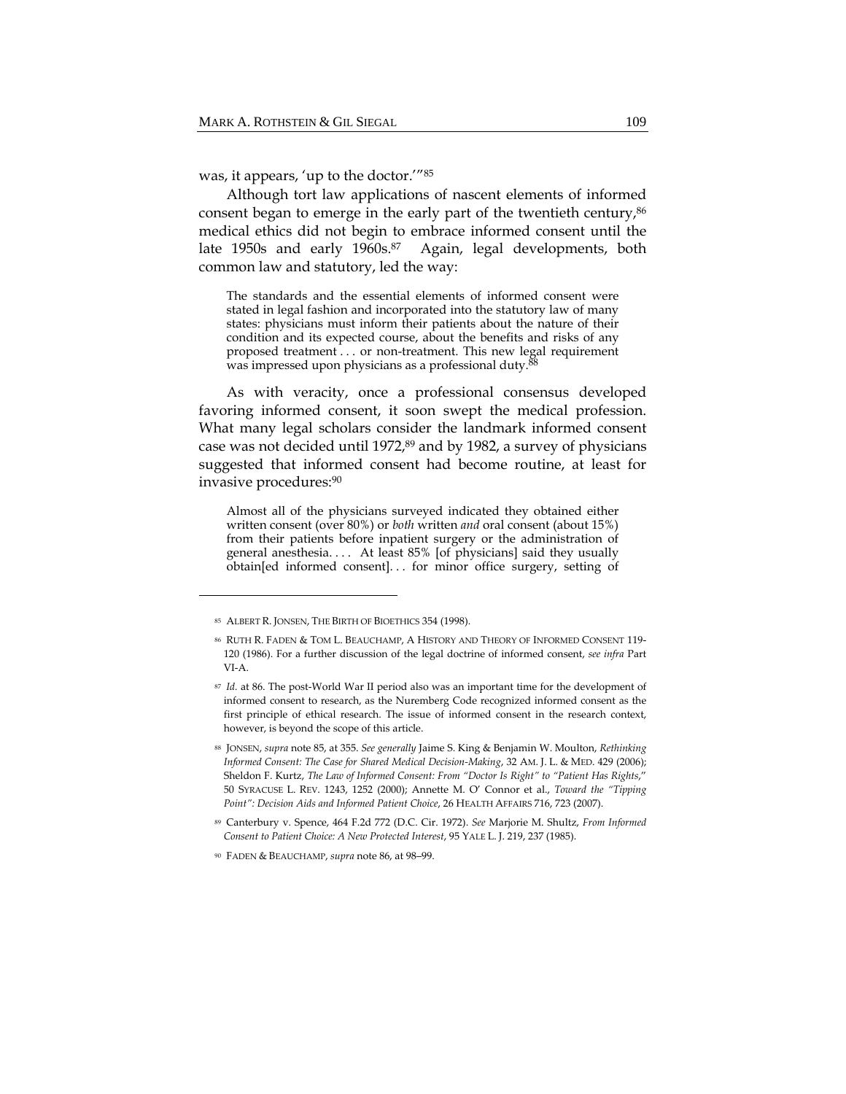was, it appears, 'up to the doctor.'"85

Although tort law applications of nascent elements of informed consent began to emerge in the early part of the twentieth century, 86 medical ethics did not begin to embrace informed consent until the late 1950s and early 1960s.<sup>87</sup> Again, legal developments, both common law and statutory, led the way:

The standards and the essential elements of informed consent were stated in legal fashion and incorporated into the statutory law of many states: physicians must inform their patients about the nature of their condition and its expected course, about the benefits and risks of any proposed treatment . . . or non-treatment. This new legal requirement was impressed upon physicians as a professional duty.<sup>88</sup>

As with veracity, once a professional consensus developed favoring informed consent, it soon swept the medical profession. What many legal scholars consider the landmark informed consent case was not decided until 1972,89 and by 1982, a survey of physicians suggested that informed consent had become routine, at least for invasive procedures:90

Almost all of the physicians surveyed indicated they obtained either written consent (over 80%) or *both* written *and* oral consent (about 15%) from their patients before inpatient surgery or the administration of general anesthesia. . . . At least 85% [of physicians] said they usually obtain[ed informed consent]. . . for minor office surgery, setting of

<sup>85</sup> ALBERT R. JONSEN, THE BIRTH OF BIOETHICS 354 (1998).

<sup>86</sup> RUTH R. FADEN & TOM L. BEAUCHAMP, A HISTORY AND THEORY OF INFORMED CONSENT 119‐ 120 (1986). For a further discussion of the legal doctrine of informed consent, *see infra* Part VI‐A.

<sup>87</sup> *Id.* at 86. The post‐World War II period also was an important time for the development of informed consent to research, as the Nuremberg Code recognized informed consent as the first principle of ethical research. The issue of informed consent in the research context, however, is beyond the scope of this article.

<sup>88</sup> JONSEN, *supra* note 85, at 355. *See generally* Jaime S. King & Benjamin W. Moulton, *Rethinking Informed Consent: The Case for Shared Medical Decision‐Making*, 32 AM. J. L. & MED. 429 (2006); Sheldon F. Kurtz, *The Law of Informed Consent: From "Doctor Is Right" to "Patient Has Rights*," 50 SYRACUSE L. REV. 1243, 1252 (2000); Annette M. O' Connor et al., *Toward the "Tipping Point": Decision Aids and Informed Patient Choice*, 26 HEALTH AFFAIRS 716, 723 (2007).

<sup>89</sup> Canterbury v. Spence, 464 F.2d 772 (D.C. Cir. 1972). *See* Marjorie M. Shultz, *From Informed Consent to Patient Choice: A New Protected Interest*, 95 YALE L. J. 219, 237 (1985).

<sup>90</sup> FADEN & BEAUCHAMP, *supra* note 86, at 98–99.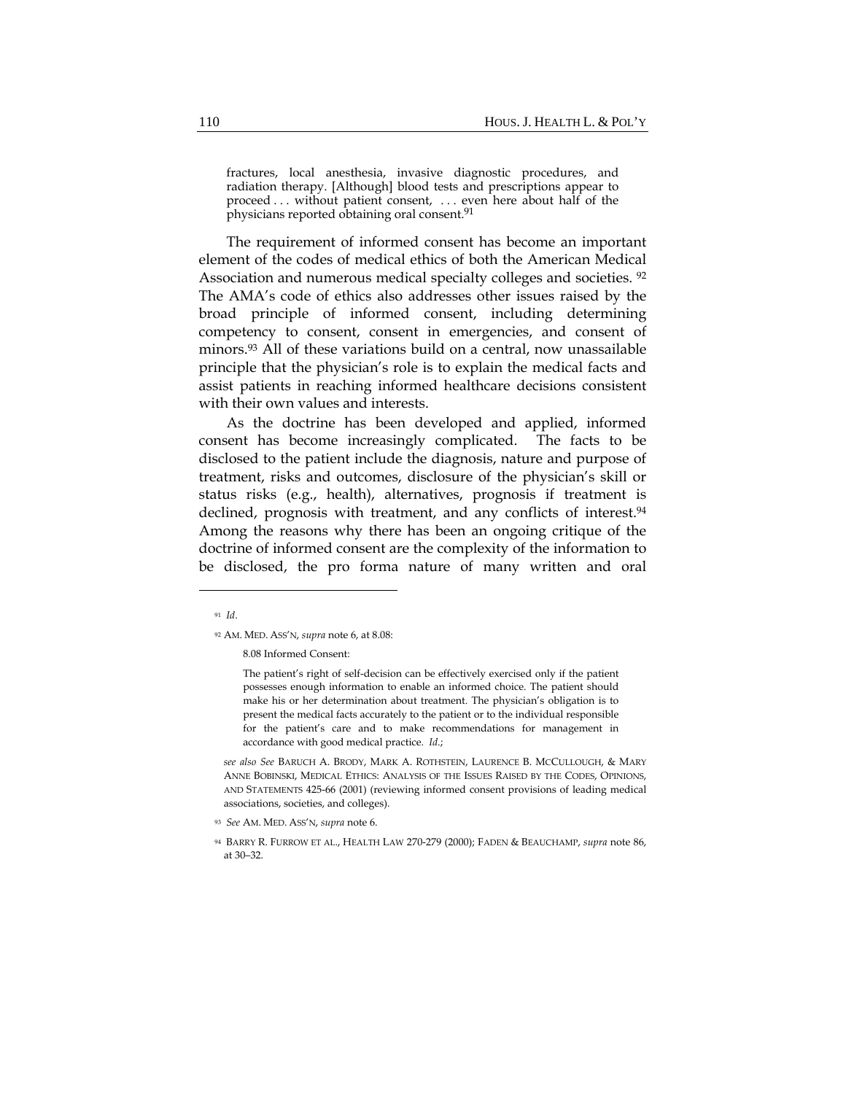fractures, local anesthesia, invasive diagnostic procedures, and radiation therapy. [Although] blood tests and prescriptions appear to proceed . . . without patient consent, . . . even here about half of the physicians reported obtaining oral consent.91

The requirement of informed consent has become an important element of the codes of medical ethics of both the American Medical Association and numerous medical specialty colleges and societies. 92 The AMA's code of ethics also addresses other issues raised by the broad principle of informed consent, including determining competency to consent, consent in emergencies, and consent of minors.93 All of these variations build on a central, now unassailable principle that the physician's role is to explain the medical facts and assist patients in reaching informed healthcare decisions consistent with their own values and interests.

As the doctrine has been developed and applied, informed consent has become increasingly complicated. The facts to be disclosed to the patient include the diagnosis, nature and purpose of treatment, risks and outcomes, disclosure of the physician's skill or status risks (e.g., health), alternatives, prognosis if treatment is declined, prognosis with treatment, and any conflicts of interest.<sup>94</sup> Among the reasons why there has been an ongoing critique of the doctrine of informed consent are the complexity of the information to be disclosed, the pro forma nature of many written and oral

8.08 Informed Consent:

The patient's right of self-decision can be effectively exercised only if the patient possesses enough information to enable an informed choice. The patient should make his or her determination about treatment. The physician's obligation is to present the medical facts accurately to the patient or to the individual responsible for the patient's care and to make recommendations for management in accordance with good medical practice. *Id*.;

*see also See* BARUCH A. BRODY, MARK A. ROTHSTEIN, LAURENCE B. MCCULLOUGH, & MARY ANNE BOBINSKI, MEDICAL ETHICS: ANALYSIS OF THE ISSUES RAISED BY THE CODES, OPINIONS, AND STATEMENTS 425‐66 (2001) (reviewing informed consent provisions of leading medical associations, societies, and colleges).

<sup>93</sup> *See* AM. MED. ASS'N, *supra* note 6.

<sup>91</sup> *Id*.

<sup>92</sup> AM. MED. ASS'N, *supra* note 6, at 8.08:

<sup>94</sup> BARRY R. FURROW ET AL., HEALTH LAW 270‐279 (2000); FADEN & BEAUCHAMP, *supra* note 86, at 30–32.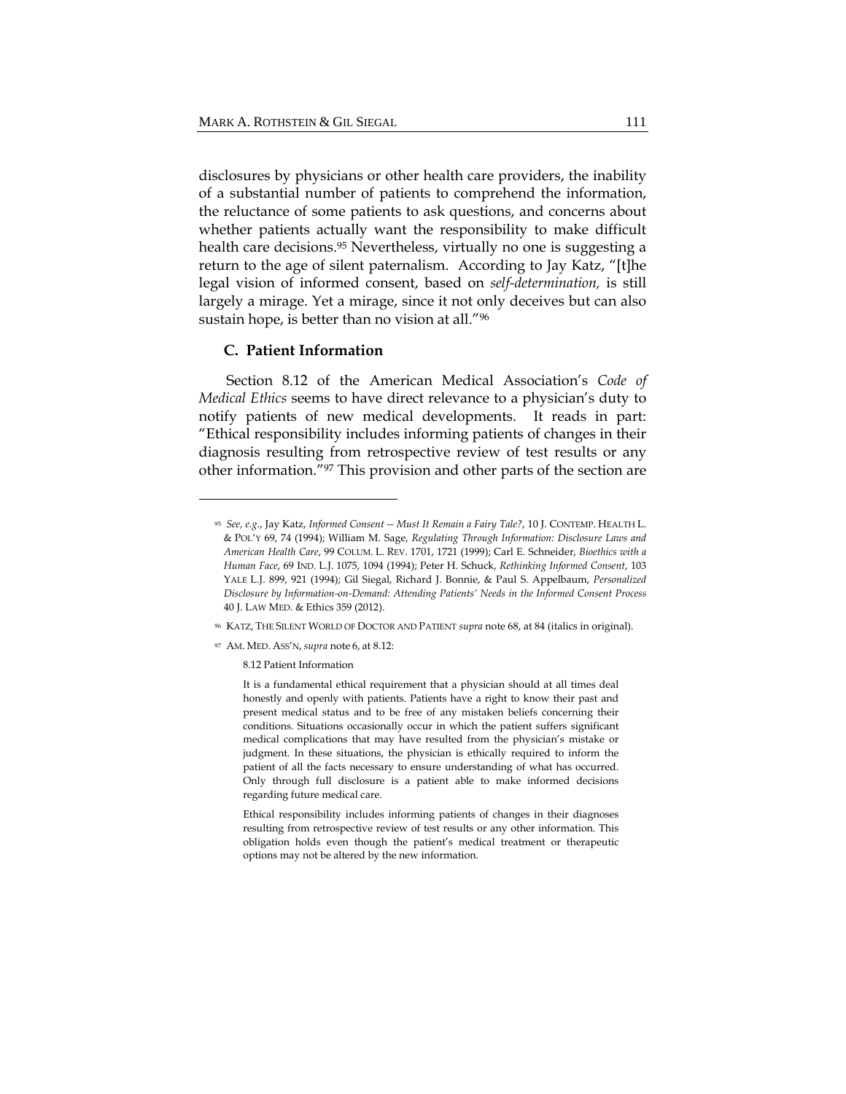disclosures by physicians or other health care providers, the inability of a substantial number of patients to comprehend the information, the reluctance of some patients to ask questions, and concerns about whether patients actually want the responsibility to make difficult health care decisions.<sup>95</sup> Nevertheless, virtually no one is suggesting a return to the age of silent paternalism. According to Jay Katz, "[t]he legal vision of informed consent, based on *self-determination,* is still largely a mirage. Yet a mirage, since it not only deceives but can also sustain hope, is better than no vision at all."96

#### **C. Patient Information**

Section 8.12 of the American Medical Association's *Code of Medical Ethics* seems to have direct relevance to a physician's duty to notify patients of new medical developments. It reads in part: "Ethical responsibility includes informing patients of changes in their diagnosis resulting from retrospective review of test results or any other information."97 This provision and other parts of the section are

<sup>96</sup> KATZ, THE SILENT WORLD OF DOCTOR AND PATIENT *supra* note 68, at 84 (italics in original).

<sup>97</sup> AM. MED. ASS'N, *supra* note 6, at 8.12:

8.12 Patient Information

It is a fundamental ethical requirement that a physician should at all times deal honestly and openly with patients. Patients have a right to know their past and present medical status and to be free of any mistaken beliefs concerning their conditions. Situations occasionally occur in which the patient suffers significant medical complications that may have resulted from the physician's mistake or judgment. In these situations, the physician is ethically required to inform the patient of all the facts necessary to ensure understanding of what has occurred. Only through full disclosure is a patient able to make informed decisions regarding future medical care.

Ethical responsibility includes informing patients of changes in their diagnoses resulting from retrospective review of test results or any other information. This obligation holds even though the patient's medical treatment or therapeutic options may not be altered by the new information.

<sup>95</sup> *See, e.g*., Jay Katz, *Informed Consent ‐‐ Must It Remain a Fairy Tale?*, 10 J. CONTEMP. HEALTH L. & POL'Y 69, 74 (1994); William M. Sage, *Regulating Through Information: Disclosure Laws and American Health Care*, 99 COLUM. L. REV. 1701, 1721 (1999); Carl E. Schneider, *Bioethics with a Human Face*, 69 IND. L.J. 1075, 1094 (1994); Peter H. Schuck, *Rethinking Informed Consent*, 103 YALE L.J. 899, 921 (1994); Gil Siegal, Richard J. Bonnie, & Paul S. Appelbaum, *Personalized Disclosure by Information‐on‐Demand: Attending Patients' Needs in the Informed Consent Process* 40 J. LAW MED. & Ethics 359 (2012).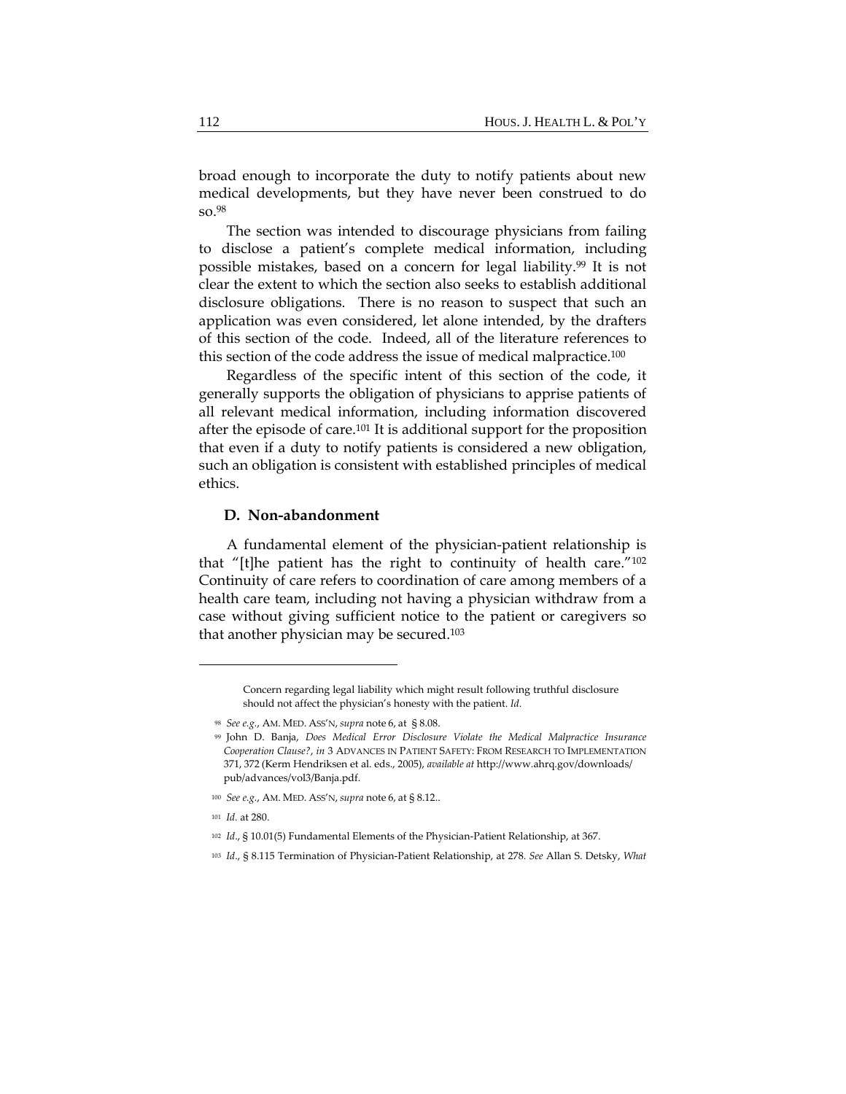broad enough to incorporate the duty to notify patients about new medical developments, but they have never been construed to do so.98

The section was intended to discourage physicians from failing to disclose a patient's complete medical information, including possible mistakes, based on a concern for legal liability.99 It is not clear the extent to which the section also seeks to establish additional disclosure obligations. There is no reason to suspect that such an application was even considered, let alone intended, by the drafters of this section of the code. Indeed, all of the literature references to this section of the code address the issue of medical malpractice.100

Regardless of the specific intent of this section of the code, it generally supports the obligation of physicians to apprise patients of all relevant medical information, including information discovered after the episode of care.101 It is additional support for the proposition that even if a duty to notify patients is considered a new obligation, such an obligation is consistent with established principles of medical ethics.

#### **D. Non-abandonment**

A fundamental element of the physician-patient relationship is that "[t]he patient has the right to continuity of health care."102 Continuity of care refers to coordination of care among members of a health care team, including not having a physician withdraw from a case without giving sufficient notice to the patient or caregivers so that another physician may be secured.103

- <sup>100</sup> *See e.g.*, AM. MED. ASS'N, *supra* note 6, at § 8.12..
- <sup>101</sup> *Id.* at 280.

Concern regarding legal liability which might result following truthful disclosure should not affect the physician's honesty with the patient. *Id*.

<sup>98</sup> *See e.g.*, AM. MED. ASS'N, *supra* note 6, at § 8.08.

<sup>99</sup> John D. Banja, *Does Medical Error Disclosure Violate the Medical Malpractice Insurance Cooperation Clause?*, *in* 3 ADVANCES IN PATIENT SAFETY: FROM RESEARCH TO IMPLEMENTATION 371, 372 (Kerm Hendriksen et al. eds., 2005), *available at* http://www.ahrq.gov/downloads/ pub/advances/vol3/Banja.pdf.

<sup>102</sup> *Id.*, § 10.01(5) Fundamental Elements of the Physician-Patient Relationship, at 367.

<sup>103</sup> *Id*., § 8.115 Termination of Physician‐Patient Relationship, at 278. *See* Allan S. Detsky, *What*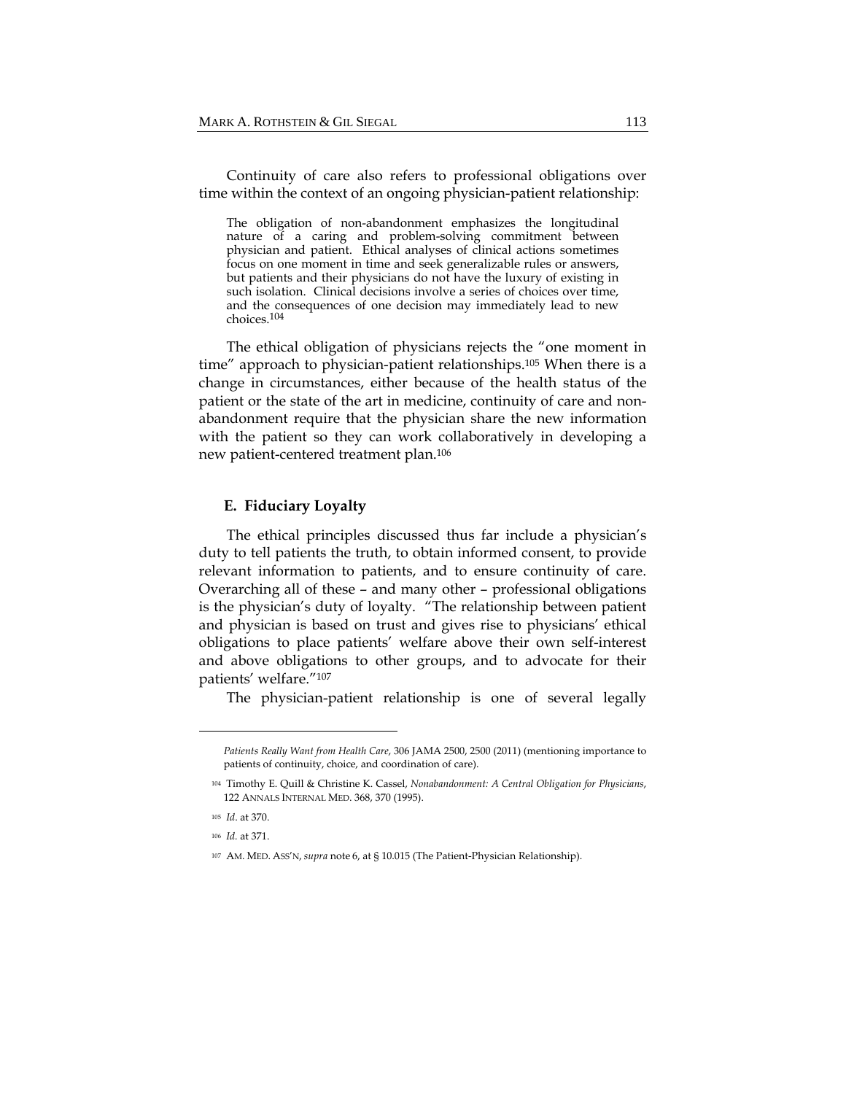Continuity of care also refers to professional obligations over time within the context of an ongoing physician-patient relationship:

The obligation of non-abandonment emphasizes the longitudinal nature of a caring and problem-solving commitment between physician and patient. Ethical analyses of clinical actions sometimes focus on one moment in time and seek generalizable rules or answers, but patients and their physicians do not have the luxury of existing in such isolation. Clinical decisions involve a series of choices over time, and the consequences of one decision may immediately lead to new choices.104

The ethical obligation of physicians rejects the "one moment in time" approach to physician-patient relationships.105 When there is a change in circumstances, either because of the health status of the patient or the state of the art in medicine, continuity of care and nonabandonment require that the physician share the new information with the patient so they can work collaboratively in developing a new patient-centered treatment plan.106

#### **E. Fiduciary Loyalty**

The ethical principles discussed thus far include a physician's duty to tell patients the truth, to obtain informed consent, to provide relevant information to patients, and to ensure continuity of care. Overarching all of these – and many other – professional obligations is the physician's duty of loyalty. "The relationship between patient and physician is based on trust and gives rise to physicians' ethical obligations to place patients' welfare above their own self-interest and above obligations to other groups, and to advocate for their patients' welfare."107

The physician-patient relationship is one of several legally

*Patients Really Want from Health Care*, 306 JAMA 2500, 2500 (2011) (mentioning importance to patients of continuity, choice, and coordination of care).

<sup>104</sup> Timothy E. Quill & Christine K. Cassel, *Nonabandonment: A Central Obligation for Physicians*, 122 ANNALS INTERNAL MED. 368, 370 (1995).

<sup>105</sup> *Id*. at 370.

<sup>106</sup> *Id.* at 371.

<sup>107</sup> AM. MED. ASS'N, *supra* note 6, at § 10.015 (The Patient‐Physician Relationship).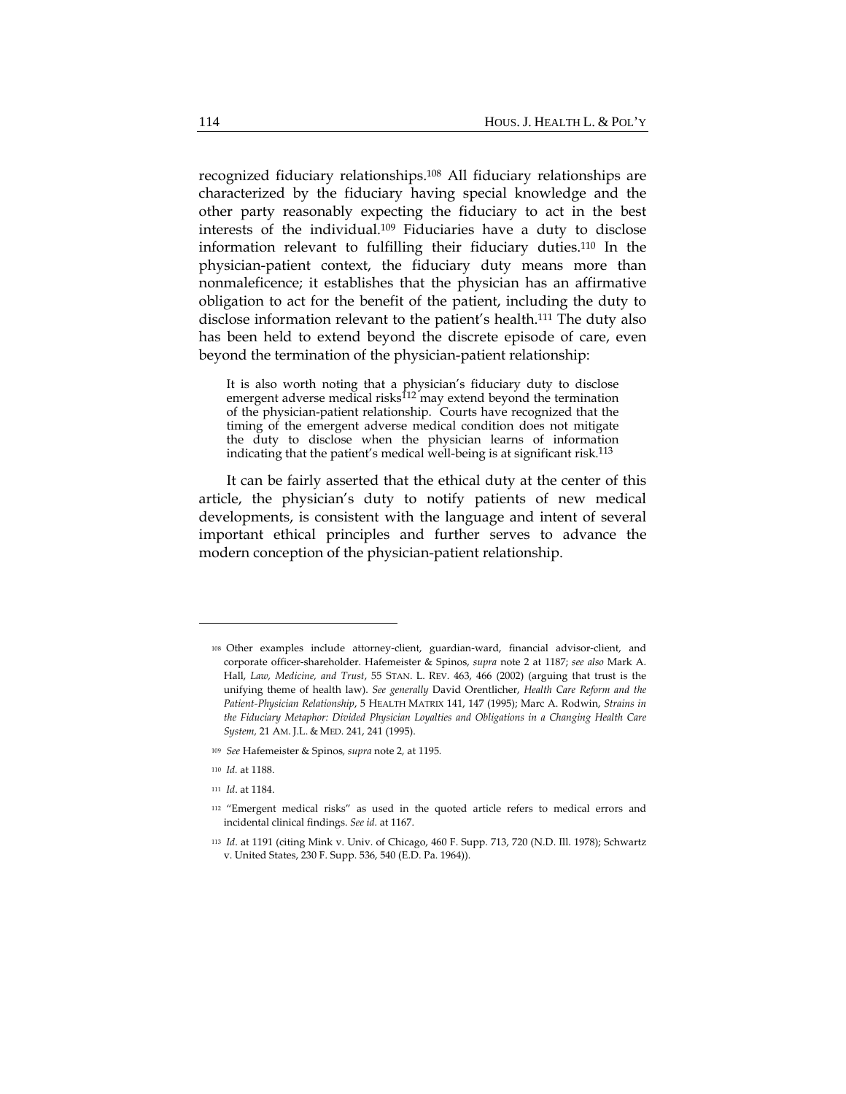recognized fiduciary relationships.108 All fiduciary relationships are characterized by the fiduciary having special knowledge and the other party reasonably expecting the fiduciary to act in the best interests of the individual.109 Fiduciaries have a duty to disclose information relevant to fulfilling their fiduciary duties.110 In the physician-patient context, the fiduciary duty means more than nonmaleficence; it establishes that the physician has an affirmative obligation to act for the benefit of the patient, including the duty to disclose information relevant to the patient's health.111 The duty also has been held to extend beyond the discrete episode of care, even beyond the termination of the physician-patient relationship:

It is also worth noting that a physician's fiduciary duty to disclose emergent adverse medical risks<sup>112</sup> may extend beyond the termination of the physician-patient relationship. Courts have recognized that the timing of the emergent adverse medical condition does not mitigate the duty to disclose when the physician learns of information indicating that the patient's medical well-being is at significant risk.113

It can be fairly asserted that the ethical duty at the center of this article, the physician's duty to notify patients of new medical developments, is consistent with the language and intent of several important ethical principles and further serves to advance the modern conception of the physician-patient relationship.

- <sup>109</sup> *See* Hafemeister & Spinos*, supra* note 2*,* at 1195*.*
- <sup>110</sup> *Id.* at 1188.
- <sup>111</sup> *Id*. at 1184.

<sup>108</sup> Other examples include attorney‐client, guardian‐ward, financial advisor‐client, and corporate officer‐shareholder. Hafemeister & Spinos, *supra* note 2 at 1187; *see also* Mark A. Hall, *Law, Medicine, and Trust*, 55 STAN. L. REV. 463, 466 (2002) (arguing that trust is the unifying theme of health law). *See generally* David Orentlicher, *Health Care Reform and the Patient‐Physician Relationship*, 5 HEALTH MATRIX 141, 147 (1995); Marc A. Rodwin, *Strains in the Fiduciary Metaphor: Divided Physician Loyalties and Obligations in a Changing Health Care System,* 21 AM. J.L. & MED. 241, 241 (1995).

<sup>112</sup> "Emergent medical risks" as used in the quoted article refers to medical errors and incidental clinical findings. *See id.* at 1167.

<sup>113</sup> *Id*. at 1191 (citing Mink v. Univ. of Chicago, 460 F. Supp. 713, 720 (N.D. Ill. 1978); Schwartz v. United States, 230 F. Supp. 536, 540 (E.D. Pa. 1964)).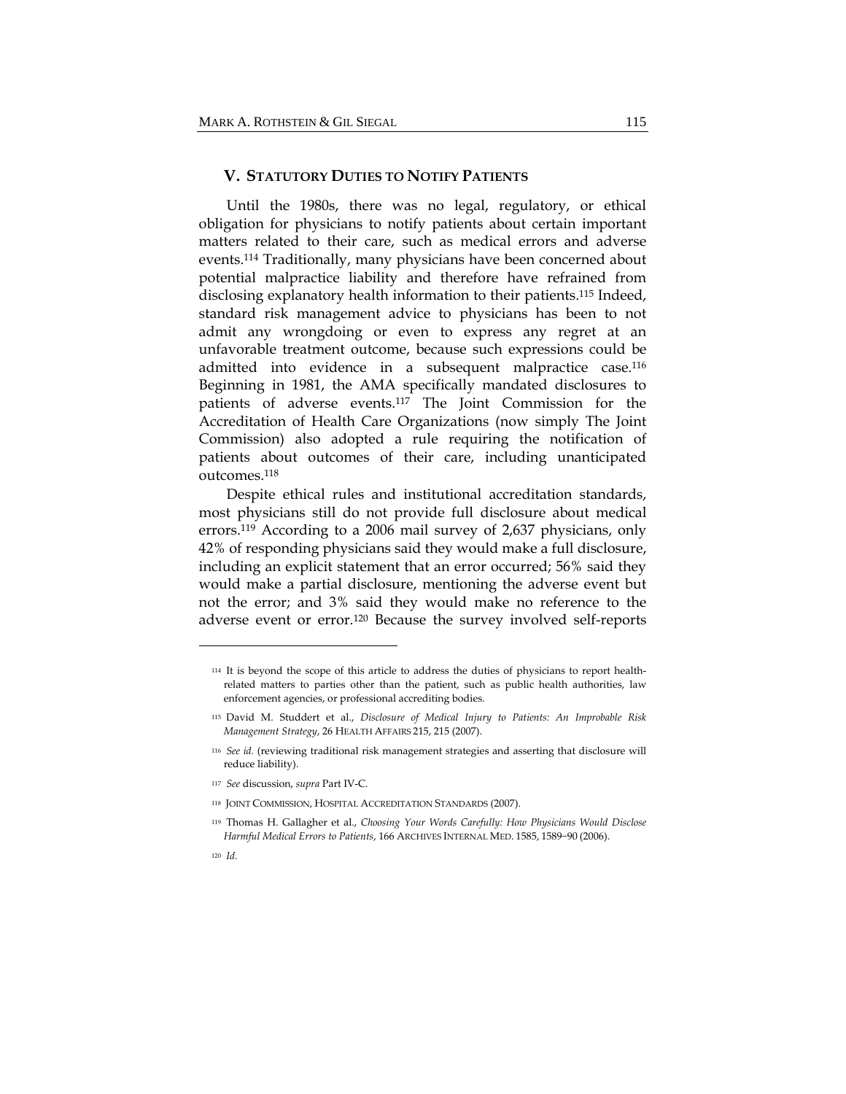#### **V. STATUTORY DUTIES TO NOTIFY PATIENTS**

Until the 1980s, there was no legal, regulatory, or ethical obligation for physicians to notify patients about certain important matters related to their care, such as medical errors and adverse events.114 Traditionally, many physicians have been concerned about potential malpractice liability and therefore have refrained from disclosing explanatory health information to their patients.115 Indeed, standard risk management advice to physicians has been to not admit any wrongdoing or even to express any regret at an unfavorable treatment outcome, because such expressions could be admitted into evidence in a subsequent malpractice case.116 Beginning in 1981, the AMA specifically mandated disclosures to patients of adverse events.117 The Joint Commission for the Accreditation of Health Care Organizations (now simply The Joint Commission) also adopted a rule requiring the notification of patients about outcomes of their care, including unanticipated outcomes.118

Despite ethical rules and institutional accreditation standards, most physicians still do not provide full disclosure about medical errors.119 According to a 2006 mail survey of 2,637 physicians, only 42% of responding physicians said they would make a full disclosure, including an explicit statement that an error occurred; 56% said they would make a partial disclosure, mentioning the adverse event but not the error; and 3% said they would make no reference to the adverse event or error.120 Because the survey involved self-reports

- <sup>117</sup> *See* discussion, *supra* Part IV‐C*.*
- <sup>118</sup> JOINT COMMISSION, HOSPITAL ACCREDITATION STANDARDS (2007).

120 *Id.*

<sup>114</sup> It is beyond the scope of this article to address the duties of physicians to report health‐ related matters to parties other than the patient, such as public health authorities, law enforcement agencies, or professional accrediting bodies.

<sup>115</sup> David M. Studdert et al., *Disclosure of Medical Injury to Patients: An Improbable Risk Management Strategy*, 26 HEALTH AFFAIRS 215, 215 (2007).

<sup>116</sup> *See id.* (reviewing traditional risk management strategies and asserting that disclosure will reduce liability).

<sup>119</sup> Thomas H. Gallagher et al., *Choosing Your Words Carefully: How Physicians Would Disclose Harmful Medical Errors to Patients*, 166 ARCHIVES INTERNAL MED. 1585, 1589−90 (2006).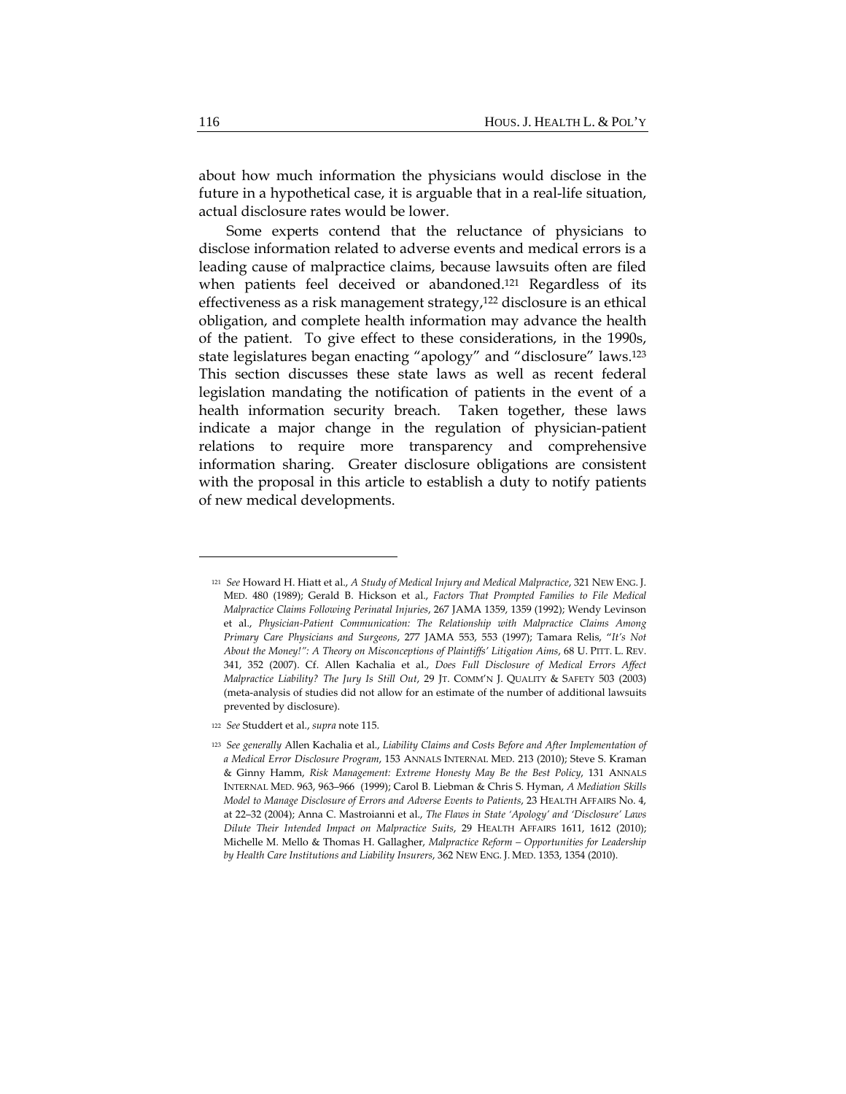about how much information the physicians would disclose in the future in a hypothetical case, it is arguable that in a real-life situation, actual disclosure rates would be lower.

Some experts contend that the reluctance of physicians to disclose information related to adverse events and medical errors is a leading cause of malpractice claims, because lawsuits often are filed when patients feel deceived or abandoned.<sup>121</sup> Regardless of its effectiveness as a risk management strategy,122 disclosure is an ethical obligation, and complete health information may advance the health of the patient. To give effect to these considerations, in the 1990s, state legislatures began enacting "apology" and "disclosure" laws.123 This section discusses these state laws as well as recent federal legislation mandating the notification of patients in the event of a health information security breach. Taken together, these laws indicate a major change in the regulation of physician-patient relations to require more transparency and comprehensive information sharing. Greater disclosure obligations are consistent with the proposal in this article to establish a duty to notify patients of new medical developments.

<sup>121</sup> *See* Howard H. Hiatt et al., *A Study of Medical Injury and Medical Malpractice*, 321 NEW ENG. J. MED. 480 (1989); Gerald B. Hickson et al., *Factors That Prompted Families to File Medical Malpractice Claims Following Perinatal Injuries*, 267 JAMA 1359, 1359 (1992); Wendy Levinson et al., *Physician‐Patient Communication: The Relationship with Malpractice Claims Among Primary Care Physicians and Surgeons*, 277 JAMA 553, 553 (1997); Tamara Relis, "*It's Not About the Money!": A Theory on Misconceptions of Plaintiffs' Litigation Aims*, 68 U. PITT. L. REV. 341, 352 (2007). Cf. Allen Kachalia et al., *Does Full Disclosure of Medical Errors Affect Malpractice Liability? The Jury Is Still Out*, 29 JT. COMM'N J. QUALITY & SAFETY 503 (2003) (meta‐analysis of studies did not allow for an estimate of the number of additional lawsuits prevented by disclosure).

<sup>122</sup> *See* Studdert et al., *supra* note 115.

<sup>123</sup> *See generally* Allen Kachalia et al., *Liability Claims and Costs Before and After Implementation of a Medical Error Disclosure Program*, 153 ANNALS INTERNAL MED. 213 (2010); Steve S. Kraman & Ginny Hamm, *Risk Management: Extreme Honesty May Be the Best Policy*, 131 ANNALS INTERNAL MED. 963, 963–966 (1999); Carol B. Liebman & Chris S. Hyman, *A Mediation Skills Model to Manage Disclosure of Errors and Adverse Events to Patients*, 23 HEALTH AFFAIRS No. 4, at 22–32 (2004); Anna C. Mastroianni et al., *The Flaws in State 'Apology' and 'Disclosure' Laws Dilute Their Intended Impact on Malpractice Suits*, 29 HEALTH AFFAIRS 1611, 1612 (2010); Michelle M. Mello & Thomas H. Gallagher, *Malpractice Reform – Opportunities for Leadership by Health Care Institutions and Liability Insurers*, 362 NEW ENG. J. MED. 1353, 1354 (2010).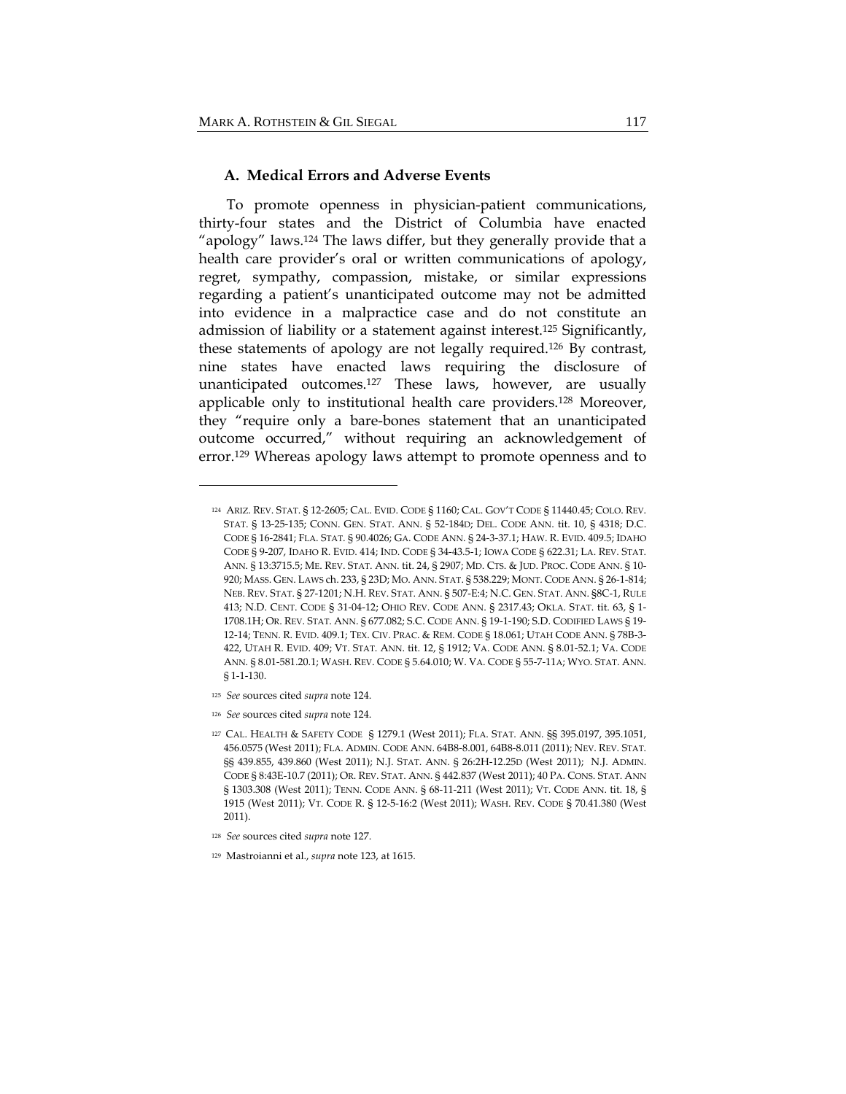## **A. Medical Errors and Adverse Events**

To promote openness in physician-patient communications, thirty-four states and the District of Columbia have enacted "apology" laws.124 The laws differ, but they generally provide that a health care provider's oral or written communications of apology, regret, sympathy, compassion, mistake, or similar expressions regarding a patient's unanticipated outcome may not be admitted into evidence in a malpractice case and do not constitute an admission of liability or a statement against interest.125 Significantly, these statements of apology are not legally required.126 By contrast, nine states have enacted laws requiring the disclosure of unanticipated outcomes.127 These laws, however, are usually applicable only to institutional health care providers.128 Moreover, they "require only a bare-bones statement that an unanticipated outcome occurred," without requiring an acknowledgement of error.129 Whereas apology laws attempt to promote openness and to

- <sup>125</sup> *See* sources cited *supra* note 124.
- <sup>126</sup> *See* sources cited *supra* note 124.

<sup>124</sup> ARIZ. REV. STAT. § 12‐2605; CAL. EVID. CODE § 1160; CAL. GOV'T CODE § 11440.45; COLO. REV. STAT. § 13‐25‐135; CONN. GEN. STAT. ANN. § 52‐184D; DEL. CODE ANN. tit. 10, § 4318; D.C. CODE § 16‐2841; FLA. STAT. § 90.4026; GA. CODE ANN. § 24‐3‐37.1; HAW. R. EVID. 409.5; IDAHO CODE § 9‐207, IDAHO R. EVID. 414; IND. CODE § 34‐43.5‐1; IOWA CODE § 622.31; LA. REV. STAT. ANN. § 13:3715.5; ME. REV. STAT. ANN. tit. 24, § 2907; MD. CTS. & JUD. PROC. CODE ANN. § 10‐ 920; MASS. GEN. LAWS ch. 233, § 23D; MO. ANN. STAT. § 538.229; MONT. CODE ANN. § 26‐1‐814; NEB. REV. STAT. § 27‐1201; N.H. REV. STAT. ANN. § 507‐E:4; N.C. GEN. STAT. ANN. §8C‐1, RULE 413; N.D. CENT. CODE § 31‐04‐12; OHIO REV. CODE ANN. § 2317.43; OKLA. STAT. tit. 63, § 1‐ 1708.1H; OR. REV. STAT. ANN. § 677.082; S.C. CODE ANN. § 19‐1‐190; S.D. CODIFIED LAWS § 19‐ 12‐14; TENN. R. EVID. 409.1; TEX. CIV. PRAC. & REM. CODE § 18.061; UTAH CODE ANN. § 78B‐3‐ 422, UTAH R. EVID. 409; VT. STAT. ANN. tit. 12, § 1912; VA. CODE ANN. § 8.01‐52.1; VA. CODE ANN. § 8.01‐581.20.1; WASH. REV. CODE § 5.64.010; W. VA. CODE § 55‐7‐11A; WYO. STAT. ANN. § 1‐1‐130.

<sup>127</sup> CAL. HEALTH & SAFETY CODE § 1279.1 (West 2011); FLA. STAT. ANN. §§ 395.0197, 395.1051, 456.0575 (West 2011); FLA. ADMIN. CODE ANN. 64B8‐8.001, 64B8‐8.011 (2011); NEV. REV. STAT. §§ 439.855, 439.860 (West 2011); N.J. STAT. ANN. § 26:2H-12.25D (West 2011); N.J. ADMIN. CODE § 8:43E‐10.7 (2011); OR. REV. STAT. ANN. § 442.837 (West 2011); 40 PA. CONS. STAT. ANN § 1303.308 (West 2011); TENN. CODE ANN. § 68-11-211 (West 2011); VT. CODE ANN. tit. 18, § 1915 (West 2011); VT. CODE R. § 12‐5‐16:2 (West 2011); WASH. REV. CODE § 70.41.380 (West 2011).

<sup>128</sup> *See* sources cited *supra* note 127.

<sup>129</sup> Mastroianni et al., *supra* note 123, at 1615.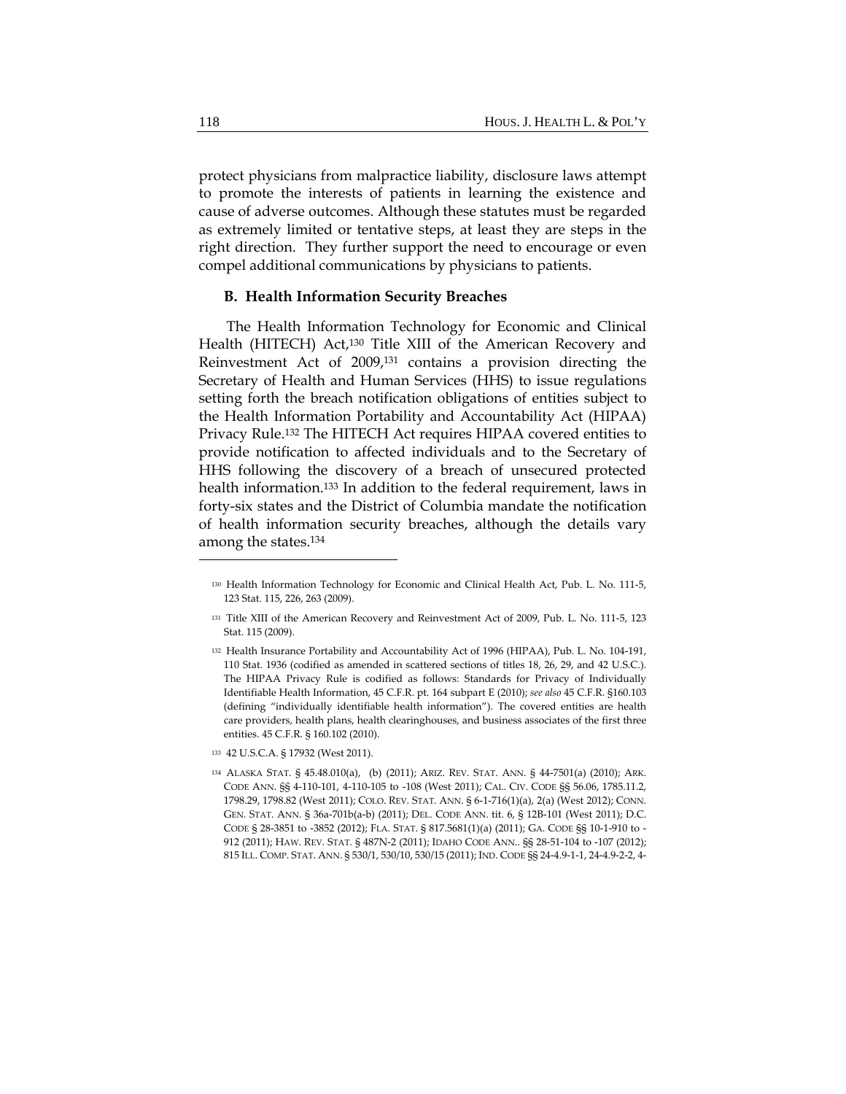protect physicians from malpractice liability, disclosure laws attempt to promote the interests of patients in learning the existence and cause of adverse outcomes. Although these statutes must be regarded as extremely limited or tentative steps, at least they are steps in the right direction. They further support the need to encourage or even compel additional communications by physicians to patients.

#### **B. Health Information Security Breaches**

The Health Information Technology for Economic and Clinical Health (HITECH) Act,<sup>130</sup> Title XIII of the American Recovery and Reinvestment Act of 2009,131 contains a provision directing the Secretary of Health and Human Services (HHS) to issue regulations setting forth the breach notification obligations of entities subject to the Health Information Portability and Accountability Act (HIPAA) Privacy Rule.132 The HITECH Act requires HIPAA covered entities to provide notification to affected individuals and to the Secretary of HHS following the discovery of a breach of unsecured protected health information.133 In addition to the federal requirement, laws in forty-six states and the District of Columbia mandate the notification of health information security breaches, although the details vary among the states.134

<sup>130</sup> Health Information Technology for Economic and Clinical Health Act, Pub. L. No. 111‐5, 123 Stat. 115, 226, 263 (2009).

<sup>131</sup> Title XIII of the American Recovery and Reinvestment Act of 2009, Pub. L. No. 111‐5, 123 Stat. 115 (2009).

<sup>132</sup> Health Insurance Portability and Accountability Act of 1996 (HIPAA), Pub. L. No. 104-191, 110 Stat. 1936 (codified as amended in scattered sections of titles 18, 26, 29, and 42 U.S.C.). The HIPAA Privacy Rule is codified as follows: Standards for Privacy of Individually Identifiable Health Information, 45 C.F.R. pt. 164 subpart E (2010); *see also* 45 C.F.R. §160.103 (defining "individually identifiable health information"). The covered entities are health care providers, health plans, health clearinghouses, and business associates of the first three entities. 45 C.F.R. § 160.102 (2010).

<sup>133</sup> 42 U.S.C.A. § 17932 (West 2011).

<sup>134</sup> ALASKA STAT. § 45.48.010(a), (b) (2011); ARIZ. REV. STAT. ANN. § 44‐7501(a) (2010); ARK. CODE ANN. §§ 4‐110‐101, 4‐110‐105 to ‐108 (West 2011); CAL. CIV. CODE §§ 56.06, 1785.11.2, 1798.29, 1798.82 (West 2011); COLO. REV. STAT. ANN. § 6‐1‐716(1)(a), 2(a) (West 2012); CONN. GEN. STAT. ANN. § 36a‐701b(a‐b) (2011); DEL. CODE ANN. tit. 6, § 12B‐101 (West 2011); D.C. CODE § 28‐3851 to ‐3852 (2012); FLA. STAT. § 817.5681(1)(a) (2011); GA. CODE §§ 10‐1‐910 to ‐ 912 (2011); HAW. REV. STAT. § 487N‐2 (2011); IDAHO CODE ANN.. §§ 28‐51‐104 to ‐107 (2012); 815 ILL. COMP. STAT. ANN. § 530/1, 530/10, 530/15 (2011); IND. CODE §§ 24‐4.9‐1‐1, 24‐4.9‐2‐2, 4‐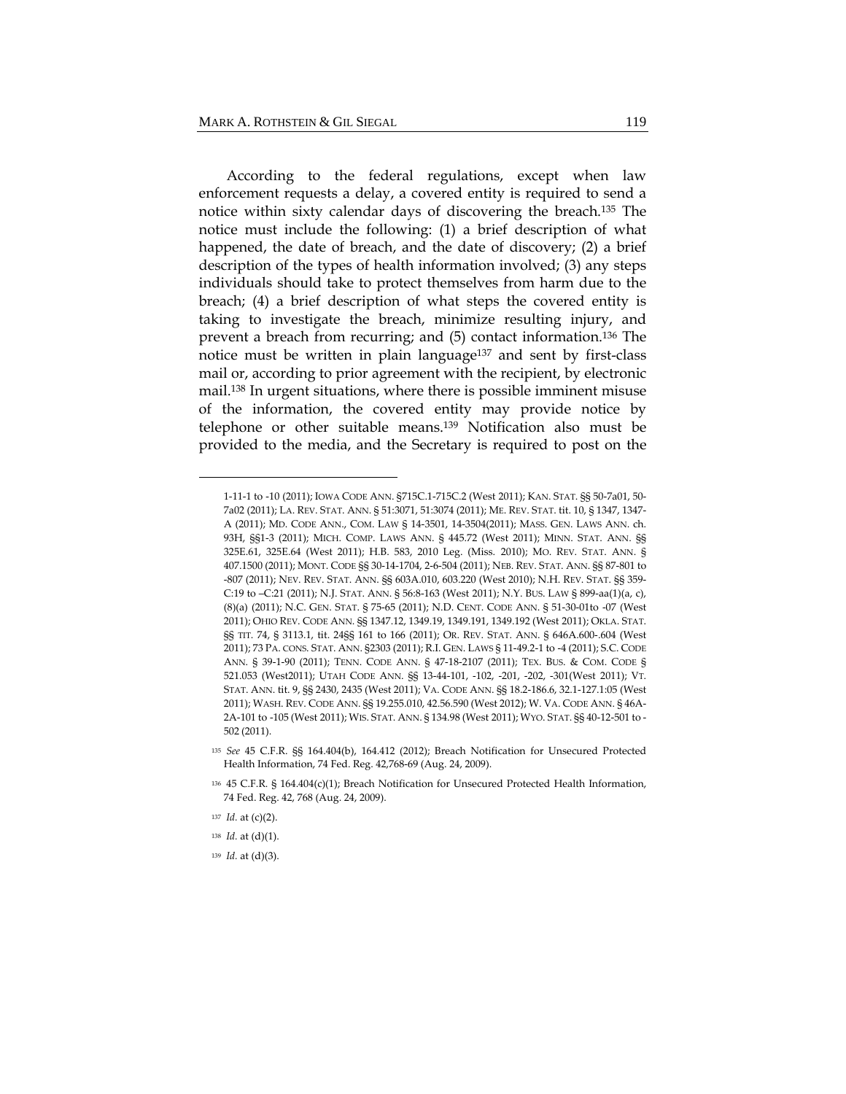According to the federal regulations, except when law enforcement requests a delay, a covered entity is required to send a notice within sixty calendar days of discovering the breach.135 The notice must include the following: (1) a brief description of what happened, the date of breach, and the date of discovery; (2) a brief description of the types of health information involved; (3) any steps individuals should take to protect themselves from harm due to the breach; (4) a brief description of what steps the covered entity is taking to investigate the breach, minimize resulting injury, and prevent a breach from recurring; and (5) contact information.136 The notice must be written in plain language137 and sent by first-class mail or, according to prior agreement with the recipient, by electronic mail.138 In urgent situations, where there is possible imminent misuse of the information, the covered entity may provide notice by telephone or other suitable means.139 Notification also must be provided to the media, and the Secretary is required to post on the

<sup>1</sup>‐11‐1 to ‐10 (2011); IOWA CODE ANN. §715C.1‐715C.2 (West 2011); KAN. STAT. §§ 50‐7a01, 50‐ 7a02 (2011); LA. REV. STAT. ANN. § 51:3071, 51:3074 (2011); ME. REV. STAT. tit. 10, § 1347, 1347‐ A (2011); MD. CODE ANN., COM. LAW § 14‐3501, 14‐3504(2011); MASS. GEN. LAWS ANN. ch. 93H, §§1‐3 (2011); MICH. COMP. LAWS ANN. § 445.72 (West 2011); MINN. STAT. ANN. §§ 325E.61, 325E.64 (West 2011); H.B. 583, 2010 Leg. (Miss. 2010); MO. REV. STAT. ANN. § 407.1500 (2011); MONT. CODE §§ 30‐14‐1704, 2‐6‐504 (2011); NEB. REV. STAT. ANN. §§ 87‐801 to ‐807 (2011); NEV. REV. STAT. ANN. §§ 603A.010, 603.220 (West 2010); N.H. REV. STAT. §§ 359‐ C:19 to –C:21 (2011); N.J. STAT. ANN. § 56:8‐163 (West 2011); N.Y. BUS. LAW § 899‐aa(1)(a, c), (8)(a) (2011); N.C. GEN. STAT. § 75‐65 (2011); N.D. CENT. CODE ANN. § 51‐30‐01to ‐07 (West 2011); OHIO REV. CODE ANN. §§ 1347.12, 1349.19, 1349.191, 1349.192 (West 2011); OKLA. STAT. §§ TIT. 74, § 3113.1, tit. 24§§ 161 to 166 (2011); OR. REV. STAT. ANN. § 646A.600-.604 (West 2011); 73 PA. CONS. STAT. ANN. §2303 (2011); R.I. GEN. LAWS § 11‐49.2‐1 to ‐4 (2011); S.C. CODE ANN. § 39‐1‐90 (2011); TENN. CODE ANN. § 47‐18‐2107 (2011); TEX. BUS. & COM. CODE § 521.053 (West2011); UTAH CODE ANN. §§ 13‐44‐101, ‐102, ‐201, ‐202, ‐301(West 2011); VT. STAT. ANN. tit. 9, §§ 2430, 2435 (West 2011); VA. CODE ANN. §§ 18.2‐186.6, 32.1‐127.1:05 (West 2011); WASH. REV. CODE ANN. §§ 19.255.010, 42.56.590 (West 2012); W. VA. CODE ANN. § 46A‐ 2A‐101 to ‐105 (West 2011); WIS. STAT. ANN. § 134.98 (West 2011); WYO. STAT. §§ 40‐12‐501 to ‐ 502 (2011).

<sup>135</sup> *See* 45 C.F.R. §§ 164.404(b), 164.412 (2012); Breach Notification for Unsecured Protected Health Information, 74 Fed. Reg. 42,768‐69 (Aug. 24, 2009).

<sup>136</sup> 45 C.F.R. § 164.404(c)(1); Breach Notification for Unsecured Protected Health Information, 74 Fed. Reg. 42, 768 (Aug. 24, 2009).

<sup>137</sup> *Id.* at (c)(2).

<sup>138</sup> *Id.* at (d)(1).

<sup>139</sup> *Id.* at (d)(3).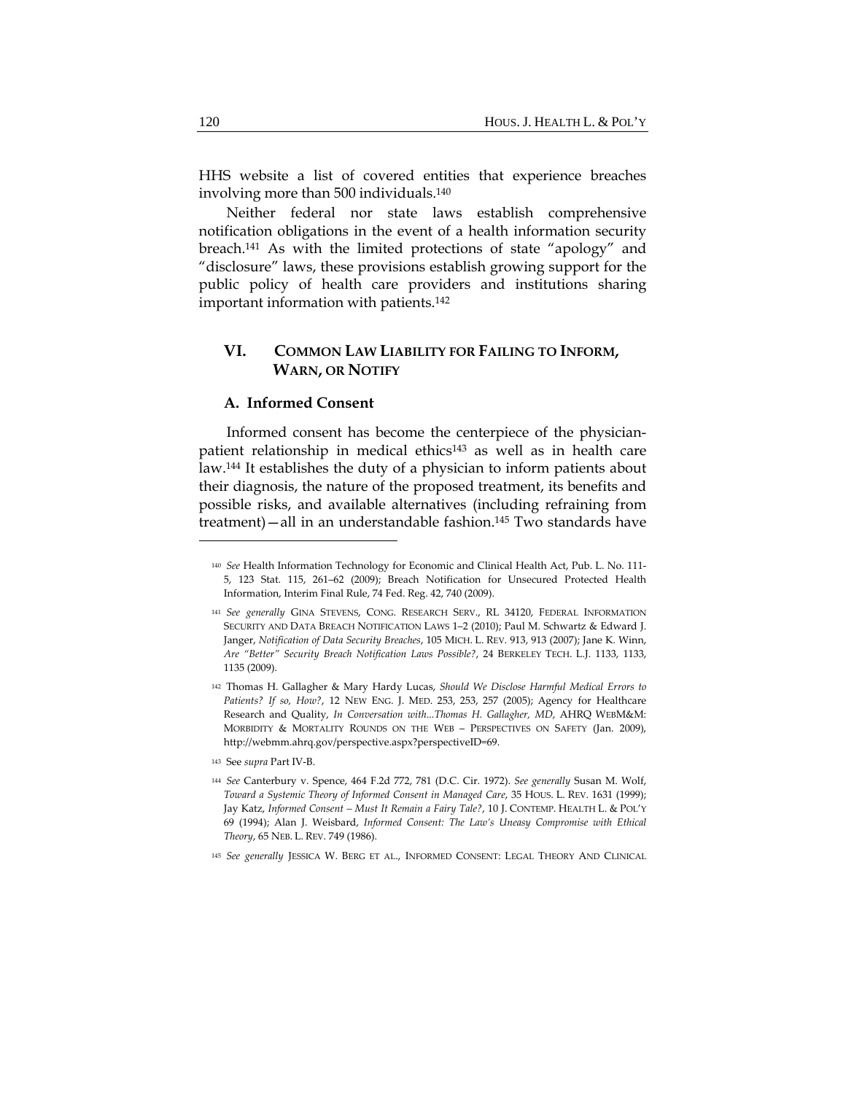HHS website a list of covered entities that experience breaches involving more than 500 individuals.140

Neither federal nor state laws establish comprehensive notification obligations in the event of a health information security breach.141 As with the limited protections of state "apology" and "disclosure" laws, these provisions establish growing support for the public policy of health care providers and institutions sharing important information with patients.142

# **VI. COMMON LAW LIABILITY FOR FAILING TO INFORM, WARN, OR NOTIFY**

# **A. Informed Consent**

Informed consent has become the centerpiece of the physicianpatient relationship in medical ethics143 as well as in health care law.144 It establishes the duty of a physician to inform patients about their diagnosis, the nature of the proposed treatment, its benefits and possible risks, and available alternatives (including refraining from treatment)—all in an understandable fashion.145 Two standards have

<sup>140</sup> *See* Health Information Technology for Economic and Clinical Health Act, Pub. L. No. 111‐ 5, 123 Stat. 115, 261–62 (2009); Breach Notification for Unsecured Protected Health Information, Interim Final Rule, 74 Fed. Reg. 42, 740 (2009).

<sup>141</sup> *See generally* GINA STEVENS, CONG. RESEARCH SERV., RL 34120, FEDERAL INFORMATION SECURITY AND DATA BREACH NOTIFICATION LAWS 1–2 (2010); Paul M. Schwartz & Edward J. Janger, *Notification of Data Security Breaches*, 105 MICH. L. REV. 913, 913 (2007); Jane K. Winn, *Are "Better" Security Breach Notification Laws Possible?*, 24 BERKELEY TECH. L.J. 1133, 1133, 1135 (2009).

<sup>142</sup> Thomas H. Gallagher & Mary Hardy Lucas, *Should We Disclose Harmful Medical Errors to Patients? If so, How?*, 12 NEW ENG. J. MED. 253, 253, 257 (2005); Agency for Healthcare Research and Quality, *In Conversation with...Thomas H. Gallagher, MD*, AHRQ WEBM&M: MORBIDITY & MORTALITY ROUNDS ON THE WEB – PERSPECTIVES ON SAFETY (Jan. 2009), http://webmm.ahrq.gov/perspective.aspx?perspectiveID=69.

<sup>143</sup> See *supra* Part IV‐B.

<sup>144</sup> *See* Canterbury v. Spence, 464 F.2d 772, 781 (D.C. Cir. 1972). *See generally* Susan M. Wolf, *Toward a Systemic Theory of Informed Consent in Managed Care*, 35 HOUS. L. REV. 1631 (1999); Jay Katz, *Informed Consent – Must It Remain a Fairy Tale?*, 10 J. CONTEMP. HEALTH L. & POL'Y 69 (1994); Alan J. Weisbard, *Informed Consent: The Law's Uneasy Compromise with Ethical Theory*, 65 NEB. L. REV. 749 (1986).

<sup>145</sup> *See generally* JESSICA W. BERG ET AL., INFORMED CONSENT: LEGAL THEORY AND CLINICAL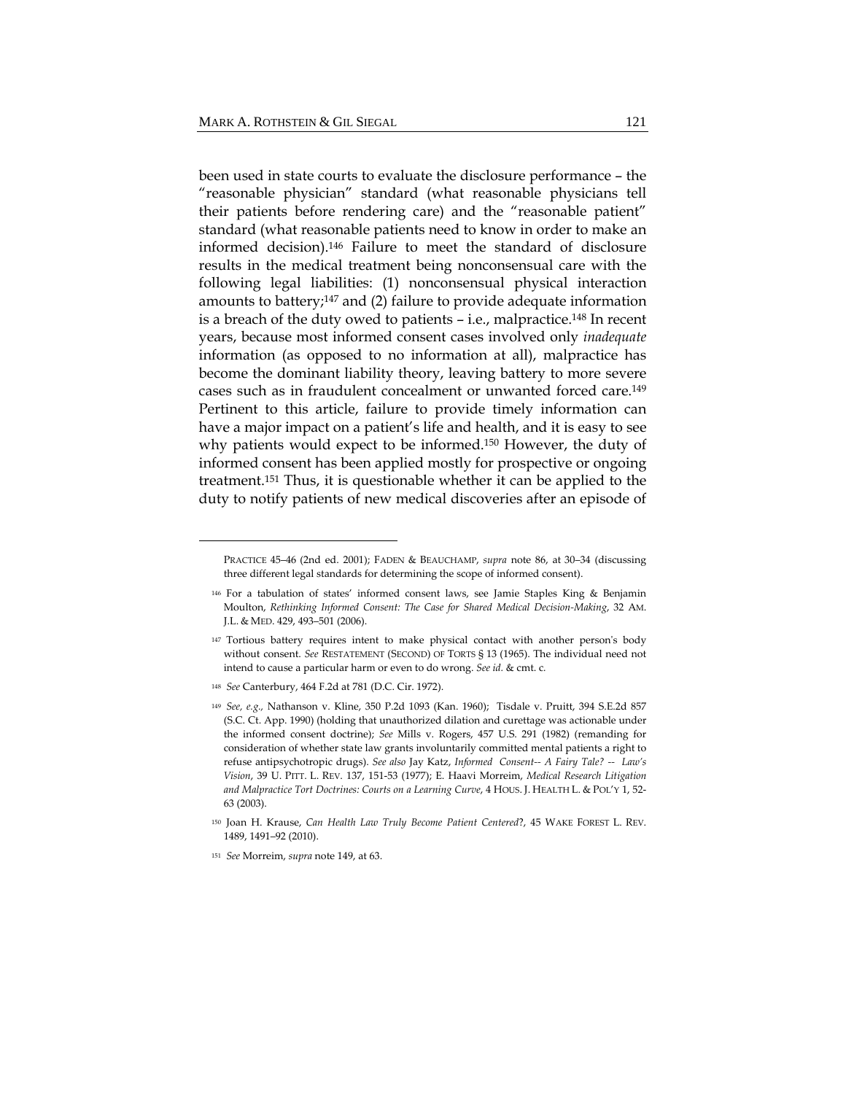been used in state courts to evaluate the disclosure performance – the "reasonable physician" standard (what reasonable physicians tell their patients before rendering care) and the "reasonable patient" standard (what reasonable patients need to know in order to make an informed decision).146 Failure to meet the standard of disclosure results in the medical treatment being nonconsensual care with the following legal liabilities: (1) nonconsensual physical interaction amounts to battery;147 and (2) failure to provide adequate information is a breach of the duty owed to patients – i.e., malpractice.148 In recent years, because most informed consent cases involved only *inadequate* information (as opposed to no information at all), malpractice has become the dominant liability theory, leaving battery to more severe cases such as in fraudulent concealment or unwanted forced care.149 Pertinent to this article, failure to provide timely information can have a major impact on a patient's life and health, and it is easy to see why patients would expect to be informed.<sup>150</sup> However, the duty of informed consent has been applied mostly for prospective or ongoing treatment.151 Thus, it is questionable whether it can be applied to the duty to notify patients of new medical discoveries after an episode of

<sup>148</sup> *See* Canterbury, 464 F.2d at 781 (D.C. Cir. 1972).

PRACTICE 45–46 (2nd ed. 2001); FADEN & BEAUCHAMP, *supra* note 86, at 30–34 (discussing three different legal standards for determining the scope of informed consent).

<sup>146</sup> For a tabulation of states' informed consent laws, see Jamie Staples King & Benjamin Moulton, *Rethinking Informed Consent: The Case for Shared Medical Decision‐Making*, 32 AM. J.L. & MED. 429, 493–501 (2006).

<sup>147</sup> Tortious battery requires intent to make physical contact with another person's body without consent. *See* RESTATEMENT (SECOND) OF TORTS § 13 (1965). The individual need not intend to cause a particular harm or even to do wrong. *See id.* & cmt. c*.*

<sup>149</sup> *See, e.g.,* Nathanson v. Kline, 350 P.2d 1093 (Kan. 1960); Tisdale v. Pruitt, 394 S.E.2d 857 (S.C. Ct. App. 1990) (holding that unauthorized dilation and curettage was actionable under the informed consent doctrine); *See* Mills v. Rogers, 457 U.S. 291 (1982) (remanding for consideration of whether state law grants involuntarily committed mental patients a right to refuse antipsychotropic drugs). *See also* Jay Katz, *Informed Consent‐‐ A Fairy Tale? ‐‐ Law's Vision*, 39 U. PITT. L. REV. 137, 151‐53 (1977); E. Haavi Morreim, *Medical Research Litigation and Malpractice Tort Doctrines: Courts on a Learning Curve*, 4 HOUS. J. HEALTH L. & POL'Y 1, 52‐ 63 (2003).

<sup>150</sup> Joan H. Krause, *Can Health Law Truly Become Patient Centered*?, 45 WAKE FOREST L. REV. 1489, 1491–92 (2010).

<sup>151</sup> *See* Morreim, *supra* note 149, at 63.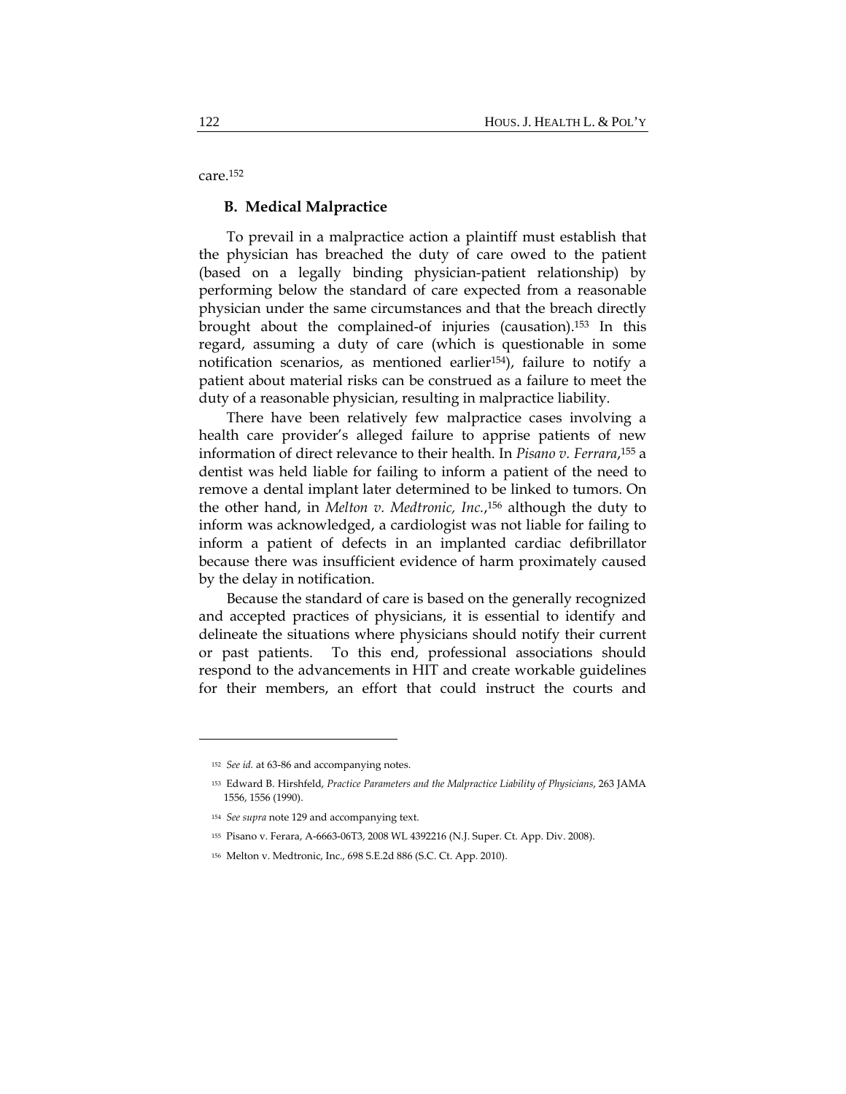care.152

#### **B. Medical Malpractice**

To prevail in a malpractice action a plaintiff must establish that the physician has breached the duty of care owed to the patient (based on a legally binding physician-patient relationship) by performing below the standard of care expected from a reasonable physician under the same circumstances and that the breach directly brought about the complained-of injuries (causation).153 In this regard, assuming a duty of care (which is questionable in some notification scenarios, as mentioned earlier<sup>154</sup>), failure to notify a patient about material risks can be construed as a failure to meet the duty of a reasonable physician, resulting in malpractice liability.

There have been relatively few malpractice cases involving a health care provider's alleged failure to apprise patients of new information of direct relevance to their health. In *Pisano v. Ferrara*,155 a dentist was held liable for failing to inform a patient of the need to remove a dental implant later determined to be linked to tumors. On the other hand, in *Melton v. Medtronic, Inc.*,156 although the duty to inform was acknowledged, a cardiologist was not liable for failing to inform a patient of defects in an implanted cardiac defibrillator because there was insufficient evidence of harm proximately caused by the delay in notification.

Because the standard of care is based on the generally recognized and accepted practices of physicians, it is essential to identify and delineate the situations where physicians should notify their current or past patients. To this end, professional associations should respond to the advancements in HIT and create workable guidelines for their members, an effort that could instruct the courts and

<sup>152</sup> *See id.* at 63‐86 and accompanying notes.

<sup>153</sup> Edward B. Hirshfeld, *Practice Parameters and the Malpractice Liability of Physicians*, 263 JAMA 1556, 1556 (1990).

<sup>154</sup> *See supra* note 129 and accompanying text.

<sup>155</sup> Pisano v. Ferara, A‐6663‐06T3, 2008 WL 4392216 (N.J. Super. Ct. App. Div. 2008).

<sup>156</sup> Melton v. Medtronic, Inc., 698 S.E.2d 886 (S.C. Ct. App. 2010).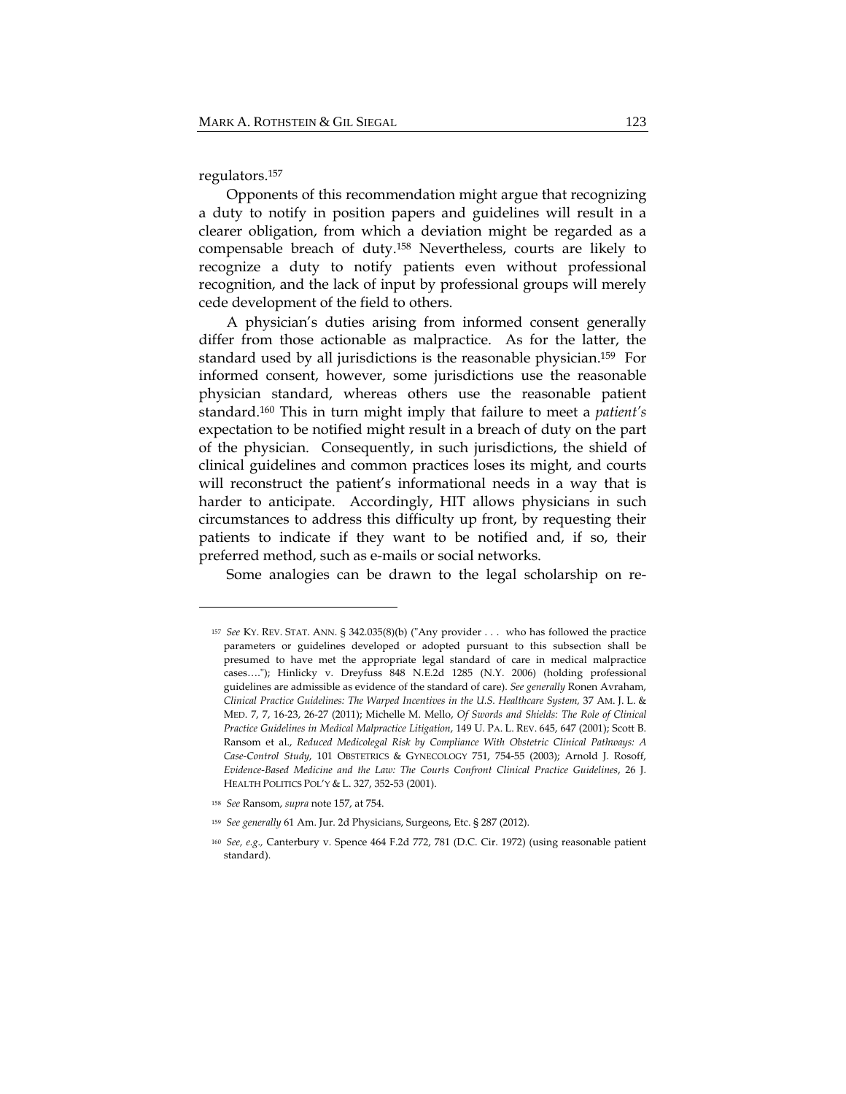regulators.157

Opponents of this recommendation might argue that recognizing a duty to notify in position papers and guidelines will result in a clearer obligation, from which a deviation might be regarded as a compensable breach of duty.158 Nevertheless, courts are likely to recognize a duty to notify patients even without professional recognition, and the lack of input by professional groups will merely cede development of the field to others.

A physician's duties arising from informed consent generally differ from those actionable as malpractice. As for the latter, the standard used by all jurisdictions is the reasonable physician.159 For informed consent, however, some jurisdictions use the reasonable physician standard, whereas others use the reasonable patient standard.160 This in turn might imply that failure to meet a *patient's* expectation to be notified might result in a breach of duty on the part of the physician. Consequently, in such jurisdictions, the shield of clinical guidelines and common practices loses its might, and courts will reconstruct the patient's informational needs in a way that is harder to anticipate. Accordingly, HIT allows physicians in such circumstances to address this difficulty up front, by requesting their patients to indicate if they want to be notified and, if so, their preferred method, such as e-mails or social networks.

Some analogies can be drawn to the legal scholarship on re-

<sup>&</sup>lt;sup>157</sup> See KY. REV. STAT. ANN. § 342.035(8)(b) ("Any provider . . . who has followed the practice parameters or guidelines developed or adopted pursuant to this subsection shall be presumed to have met the appropriate legal standard of care in medical malpractice cases...."); Hinlicky v. Dreyfuss 848 N.E.2d 1285 (N.Y. 2006) (holding professional guidelines are admissible as evidence of the standard of care). *See generally* Ronen Avraham, *Clinical Practice Guidelines: The Warped Incentives in the U.S. Healthcare System,* 37 AM. J. L. & MED. 7, 7, 16‐23, 26‐27 (2011); Michelle M. Mello, *Of Swords and Shields: The Role of Clinical Practice Guidelines in Medical Malpractice Litigation*, 149 U. PA. L. REV. 645, 647 (2001); Scott B. Ransom et al., *Reduced Medicolegal Risk by Compliance With Obstetric Clinical Pathways: A Case‐Control Study*, 101 OBSTETRICS & GYNECOLOGY 751, 754‐55 (2003); Arnold J. Rosoff, *Evidence‐Based Medicine and the Law: The Courts Confront Clinical Practice Guidelines*, 26 J. HEALTH POLITICS POL'Y & L. 327, 352‐53 (2001).

<sup>158</sup> *See* Ransom, *supra* note 157, at 754.

<sup>159</sup> *See generally* 61 Am. Jur. 2d Physicians, Surgeons, Etc. § 287 (2012).

<sup>160</sup> *See, e.g.,* Canterbury v. Spence 464 F.2d 772, 781 (D.C. Cir. 1972) (using reasonable patient standard).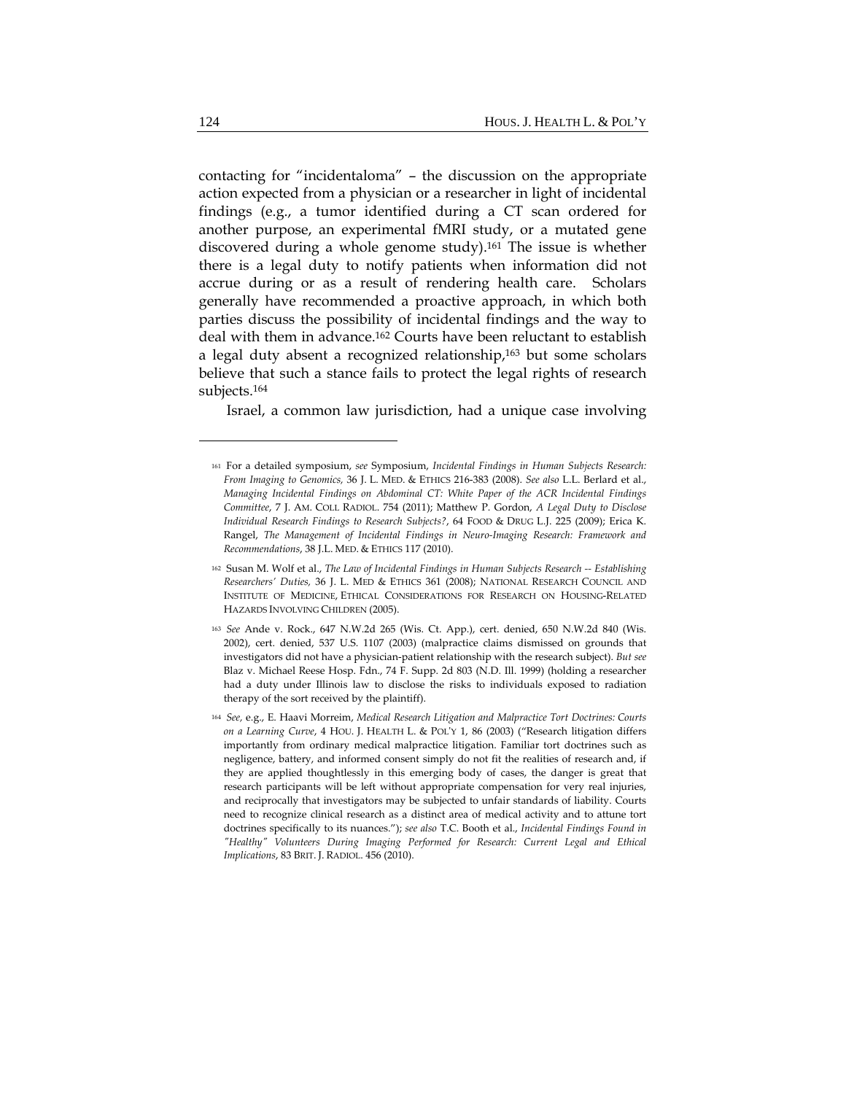contacting for "incidentaloma" – the discussion on the appropriate action expected from a physician or a researcher in light of incidental findings (e.g., a tumor identified during a CT scan ordered for another purpose, an experimental fMRI study, or a mutated gene discovered during a whole genome study).161 The issue is whether there is a legal duty to notify patients when information did not accrue during or as a result of rendering health care. Scholars generally have recommended a proactive approach, in which both parties discuss the possibility of incidental findings and the way to deal with them in advance.162 Courts have been reluctant to establish a legal duty absent a recognized relationship,163 but some scholars believe that such a stance fails to protect the legal rights of research subjects.164

Israel, a common law jurisdiction, had a unique case involving

<sup>161</sup> For a detailed symposium, *see* Symposium, *Incidental Findings in Human Subjects Research: From Imaging to Genomics,* 36 J. L. MED. & ETHICS 216‐383 (2008). *See also* L.L. Berlard et al., *Managing Incidental Findings on Abdominal CT: White Paper of the ACR Incidental Findings Committee*, 7 J. AM. COLL RADIOL. 754 (2011); Matthew P. Gordon, *A Legal Duty to Disclose Individual Research Findings to Research Subjects?*, 64 FOOD & DRUG L.J. 225 (2009); Erica K. Rangel, *The Management of Incidental Findings in Neuro‐Imaging Research: Framework and Recommendations*, 38 J.L. MED. & ETHICS 117 (2010).

<sup>162</sup> Susan M. Wolf et al., *The Law of Incidental Findings in Human Subjects Research ‐‐ Establishing Researchers' Duties,* 36 J. L. MED & ETHICS 361 (2008); NATIONAL RESEARCH COUNCIL AND INSTITUTE OF MEDICINE, ETHICAL CONSIDERATIONS FOR RESEARCH ON HOUSING‐RELATED HAZARDS INVOLVING CHILDREN (2005).

<sup>163</sup> *See* Ande v. Rock., 647 N.W.2d 265 (Wis. Ct. App.), cert. denied, 650 N.W.2d 840 (Wis. 2002), cert. denied, 537 U.S. 1107 (2003) (malpractice claims dismissed on grounds that investigators did not have a physician‐patient relationship with the research subject). *But see* Blaz v. Michael Reese Hosp. Fdn., 74 F. Supp. 2d 803 (N.D. Ill. 1999) (holding a researcher had a duty under Illinois law to disclose the risks to individuals exposed to radiation therapy of the sort received by the plaintiff).

<sup>164</sup> *See,* e.g., E. Haavi Morreim, *Medical Research Litigation and Malpractice Tort Doctrines: Courts on a Learning Curve*, 4 HOU. J. HEALTH L. & POLʹY 1, 86 (2003) ("Research litigation differs importantly from ordinary medical malpractice litigation. Familiar tort doctrines such as negligence, battery, and informed consent simply do not fit the realities of research and, if they are applied thoughtlessly in this emerging body of cases, the danger is great that research participants will be left without appropriate compensation for very real injuries, and reciprocally that investigators may be subjected to unfair standards of liability. Courts need to recognize clinical research as a distinct area of medical activity and to attune tort doctrines specifically to its nuances."); *see also* T.C. Booth et al., *Incidental Findings Found in ʺHealthyʺ Volunteers During Imaging Performed for Research: Current Legal and Ethical Implications*, 83 BRIT. J. RADIOL. 456 (2010).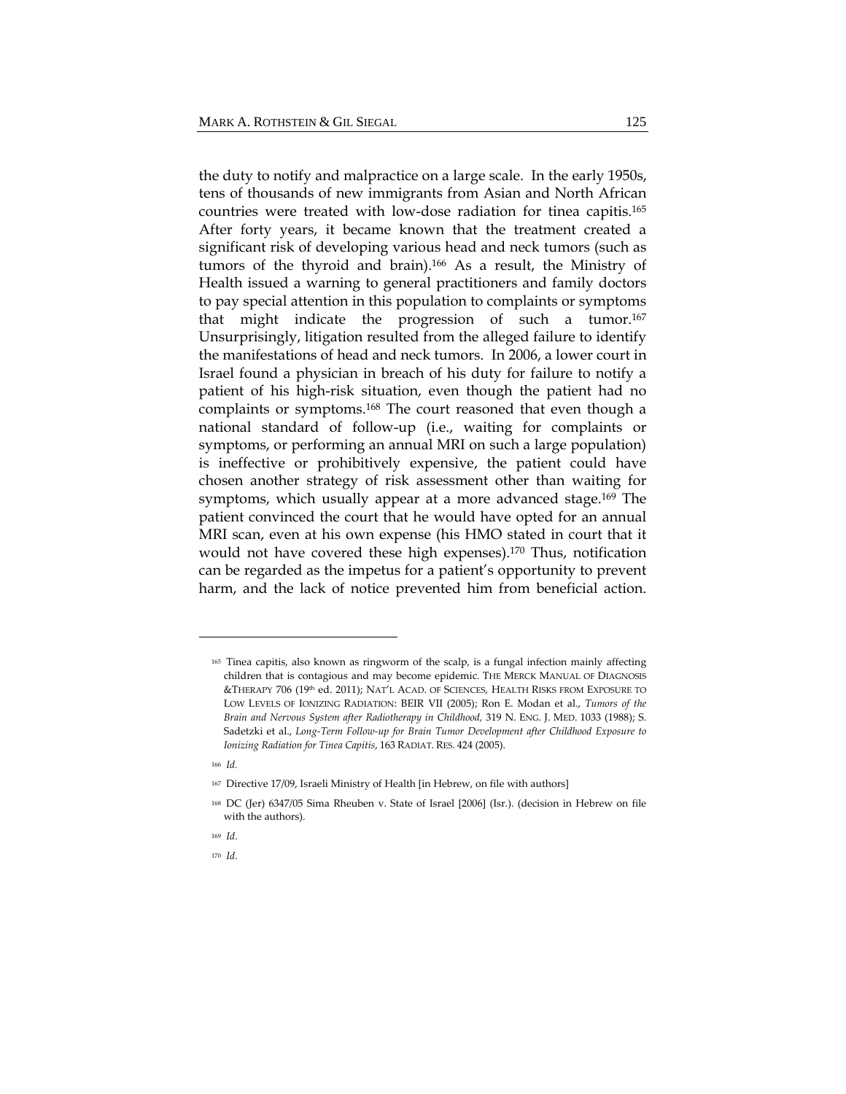the duty to notify and malpractice on a large scale. In the early 1950s, tens of thousands of new immigrants from Asian and North African countries were treated with low-dose radiation for tinea capitis.165 After forty years, it became known that the treatment created a significant risk of developing various head and neck tumors (such as tumors of the thyroid and brain).166 As a result, the Ministry of Health issued a warning to general practitioners and family doctors to pay special attention in this population to complaints or symptoms that might indicate the progression of such a tumor.167 Unsurprisingly, litigation resulted from the alleged failure to identify the manifestations of head and neck tumors. In 2006, a lower court in Israel found a physician in breach of his duty for failure to notify a patient of his high-risk situation, even though the patient had no complaints or symptoms.168 The court reasoned that even though a national standard of follow-up (i.e., waiting for complaints or symptoms, or performing an annual MRI on such a large population) is ineffective or prohibitively expensive, the patient could have chosen another strategy of risk assessment other than waiting for symptoms, which usually appear at a more advanced stage.169 The patient convinced the court that he would have opted for an annual MRI scan, even at his own expense (his HMO stated in court that it would not have covered these high expenses).<sup>170</sup> Thus, notification can be regarded as the impetus for a patient's opportunity to prevent harm, and the lack of notice prevented him from beneficial action.

<sup>165</sup> Tinea capitis, also known as ringworm of the scalp, is a fungal infection mainly affecting children that is contagious and may become epidemic. THE MERCK MANUAL OF DIAGNOSIS &THERAPY 706 (19th ed. 2011); NAT'L ACAD. OF SCIENCES, HEALTH RISKS FROM EXPOSURE TO LOW LEVELS OF IONIZING RADIATION: BEIR VII (2005); Ron E. Modan et al., *Tumors of the Brain and Nervous System after Radiotherapy in Childhood,* 319 N. ENG. J. MED. 1033 (1988); S. Sadetzki et al., *Long‐Term Follow‐up for Brain Tumor Development after Childhood Exposure to Ionizing Radiation for Tinea Capitis*, 163 RADIAT. RES. 424 (2005).

<sup>166</sup> *Id.*

<sup>167</sup> Directive 17/09, Israeli Ministry of Health [in Hebrew, on file with authors]

<sup>168</sup> DC (Jer) 6347/05 Sima Rheuben v. State of Israel [2006] (Isr.). (decision in Hebrew on file with the authors).

<sup>169</sup> *Id*.

<sup>170</sup> *Id*.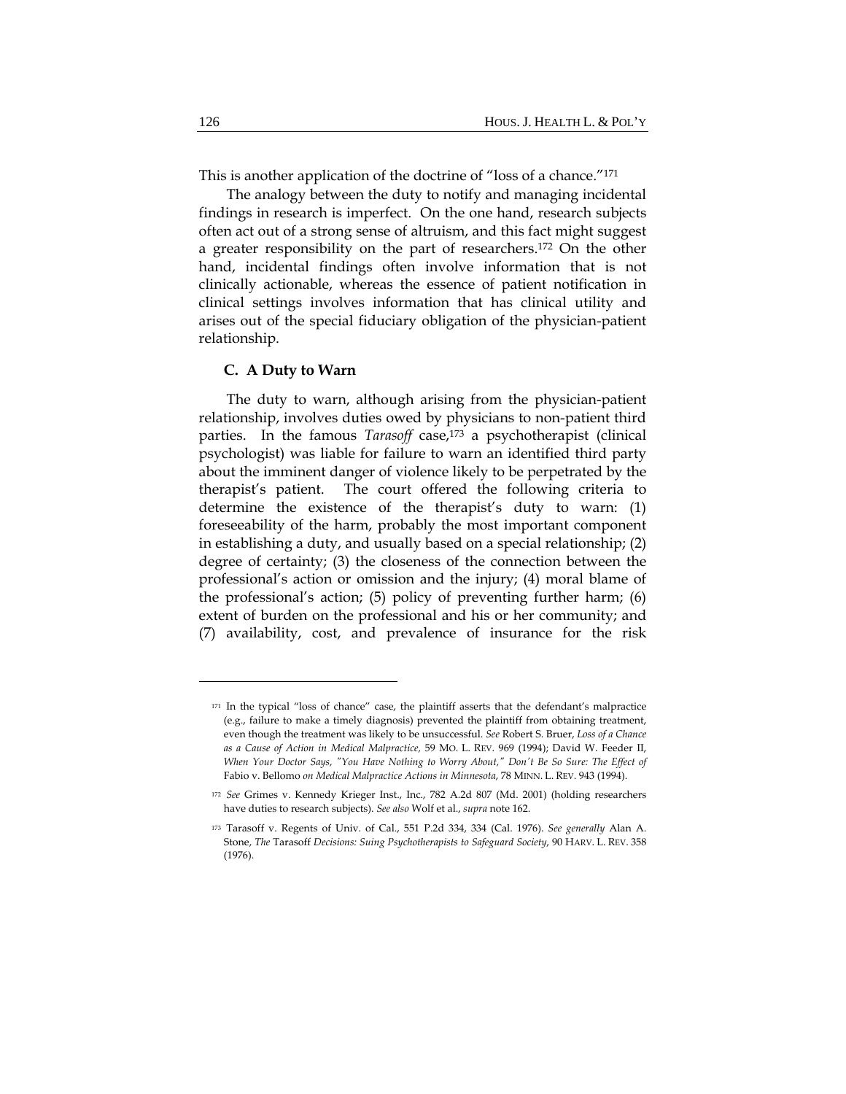This is another application of the doctrine of "loss of a chance."171

The analogy between the duty to notify and managing incidental findings in research is imperfect. On the one hand, research subjects often act out of a strong sense of altruism, and this fact might suggest a greater responsibility on the part of researchers.172 On the other hand, incidental findings often involve information that is not clinically actionable, whereas the essence of patient notification in clinical settings involves information that has clinical utility and arises out of the special fiduciary obligation of the physician-patient relationship.

#### **C. A Duty to Warn**

The duty to warn, although arising from the physician-patient relationship, involves duties owed by physicians to non-patient third parties. In the famous *Tarasoff* case,<sup>173</sup> a psychotherapist (clinical psychologist) was liable for failure to warn an identified third party about the imminent danger of violence likely to be perpetrated by the therapist's patient. The court offered the following criteria to determine the existence of the therapist's duty to warn: (1) foreseeability of the harm, probably the most important component in establishing a duty, and usually based on a special relationship; (2) degree of certainty; (3) the closeness of the connection between the professional's action or omission and the injury; (4) moral blame of the professional's action; (5) policy of preventing further harm; (6) extent of burden on the professional and his or her community; and (7) availability, cost, and prevalence of insurance for the risk

<sup>171</sup> In the typical "loss of chance" case, the plaintiff asserts that the defendant's malpractice (e.g., failure to make a timely diagnosis) prevented the plaintiff from obtaining treatment, even though the treatment was likely to be unsuccessful. *See* Robert S. Bruer, *Loss of a Chance as a Cause of Action in Medical Malpractice,* 59 MO. L. REV. 969 (1994); David W. Feeder II, When Your Doctor Says, "You Have Nothing to Worry About," Don't Be So Sure: The Effect of Fabio v. Bellomo *on Medical Malpractice Actions in Minnesota*, 78 MINN. L. REV. 943 (1994).

<sup>172</sup> *See* Grimes v. Kennedy Krieger Inst., Inc., 782 A.2d 807 (Md. 2001) (holding researchers have duties to research subjects). *See also* Wolf et al., *supra* note 162.

<sup>173</sup> Tarasoff v. Regents of Univ. of Cal., 551 P.2d 334, 334 (Cal. 1976). *See generally* Alan A. Stone, *The* Tarasoff *Decisions: Suing Psychotherapists to Safeguard Society*, 90 HARV. L. REV. 358 (1976).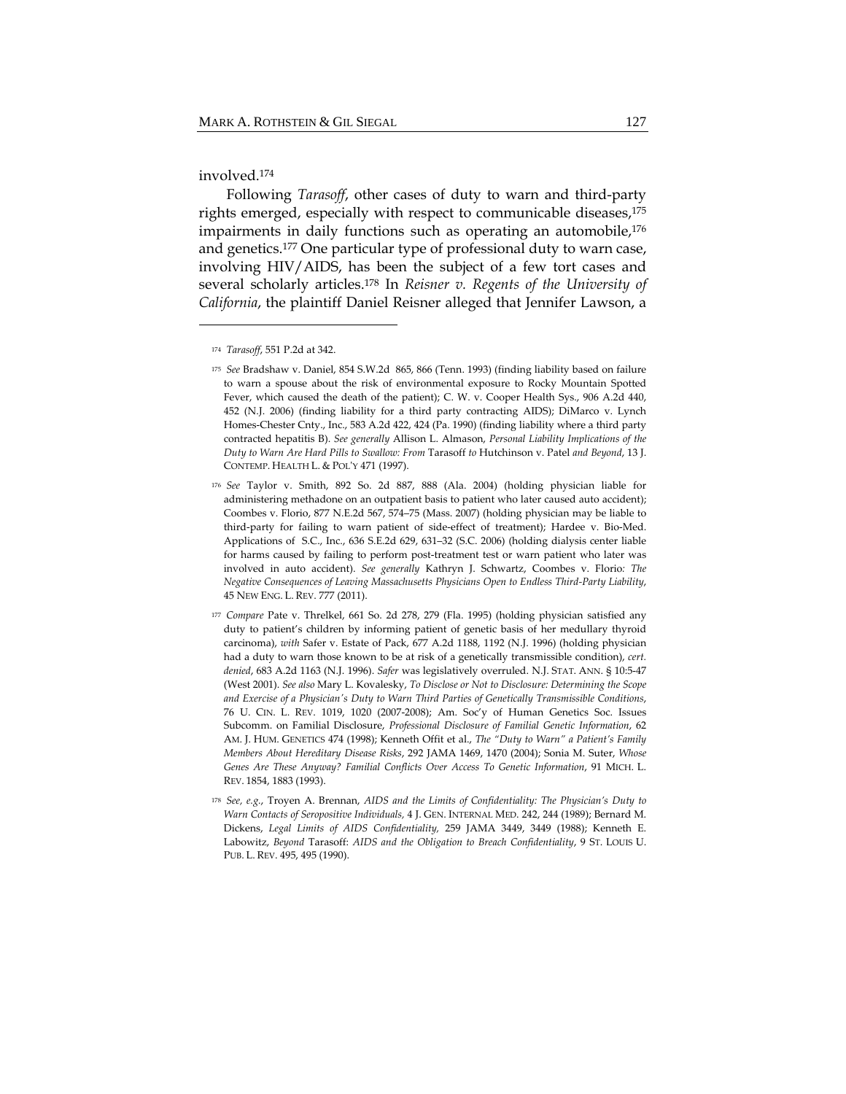involved.174

Following *Tarasoff*, other cases of duty to warn and third-party rights emerged, especially with respect to communicable diseases,<sup>175</sup> impairments in daily functions such as operating an automobile,<sup>176</sup> and genetics.177 One particular type of professional duty to warn case, involving HIV/AIDS, has been the subject of a few tort cases and several scholarly articles.178 In *Reisner v. Regents of the University of California*, the plaintiff Daniel Reisner alleged that Jennifer Lawson, a

<sup>174</sup> *Tarasoff*, 551 P.2d at 342.

<sup>175</sup> *See* Bradshaw v. Daniel, 854 S.W.2d 865, 866 (Tenn. 1993) (finding liability based on failure to warn a spouse about the risk of environmental exposure to Rocky Mountain Spotted Fever, which caused the death of the patient); C. W. v. Cooper Health Sys., 906 A.2d 440, 452 (N.J. 2006) (finding liability for a third party contracting AIDS); DiMarco v. Lynch Homes‐Chester Cnty., Inc., 583 A.2d 422, 424 (Pa. 1990) (finding liability where a third party contracted hepatitis B). *See generally* Allison L. Almason, *Personal Liability Implications of the Duty to Warn Are Hard Pills to Swallow: From* Tarasoff *to* Hutchinson v. Patel *and Beyond*, 13 J. CONTEMP. HEALTH L. & POLʹY 471 (1997).

<sup>176</sup> *See* Taylor v. Smith, 892 So. 2d 887, 888 (Ala. 2004) (holding physician liable for administering methadone on an outpatient basis to patient who later caused auto accident); Coombes v. Florio, 877 N.E.2d 567, 574–75 (Mass. 2007) (holding physician may be liable to third‐party for failing to warn patient of side‐effect of treatment); Hardee v. Bio‐Med. Applications of S.C., Inc., 636 S.E.2d 629, 631–32 (S.C. 2006) (holding dialysis center liable for harms caused by failing to perform post-treatment test or warn patient who later was involved in auto accident). *See generally* Kathryn J. Schwartz, Coombes v. Florio*: The Negative Consequences of Leaving Massachusetts Physicians Open to Endless Third‐Party Liability*, 45 NEW ENG. L. REV. 777 (2011).

<sup>177</sup> *Compare* Pate v. Threlkel, 661 So. 2d 278, 279 (Fla. 1995) (holding physician satisfied any duty to patient's children by informing patient of genetic basis of her medullary thyroid carcinoma), *with* Safer v. Estate of Pack, 677 A.2d 1188, 1192 (N.J. 1996) (holding physician had a duty to warn those known to be at risk of a genetically transmissible condition), *cert. denied*, 683 A.2d 1163 (N.J. 1996). *Safer* was legislatively overruled. N.J. STAT. ANN. § 10:5‐47 (West 2001). *See also* Mary L. Kovalesky, *To Disclose or Not to Disclosure: Determining the Scope and Exercise of a Physicianʹs Duty to Warn Third Parties of Genetically Transmissible Conditions*, 76 U. CIN. L. REV. 1019, 1020 (2007‐2008); Am. Soc'y of Human Genetics Soc. Issues Subcomm. on Familial Disclosure, *Professional Disclosure of Familial Genetic Information*, 62 AM. J. HUM. GENETICS 474 (1998); Kenneth Offit et al., *The "Duty to Warn" a Patient's Family Members About Hereditary Disease Risks*, 292 JAMA 1469, 1470 (2004); Sonia M. Suter, *Whose Genes Are These Anyway? Familial Conflicts Over Access To Genetic Information*, 91 MICH. L. REV. 1854, 1883 (1993).

<sup>178</sup> *See, e.g.*, Troyen A. Brennan, *AIDS and the Limits of Confidentiality: The Physician's Duty to Warn Contacts of Seropositive Individuals,* 4 J. GEN. INTERNAL MED. 242, 244 (1989); Bernard M. Dickens, *Legal Limits of AIDS Confidentiality,* 259 JAMA 3449, 3449 (1988); Kenneth E. Labowitz, *Beyond* Tarasoff: *AIDS and the Obligation to Breach Confidentiality*, 9 ST. LOUIS U. PUB. L. REV. 495, 495 (1990).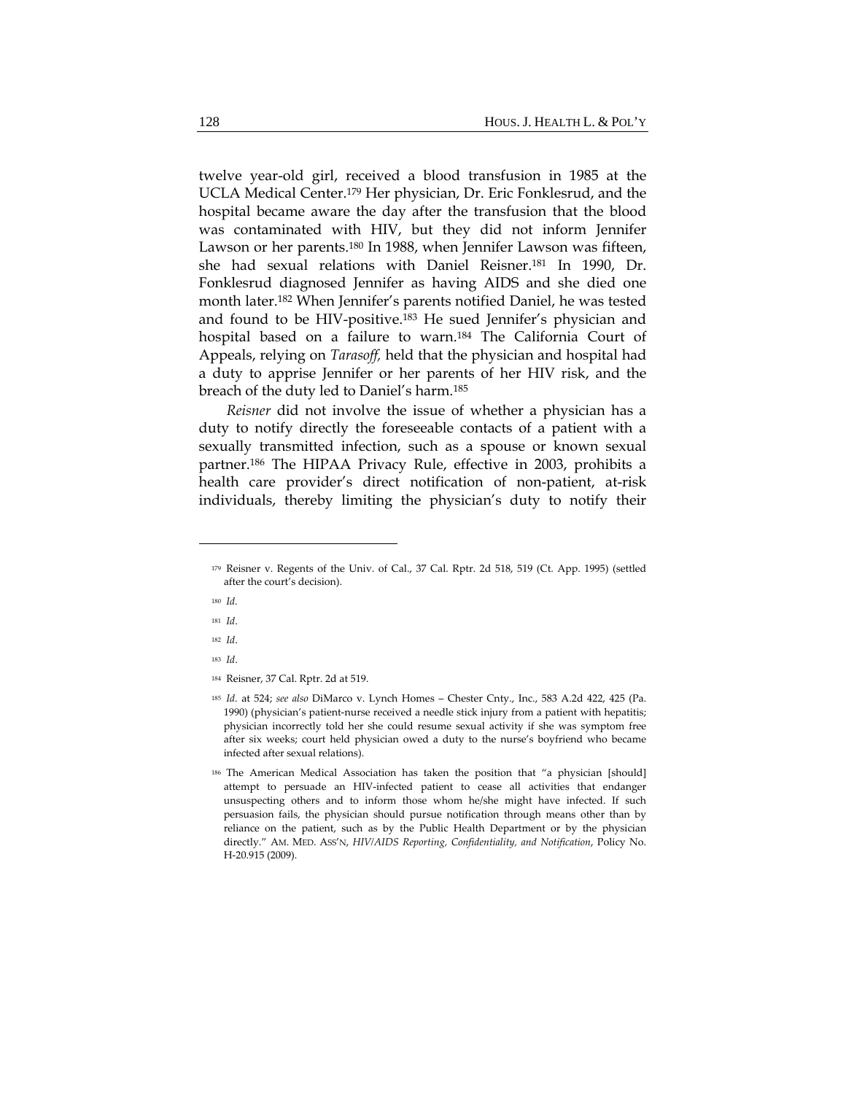twelve year-old girl, received a blood transfusion in 1985 at the UCLA Medical Center.179 Her physician, Dr. Eric Fonklesrud, and the hospital became aware the day after the transfusion that the blood was contaminated with HIV, but they did not inform Jennifer Lawson or her parents.180 In 1988, when Jennifer Lawson was fifteen, she had sexual relations with Daniel Reisner.181 In 1990, Dr. Fonklesrud diagnosed Jennifer as having AIDS and she died one month later.182 When Jennifer's parents notified Daniel, he was tested and found to be HIV-positive.183 He sued Jennifer's physician and hospital based on a failure to warn.184 The California Court of Appeals, relying on *Tarasoff,* held that the physician and hospital had a duty to apprise Jennifer or her parents of her HIV risk, and the breach of the duty led to Daniel's harm.185

*Reisner* did not involve the issue of whether a physician has a duty to notify directly the foreseeable contacts of a patient with a sexually transmitted infection, such as a spouse or known sexual partner.186 The HIPAA Privacy Rule, effective in 2003, prohibits a health care provider's direct notification of non-patient, at-risk individuals, thereby limiting the physician's duty to notify their

- <sup>182</sup> *Id*.
- <sup>183</sup> *Id*.

<sup>179</sup> Reisner v. Regents of the Univ. of Cal., 37 Cal. Rptr. 2d 518, 519 (Ct. App. 1995) (settled after the court's decision).

<sup>180</sup> *Id.*

<sup>181</sup> *Id*.

<sup>184</sup> Reisner, 37 Cal. Rptr. 2d at 519.

<sup>185</sup> *Id.* at 524; *see also* DiMarco v. Lynch Homes – Chester Cnty., Inc., 583 A.2d 422, 425 (Pa. 1990) (physician's patient-nurse received a needle stick injury from a patient with hepatitis; physician incorrectly told her she could resume sexual activity if she was symptom free after six weeks; court held physician owed a duty to the nurse's boyfriend who became infected after sexual relations).

<sup>186</sup> The American Medical Association has taken the position that "a physician [should] attempt to persuade an HIV‐infected patient to cease all activities that endanger unsuspecting others and to inform those whom he/she might have infected. If such persuasion fails, the physician should pursue notification through means other than by reliance on the patient, such as by the Public Health Department or by the physician directly." AM. MED. ASS'N, *HIV/AIDS Reporting, Confidentiality, and Notification*, Policy No. H‐20.915 (2009).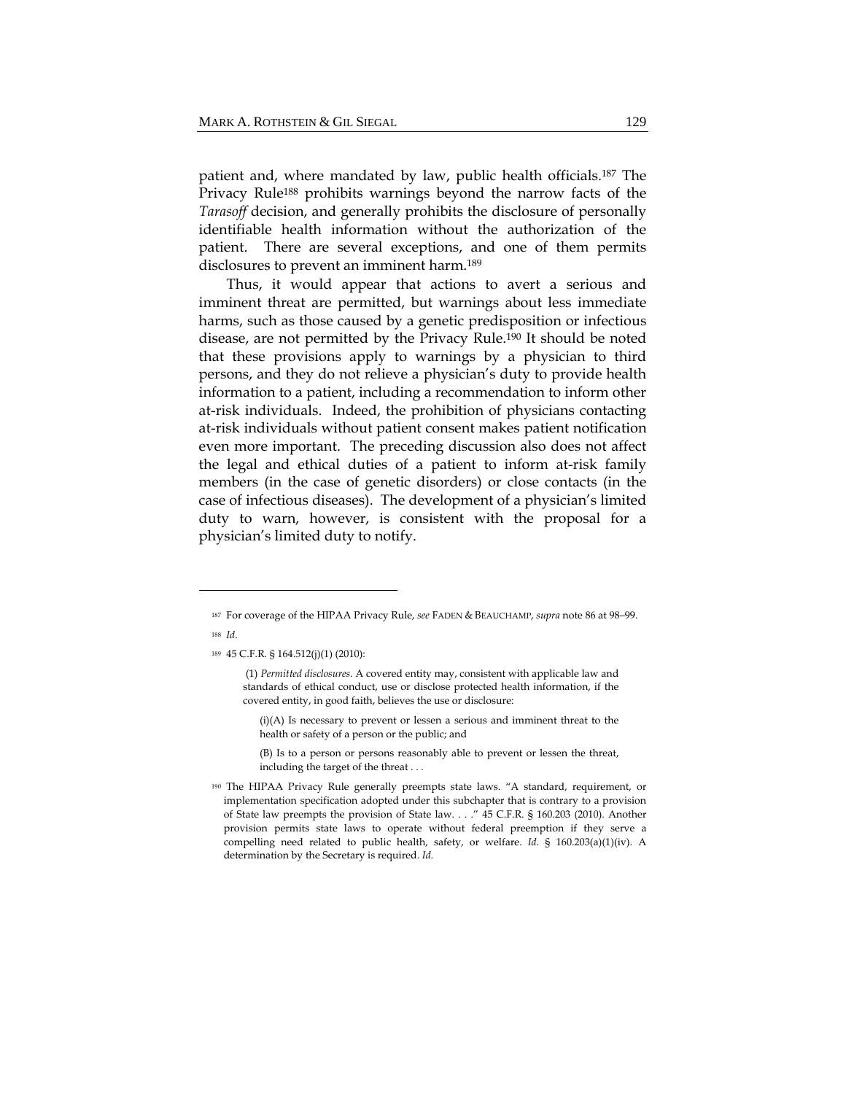patient and, where mandated by law, public health officials.187 The Privacy Rule<sup>188</sup> prohibits warnings beyond the narrow facts of the *Tarasoff* decision, and generally prohibits the disclosure of personally identifiable health information without the authorization of the patient. There are several exceptions, and one of them permits disclosures to prevent an imminent harm.189

Thus, it would appear that actions to avert a serious and imminent threat are permitted, but warnings about less immediate harms, such as those caused by a genetic predisposition or infectious disease, are not permitted by the Privacy Rule.190 It should be noted that these provisions apply to warnings by a physician to third persons, and they do not relieve a physician's duty to provide health information to a patient, including a recommendation to inform other at-risk individuals. Indeed, the prohibition of physicians contacting at-risk individuals without patient consent makes patient notification even more important. The preceding discussion also does not affect the legal and ethical duties of a patient to inform at-risk family members (in the case of genetic disorders) or close contacts (in the case of infectious diseases). The development of a physician's limited duty to warn, however, is consistent with the proposal for a physician's limited duty to notify.

<sup>187</sup> For coverage of the HIPAA Privacy Rule, *see* FADEN & BEAUCHAMP, *supra* note 86 at 98–99. <sup>188</sup> *Id*.

<sup>189</sup> 45 C.F.R. § 164.512(j)(1) (2010):

 <sup>(1)</sup> *Permitted disclosures.* A covered entity may, consistent with applicable law and standards of ethical conduct, use or disclose protected health information, if the covered entity, in good faith, believes the use or disclosure:

<sup>(</sup>i)(A) Is necessary to prevent or lessen a serious and imminent threat to the health or safety of a person or the public; and

<sup>(</sup>B) Is to a person or persons reasonably able to prevent or lessen the threat, including the target of the threat . . .

<sup>190</sup> The HIPAA Privacy Rule generally preempts state laws. "A standard, requirement, or implementation specification adopted under this subchapter that is contrary to a provision of State law preempts the provision of State law. . . ." 45 C.F.R. § 160.203 (2010). Another provision permits state laws to operate without federal preemption if they serve a compelling need related to public health, safety, or welfare. *Id.* § 160.203(a)(1)(iv). A determination by the Secretary is required. *Id.*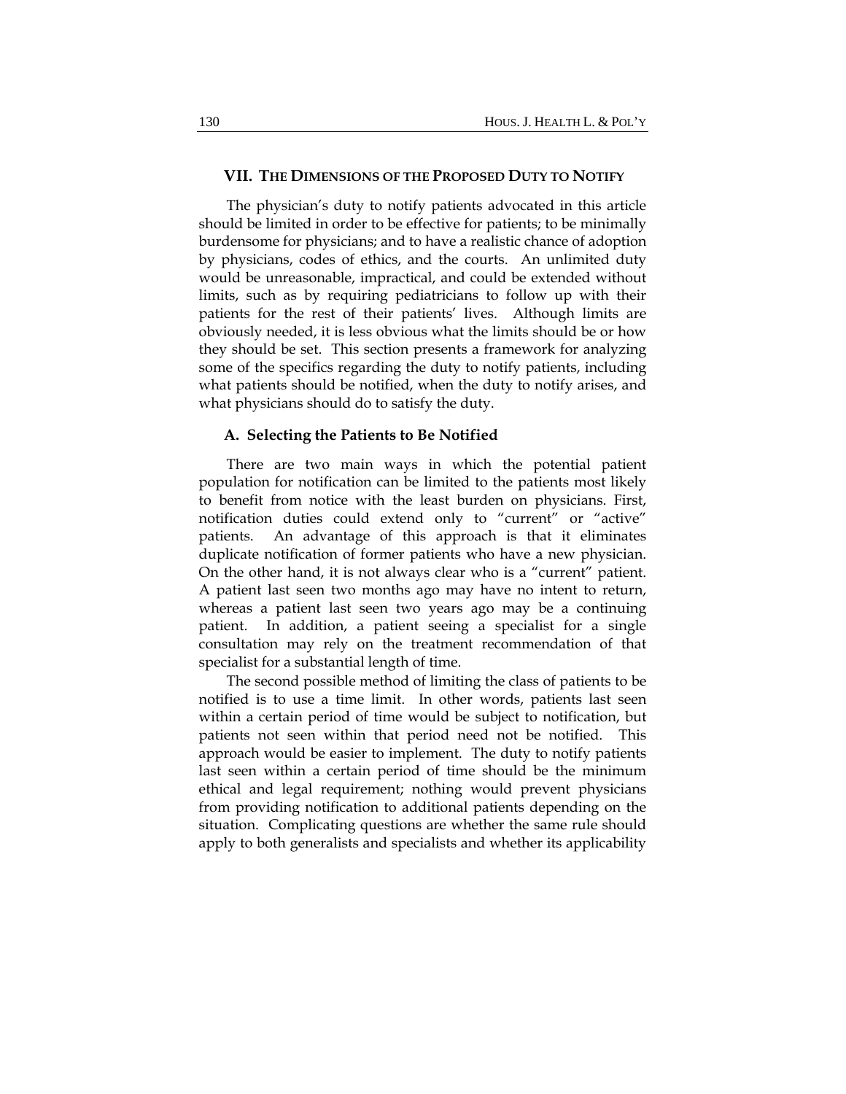#### **VII. THE DIMENSIONS OF THE PROPOSED DUTY TO NOTIFY**

The physician's duty to notify patients advocated in this article should be limited in order to be effective for patients; to be minimally burdensome for physicians; and to have a realistic chance of adoption by physicians, codes of ethics, and the courts. An unlimited duty would be unreasonable, impractical, and could be extended without limits, such as by requiring pediatricians to follow up with their patients for the rest of their patients' lives. Although limits are obviously needed, it is less obvious what the limits should be or how they should be set. This section presents a framework for analyzing some of the specifics regarding the duty to notify patients, including what patients should be notified, when the duty to notify arises, and what physicians should do to satisfy the duty.

#### **A. Selecting the Patients to Be Notified**

There are two main ways in which the potential patient population for notification can be limited to the patients most likely to benefit from notice with the least burden on physicians. First, notification duties could extend only to "current" or "active" patients. An advantage of this approach is that it eliminates duplicate notification of former patients who have a new physician. On the other hand, it is not always clear who is a "current" patient. A patient last seen two months ago may have no intent to return, whereas a patient last seen two years ago may be a continuing patient. In addition, a patient seeing a specialist for a single consultation may rely on the treatment recommendation of that specialist for a substantial length of time.

The second possible method of limiting the class of patients to be notified is to use a time limit. In other words, patients last seen within a certain period of time would be subject to notification, but patients not seen within that period need not be notified. This approach would be easier to implement. The duty to notify patients last seen within a certain period of time should be the minimum ethical and legal requirement; nothing would prevent physicians from providing notification to additional patients depending on the situation. Complicating questions are whether the same rule should apply to both generalists and specialists and whether its applicability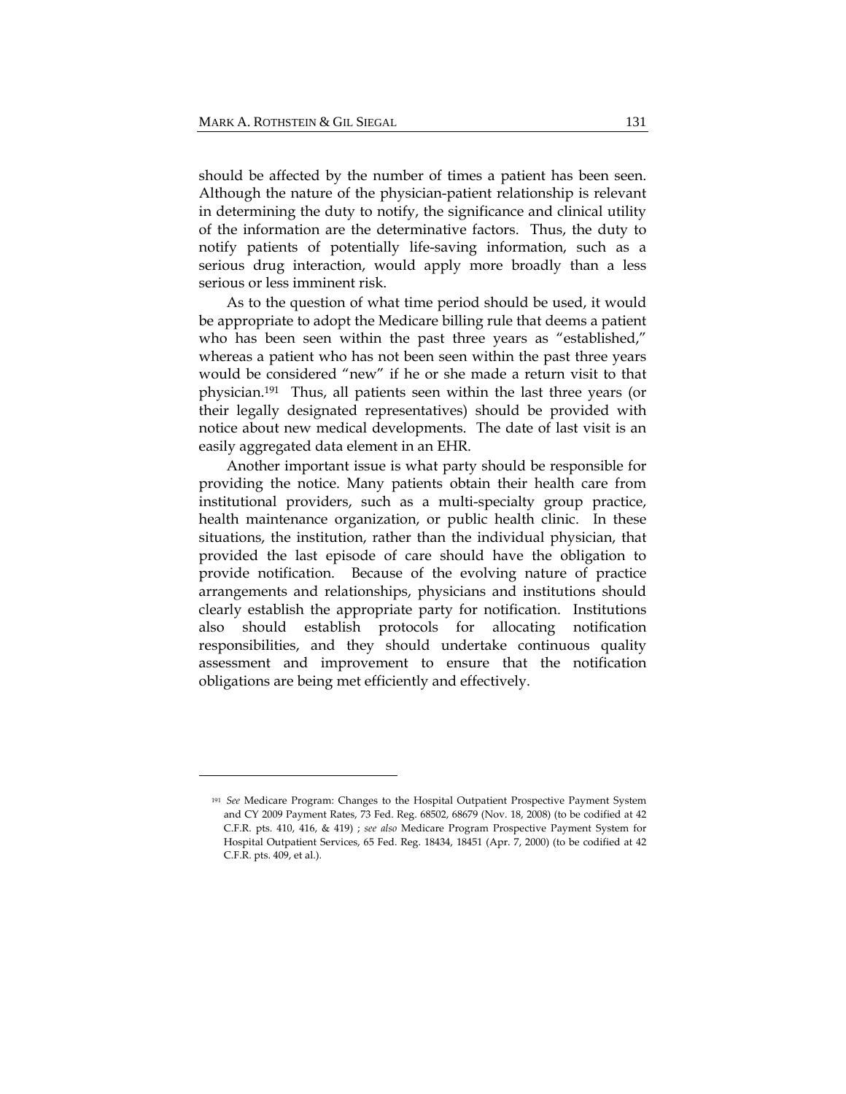should be affected by the number of times a patient has been seen. Although the nature of the physician-patient relationship is relevant in determining the duty to notify, the significance and clinical utility of the information are the determinative factors. Thus, the duty to notify patients of potentially life-saving information, such as a serious drug interaction, would apply more broadly than a less serious or less imminent risk.

As to the question of what time period should be used, it would be appropriate to adopt the Medicare billing rule that deems a patient who has been seen within the past three years as "established," whereas a patient who has not been seen within the past three years would be considered "new" if he or she made a return visit to that physician.191 Thus, all patients seen within the last three years (or their legally designated representatives) should be provided with notice about new medical developments. The date of last visit is an easily aggregated data element in an EHR.

Another important issue is what party should be responsible for providing the notice. Many patients obtain their health care from institutional providers, such as a multi-specialty group practice, health maintenance organization, or public health clinic. In these situations, the institution, rather than the individual physician, that provided the last episode of care should have the obligation to provide notification. Because of the evolving nature of practice arrangements and relationships, physicians and institutions should clearly establish the appropriate party for notification. Institutions also should establish protocols for allocating notification responsibilities, and they should undertake continuous quality assessment and improvement to ensure that the notification obligations are being met efficiently and effectively.

<sup>191</sup> *See* Medicare Program: Changes to the Hospital Outpatient Prospective Payment System and CY 2009 Payment Rates, 73 Fed. Reg. 68502, 68679 (Nov. 18, 2008) (to be codified at 42 C.F.R. pts. 410, 416, & 419) ; *see also* Medicare Program Prospective Payment System for Hospital Outpatient Services, 65 Fed. Reg. 18434, 18451 (Apr. 7, 2000) (to be codified at 42 C.F.R. pts. 409, et al.).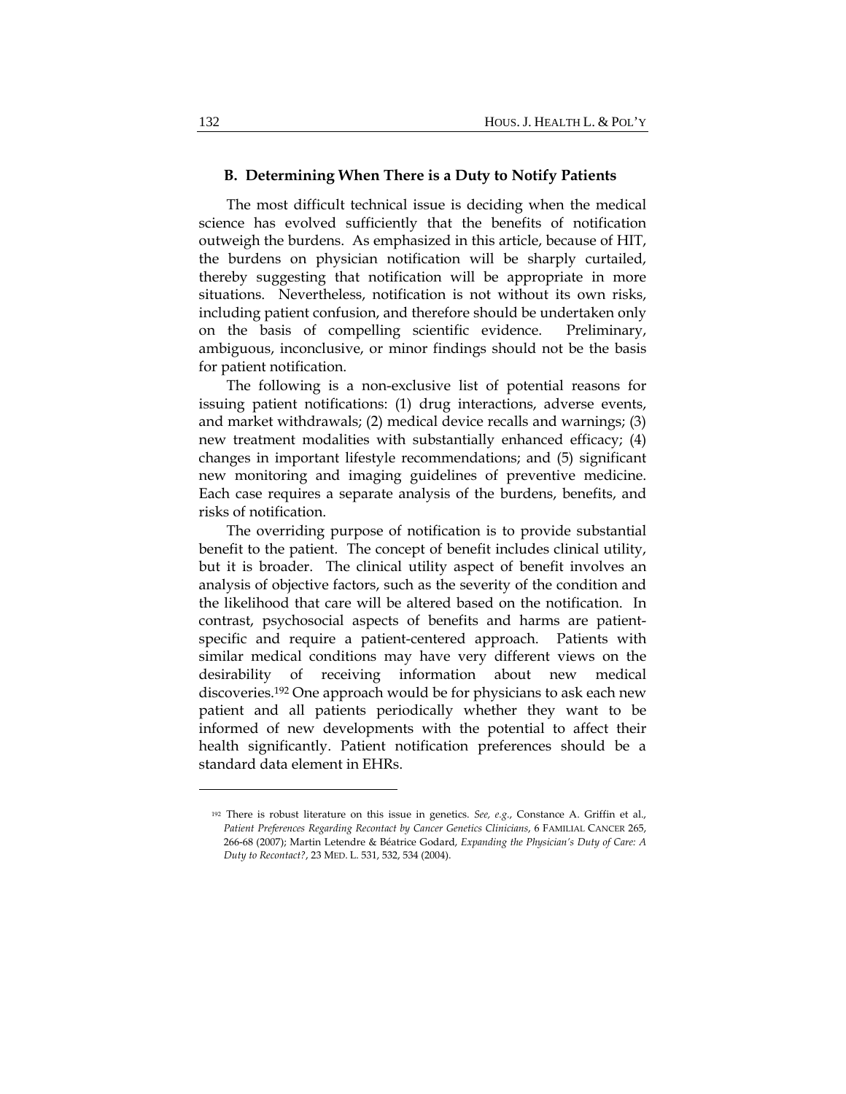#### **B. Determining When There is a Duty to Notify Patients**

The most difficult technical issue is deciding when the medical science has evolved sufficiently that the benefits of notification outweigh the burdens. As emphasized in this article, because of HIT, the burdens on physician notification will be sharply curtailed, thereby suggesting that notification will be appropriate in more situations. Nevertheless, notification is not without its own risks, including patient confusion, and therefore should be undertaken only on the basis of compelling scientific evidence. Preliminary, ambiguous, inconclusive, or minor findings should not be the basis for patient notification.

The following is a non-exclusive list of potential reasons for issuing patient notifications: (1) drug interactions, adverse events, and market withdrawals; (2) medical device recalls and warnings; (3) new treatment modalities with substantially enhanced efficacy; (4) changes in important lifestyle recommendations; and (5) significant new monitoring and imaging guidelines of preventive medicine. Each case requires a separate analysis of the burdens, benefits, and risks of notification.

The overriding purpose of notification is to provide substantial benefit to the patient. The concept of benefit includes clinical utility, but it is broader. The clinical utility aspect of benefit involves an analysis of objective factors, such as the severity of the condition and the likelihood that care will be altered based on the notification. In contrast, psychosocial aspects of benefits and harms are patientspecific and require a patient-centered approach. Patients with similar medical conditions may have very different views on the desirability of receiving information about new medical discoveries.192 One approach would be for physicians to ask each new patient and all patients periodically whether they want to be informed of new developments with the potential to affect their health significantly. Patient notification preferences should be a standard data element in EHRs.

<sup>192</sup> There is robust literature on this issue in genetics. *See, e.g.*, Constance A. Griffin et al., *Patient Preferences Regarding Recontact by Cancer Genetics Clinicians*, 6 FAMILIAL CANCER 265, 266‐68 (2007); Martin Letendre & Béatrice Godard, *Expanding the Physician's Duty of Care: A Duty to Recontact?*, 23 MED. L. 531, 532, 534 (2004).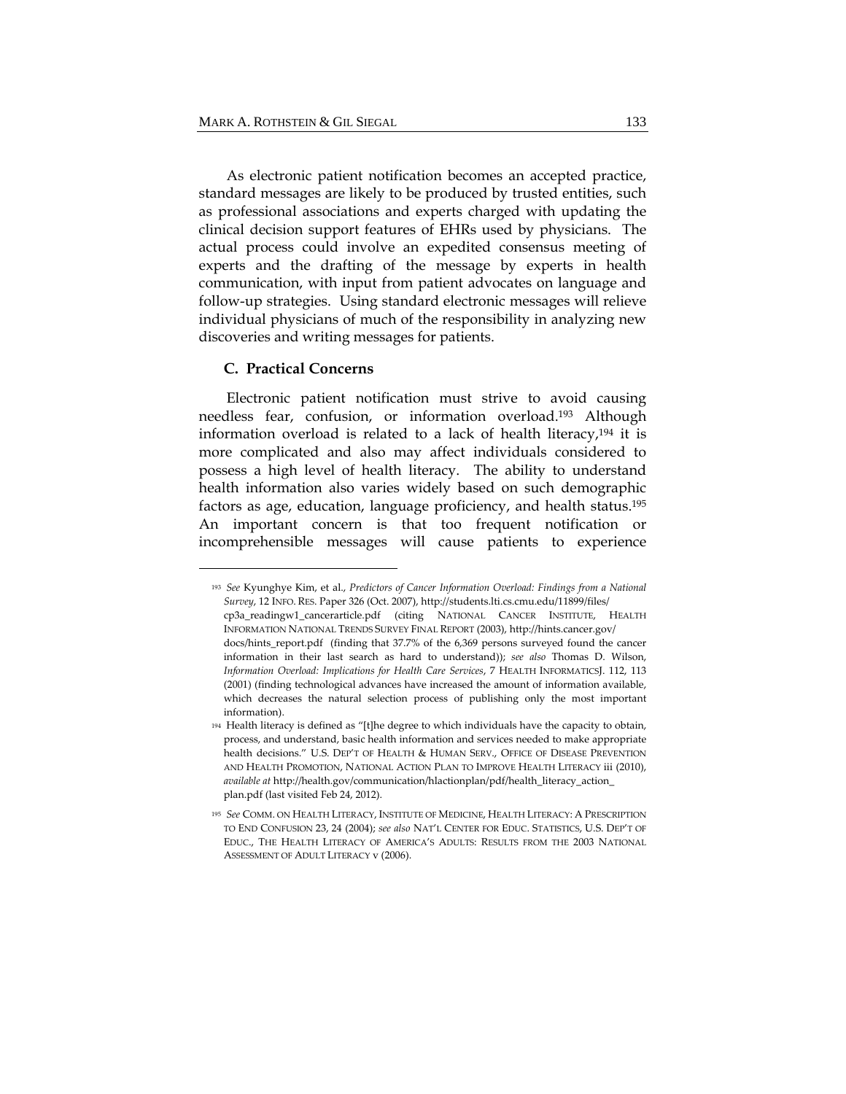As electronic patient notification becomes an accepted practice, standard messages are likely to be produced by trusted entities, such as professional associations and experts charged with updating the clinical decision support features of EHRs used by physicians. The actual process could involve an expedited consensus meeting of experts and the drafting of the message by experts in health communication, with input from patient advocates on language and follow-up strategies. Using standard electronic messages will relieve individual physicians of much of the responsibility in analyzing new discoveries and writing messages for patients.

#### **C. Practical Concerns**

Electronic patient notification must strive to avoid causing needless fear, confusion, or information overload.193 Although information overload is related to a lack of health literacy,194 it is more complicated and also may affect individuals considered to possess a high level of health literacy. The ability to understand health information also varies widely based on such demographic factors as age, education, language proficiency, and health status.195 An important concern is that too frequent notification or incomprehensible messages will cause patients to experience

<sup>193</sup> *See* Kyunghye Kim, et al., *Predictors of Cancer Information Overload: Findings from a National Survey*, 12 INFO. RES. Paper 326 (Oct. 2007), http://students.lti.cs.cmu.edu/11899/files/ cp3a\_readingw1\_cancerarticle.pdf (citing NATIONAL CANCER INSTITUTE, HEALTH INFORMATION NATIONAL TRENDS SURVEY FINAL REPORT (2003), http://hints.cancer.gov/ docs/hints\_report.pdf (finding that 37.7% of the 6,369 persons surveyed found the cancer information in their last search as hard to understand)); *see also* Thomas D. Wilson, *Information Overload: Implications for Health Care Services*, 7 HEALTH INFORMATICSJ. 112, 113 (2001) (finding technological advances have increased the amount of information available, which decreases the natural selection process of publishing only the most important information).

<sup>194</sup> Health literacy is defined as "[t]he degree to which individuals have the capacity to obtain, process, and understand, basic health information and services needed to make appropriate health decisions." U.S. DEP'T OF HEALTH & HUMAN SERV., OFFICE OF DISEASE PREVENTION AND HEALTH PROMOTION, NATIONAL ACTION PLAN TO IMPROVE HEALTH LITERACY iii (2010), *available at* http://health.gov/communication/hlactionplan/pdf/health\_literacy\_action\_ plan.pdf (last visited Feb 24, 2012).

<sup>195</sup> *See* COMM. ON HEALTH LITERACY, INSTITUTE OF MEDICINE, HEALTH LITERACY: A PRESCRIPTION TO END CONFUSION 23, 24 (2004); *see also* NAT'L CENTER FOR EDUC. STATISTICS, U.S. DEP'T OF EDUC., THE HEALTH LITERACY OF AMERICA'S ADULTS: RESULTS FROM THE 2003 NATIONAL ASSESSMENT OF ADULT LITERACY v (2006).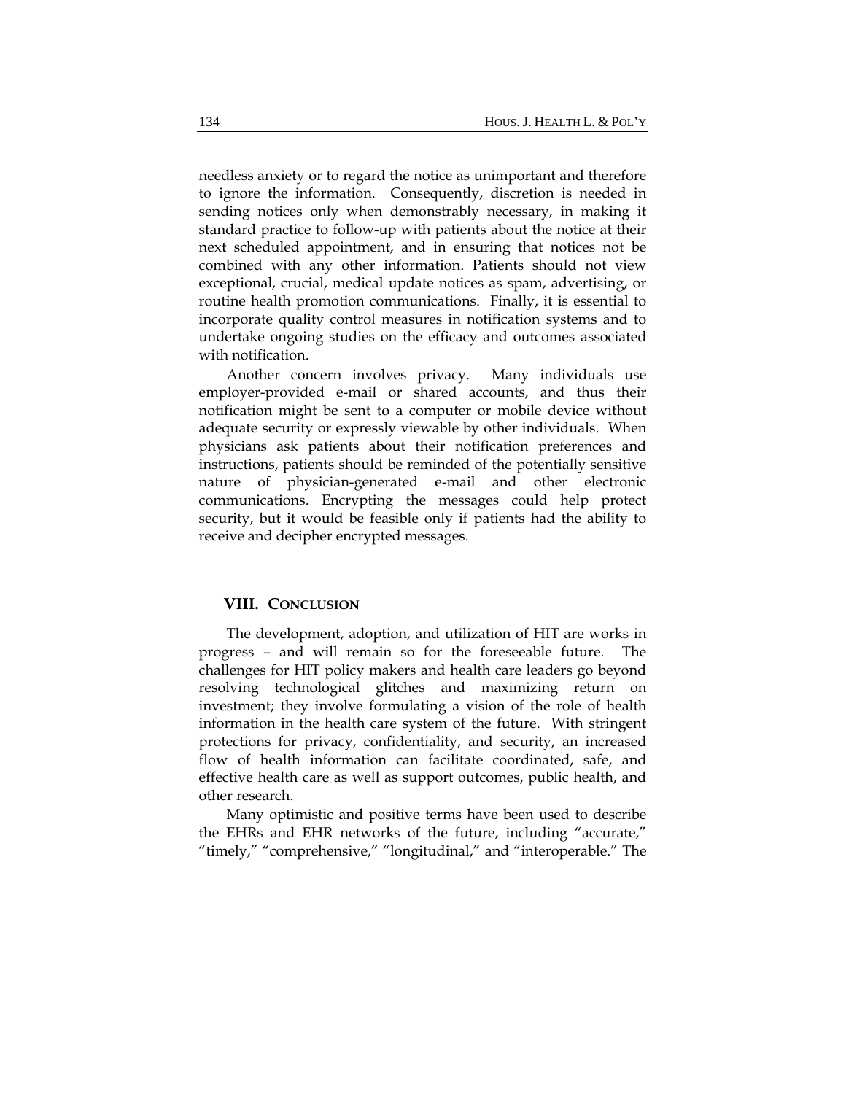needless anxiety or to regard the notice as unimportant and therefore to ignore the information. Consequently, discretion is needed in sending notices only when demonstrably necessary, in making it standard practice to follow-up with patients about the notice at their next scheduled appointment, and in ensuring that notices not be combined with any other information. Patients should not view exceptional, crucial, medical update notices as spam, advertising, or routine health promotion communications. Finally, it is essential to incorporate quality control measures in notification systems and to undertake ongoing studies on the efficacy and outcomes associated with notification.

Another concern involves privacy. Many individuals use employer-provided e-mail or shared accounts, and thus their notification might be sent to a computer or mobile device without adequate security or expressly viewable by other individuals. When physicians ask patients about their notification preferences and instructions, patients should be reminded of the potentially sensitive nature of physician-generated e-mail and other electronic communications. Encrypting the messages could help protect security, but it would be feasible only if patients had the ability to receive and decipher encrypted messages.

#### **VIII. CONCLUSION**

The development, adoption, and utilization of HIT are works in progress – and will remain so for the foreseeable future. The challenges for HIT policy makers and health care leaders go beyond resolving technological glitches and maximizing return on investment; they involve formulating a vision of the role of health information in the health care system of the future. With stringent protections for privacy, confidentiality, and security, an increased flow of health information can facilitate coordinated, safe, and effective health care as well as support outcomes, public health, and other research.

Many optimistic and positive terms have been used to describe the EHRs and EHR networks of the future, including "accurate," "timely," "comprehensive," "longitudinal," and "interoperable." The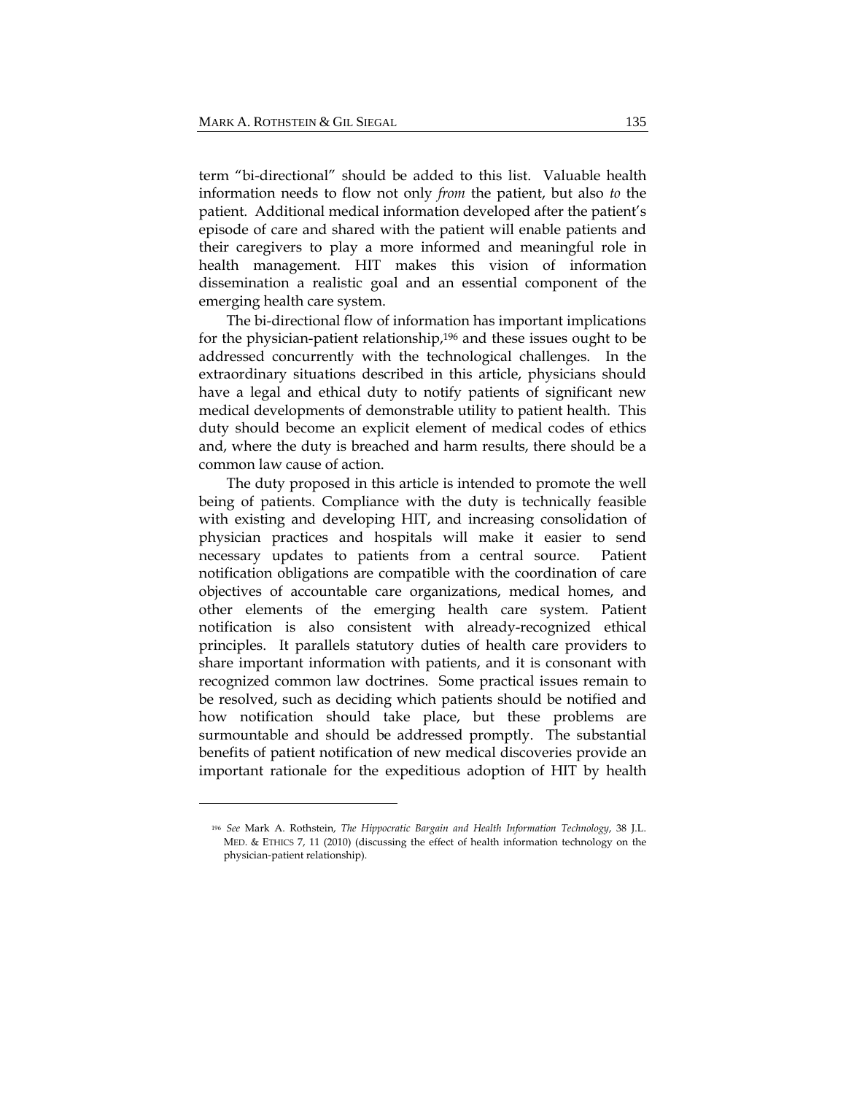term "bi-directional" should be added to this list. Valuable health information needs to flow not only *from* the patient, but also *to* the patient. Additional medical information developed after the patient's episode of care and shared with the patient will enable patients and their caregivers to play a more informed and meaningful role in health management. HIT makes this vision of information dissemination a realistic goal and an essential component of the emerging health care system.

The bi-directional flow of information has important implications for the physician-patient relationship,196 and these issues ought to be addressed concurrently with the technological challenges. In the extraordinary situations described in this article, physicians should have a legal and ethical duty to notify patients of significant new medical developments of demonstrable utility to patient health. This duty should become an explicit element of medical codes of ethics and, where the duty is breached and harm results, there should be a common law cause of action.

The duty proposed in this article is intended to promote the well being of patients. Compliance with the duty is technically feasible with existing and developing HIT, and increasing consolidation of physician practices and hospitals will make it easier to send necessary updates to patients from a central source. Patient notification obligations are compatible with the coordination of care objectives of accountable care organizations, medical homes, and other elements of the emerging health care system. Patient notification is also consistent with already-recognized ethical principles. It parallels statutory duties of health care providers to share important information with patients, and it is consonant with recognized common law doctrines. Some practical issues remain to be resolved, such as deciding which patients should be notified and how notification should take place, but these problems are surmountable and should be addressed promptly. The substantial benefits of patient notification of new medical discoveries provide an important rationale for the expeditious adoption of HIT by health

<sup>196</sup> *See* Mark A. Rothstein, *The Hippocratic Bargain and Health Information Technology*, 38 J.L. MED. & ETHICS 7, 11 (2010) (discussing the effect of health information technology on the physician‐patient relationship).